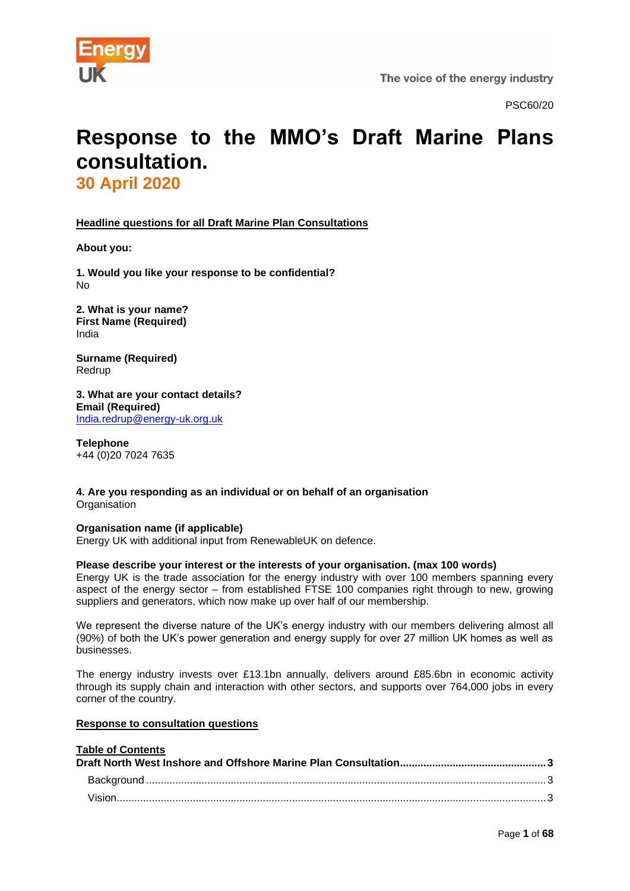

PSC60/20

# **Response to the MMO's Draft Marine Plans consultation. 30 April 2020**

**Headline questions for all Draft Marine Plan Consultations**

**About you:**

**1. Would you like your response to be confidential?** No

**2. What is your name? First Name (Required)** India

**Surname (Required)** Redrup

**3. What are your contact details? Email (Required)** [India.redrup@energy-uk.org.uk](mailto:India.redrup@energy-uk.org.uk)

**Telephone** +44 (0)20 7024 7635

**4. Are you responding as an individual or on behalf of an organisation Organisation** 

# **Organisation name (if applicable)**

Energy UK with additional input from RenewableUK on defence.

#### **Please describe your interest or the interests of your organisation. (max 100 words)**

Energy UK is the trade association for the energy industry with over 100 members spanning every aspect of the energy sector – from established FTSE 100 companies right through to new, growing suppliers and generators, which now make up over half of our membership.

We represent the diverse nature of the UK's energy industry with our members delivering almost all (90%) of both the UK's power generation and energy supply for over 27 million UK homes as well as businesses.

The energy industry invests over £13.1bn annually, delivers around £85.6bn in economic activity through its supply chain and interaction with other sectors, and supports over 764,000 jobs in every corner of the country.

#### **Response to consultation questions**

| <b>Table of Contents</b> |  |
|--------------------------|--|
|                          |  |
|                          |  |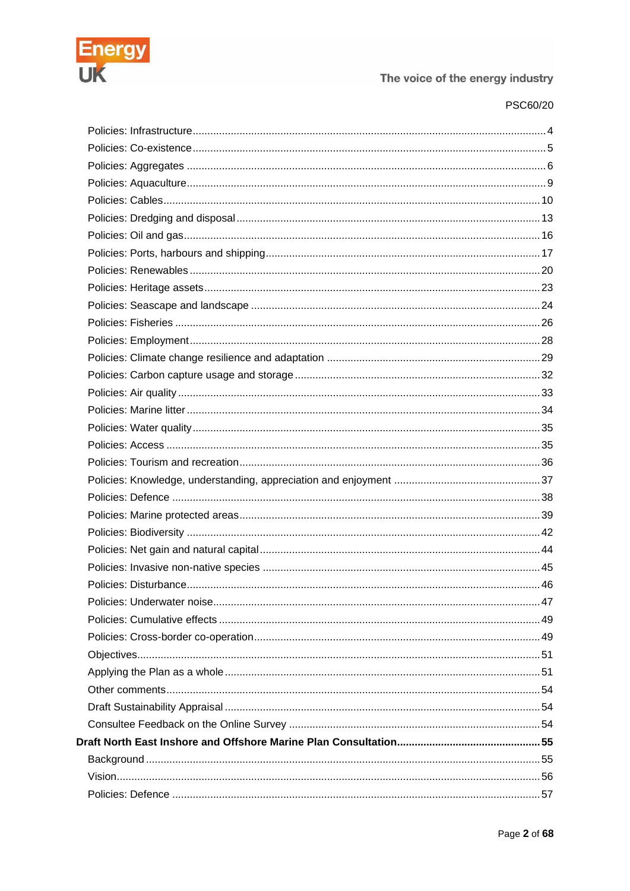

# PSC60/20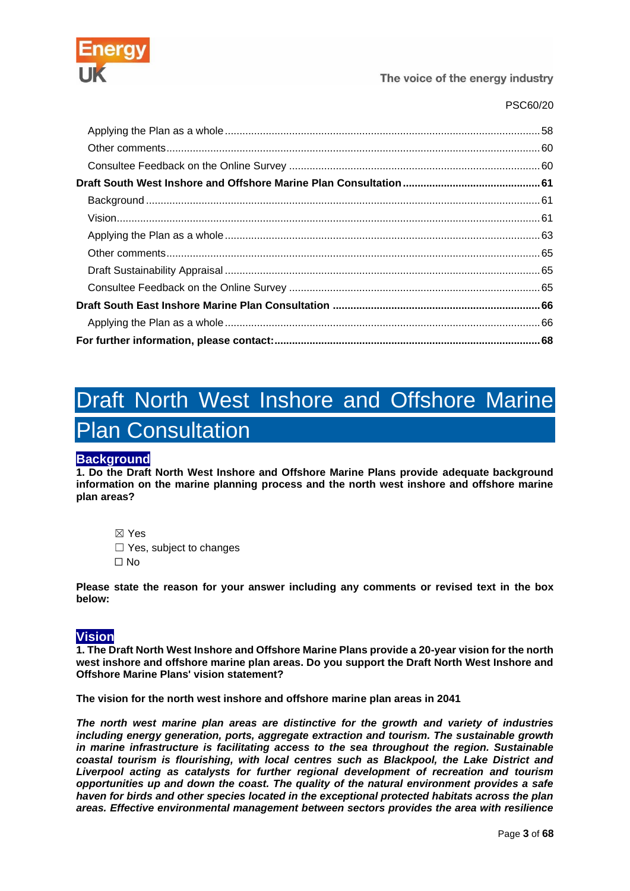

# PSC60/20

# <span id="page-2-0"></span>Draft North West Inshore and Offshore Marine Plan Consultation

# <span id="page-2-1"></span>**Background**

**1. Do the Draft North West Inshore and Offshore Marine Plans provide adequate background information on the marine planning process and the north west inshore and offshore marine plan areas?**

☒ Yes □ Yes, subject to changes ☐ No

**Please state the reason for your answer including any comments or revised text in the box below:**

# <span id="page-2-2"></span>**Vision**

**1. The Draft North West Inshore and Offshore Marine Plans provide a 20-year vision for the north west inshore and offshore marine plan areas. Do you support the Draft North West Inshore and Offshore Marine Plans' vision statement?**

**The vision for the north west inshore and offshore marine plan areas in 2041**

*The north west marine plan areas are distinctive for the growth and variety of industries including energy generation, ports, aggregate extraction and tourism. The sustainable growth in marine infrastructure is facilitating access to the sea throughout the region. Sustainable coastal tourism is flourishing, with local centres such as Blackpool, the Lake District and Liverpool acting as catalysts for further regional development of recreation and tourism opportunities up and down the coast. The quality of the natural environment provides a safe haven for birds and other species located in the exceptional protected habitats across the plan areas. Effective environmental management between sectors provides the area with resilience*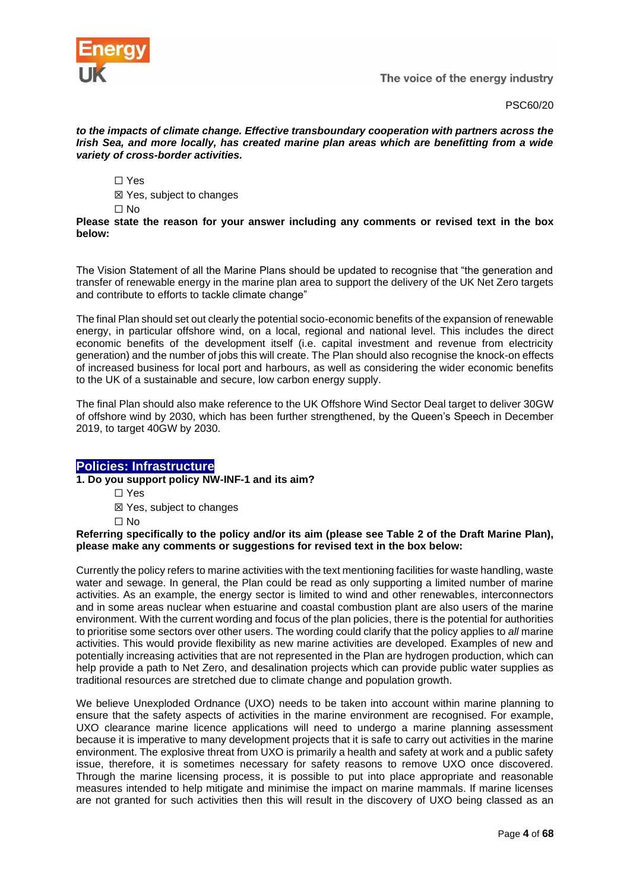

PSC60/20

*to the impacts of climate change. Effective transboundary cooperation with partners across the Irish Sea, and more locally, has created marine plan areas which are benefitting from a wide variety of cross-border activities.*

☐ Yes

☒ Yes, subject to changes

 $\Box$  No

**Please state the reason for your answer including any comments or revised text in the box below:**

The Vision Statement of all the Marine Plans should be updated to recognise that "the generation and transfer of renewable energy in the marine plan area to support the delivery of the UK Net Zero targets and contribute to efforts to tackle climate change"

The final Plan should set out clearly the potential socio-economic benefits of the expansion of renewable energy, in particular offshore wind, on a local, regional and national level. This includes the direct economic benefits of the development itself (i.e. capital investment and revenue from electricity generation) and the number of jobs this will create. The Plan should also recognise the knock-on effects of increased business for local port and harbours, as well as considering the wider economic benefits to the UK of a sustainable and secure, low carbon energy supply.

The final Plan should also make reference to the UK Offshore Wind Sector Deal target to deliver 30GW of offshore wind by 2030, which has been further strengthened, by the Queen's Speech in December 2019, to target 40GW by 2030.

# <span id="page-3-0"></span>**Policies: Infrastructure**

**1. Do you support policy NW-INF-1 and its aim?**

☐ Yes

☒ Yes, subject to changes

☐ No

**Referring specifically to the policy and/or its aim (please see Table 2 of the Draft Marine Plan), please make any comments or suggestions for revised text in the box below:**

Currently the policy refers to marine activities with the text mentioning facilities for waste handling, waste water and sewage. In general, the Plan could be read as only supporting a limited number of marine activities. As an example, the energy sector is limited to wind and other renewables, interconnectors and in some areas nuclear when estuarine and coastal combustion plant are also users of the marine environment. With the current wording and focus of the plan policies, there is the potential for authorities to prioritise some sectors over other users. The wording could clarify that the policy applies to *all* marine activities. This would provide flexibility as new marine activities are developed. Examples of new and potentially increasing activities that are not represented in the Plan are hydrogen production, which can help provide a path to Net Zero, and desalination projects which can provide public water supplies as traditional resources are stretched due to climate change and population growth.

We believe Unexploded Ordnance (UXO) needs to be taken into account within marine planning to ensure that the safety aspects of activities in the marine environment are recognised. For example, UXO clearance marine licence applications will need to undergo a marine planning assessment because it is imperative to many development projects that it is safe to carry out activities in the marine environment. The explosive threat from UXO is primarily a health and safety at work and a public safety issue, therefore, it is sometimes necessary for safety reasons to remove UXO once discovered. Through the marine licensing process, it is possible to put into place appropriate and reasonable measures intended to help mitigate and minimise the impact on marine mammals. If marine licenses are not granted for such activities then this will result in the discovery of UXO being classed as an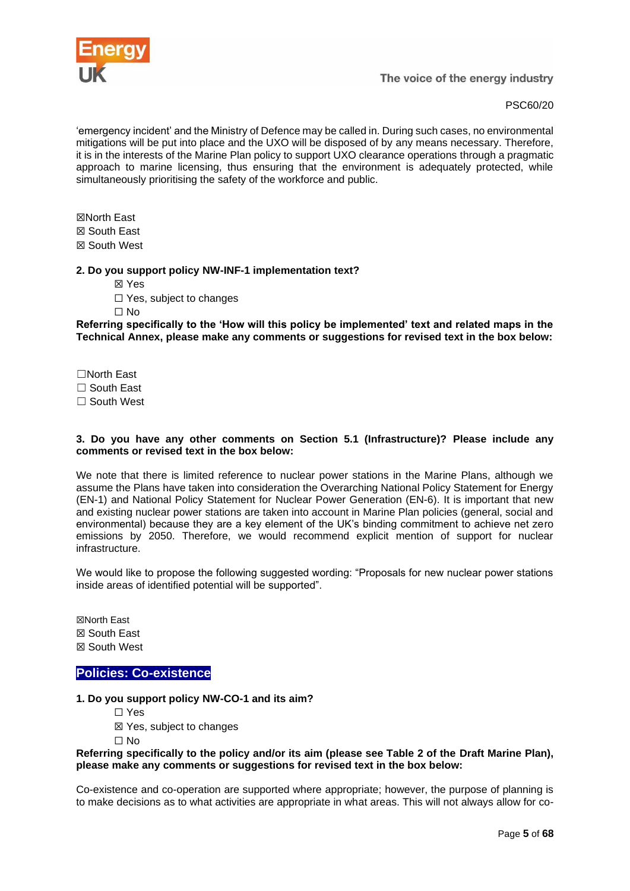

'emergency incident' and the Ministry of Defence may be called in. During such cases, no environmental mitigations will be put into place and the UXO will be disposed of by any means necessary. Therefore, it is in the interests of the Marine Plan policy to support UXO clearance operations through a pragmatic approach to marine licensing, thus ensuring that the environment is adequately protected, while simultaneously prioritising the safety of the workforce and public.

☒North East ☒ South East ☒ South West

#### **2. Do you support policy NW-INF-1 implementation text?**

- ☒ Yes
- □ Yes, subject to changes

☐ No

**Referring specifically to the 'How will this policy be implemented' text and related maps in the Technical Annex, please make any comments or suggestions for revised text in the box below:**

- ☐North East
- □ South East
- ☐ South West

#### **3. Do you have any other comments on Section 5.1 (Infrastructure)? Please include any comments or revised text in the box below:**

We note that there is limited reference to nuclear power stations in the Marine Plans, although we assume the Plans have taken into consideration the Overarching National Policy Statement for Energy (EN-1) and National Policy Statement for Nuclear Power Generation (EN-6). It is important that new and existing nuclear power stations are taken into account in Marine Plan policies (general, social and environmental) because they are a key element of the UK's binding commitment to achieve net zero emissions by 2050. Therefore, we would recommend explicit mention of support for nuclear infrastructure.

We would like to propose the following suggested wording: "Proposals for new nuclear power stations inside areas of identified potential will be supported".

☒North East ☒ South East ☒ South West

# <span id="page-4-0"></span>**Policies: Co-existence**

#### **1. Do you support policy NW-CO-1 and its aim?**

- ☐ Yes
- ☒ Yes, subject to changes
- ☐ No

#### **Referring specifically to the policy and/or its aim (please see Table 2 of the Draft Marine Plan), please make any comments or suggestions for revised text in the box below:**

Co-existence and co-operation are supported where appropriate; however, the purpose of planning is to make decisions as to what activities are appropriate in what areas. This will not always allow for co-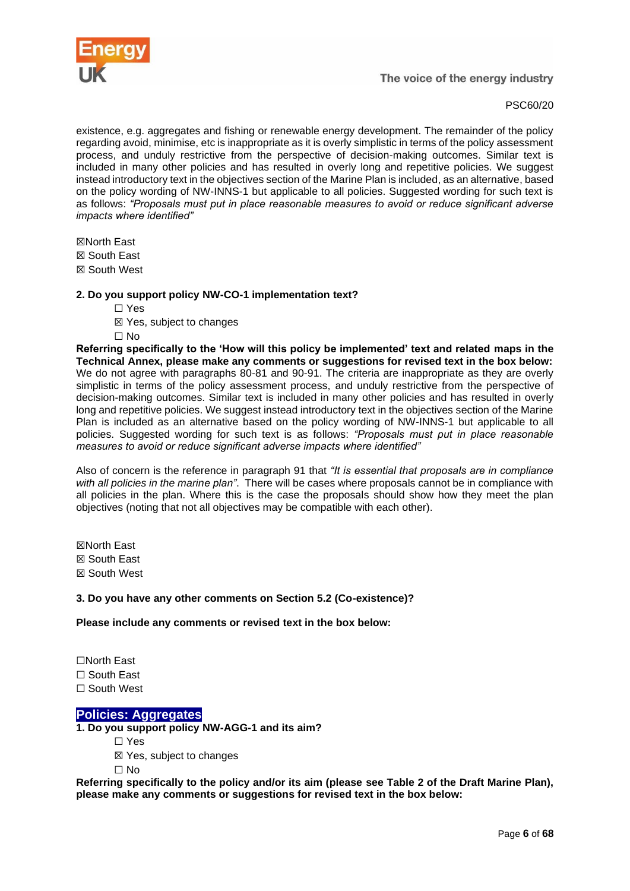

existence, e.g. aggregates and fishing or renewable energy development. The remainder of the policy regarding avoid, minimise, etc is inappropriate as it is overly simplistic in terms of the policy assessment process, and unduly restrictive from the perspective of decision-making outcomes. Similar text is included in many other policies and has resulted in overly long and repetitive policies. We suggest instead introductory text in the objectives section of the Marine Plan is included, as an alternative, based on the policy wording of NW-INNS-1 but applicable to all policies. Suggested wording for such text is as follows: *"Proposals must put in place reasonable measures to avoid or reduce significant adverse impacts where identified"*

☒North East

☒ South East

☒ South West

#### **2. Do you support policy NW-CO-1 implementation text?**

- ☐ Yes
- ☒ Yes, subject to changes
- ☐ No

**Referring specifically to the 'How will this policy be implemented' text and related maps in the Technical Annex, please make any comments or suggestions for revised text in the box below:** We do not agree with paragraphs 80-81 and 90-91. The criteria are inappropriate as they are overly simplistic in terms of the policy assessment process, and unduly restrictive from the perspective of decision-making outcomes. Similar text is included in many other policies and has resulted in overly long and repetitive policies. We suggest instead introductory text in the objectives section of the Marine Plan is included as an alternative based on the policy wording of NW-INNS-1 but applicable to all policies. Suggested wording for such text is as follows: *"Proposals must put in place reasonable measures to avoid or reduce significant adverse impacts where identified"*

Also of concern is the reference in paragraph 91 that *"It is essential that proposals are in compliance with all policies in the marine plan"*. There will be cases where proposals cannot be in compliance with all policies in the plan. Where this is the case the proposals should show how they meet the plan objectives (noting that not all objectives may be compatible with each other).

☒North East ☒ South East ☒ South West

**3. Do you have any other comments on Section 5.2 (Co-existence)?**

**Please include any comments or revised text in the box below:**

☐North East

☐ South East

☐ South West

# <span id="page-5-0"></span>**Policies: Aggregates**

**1. Do you support policy NW-AGG-1 and its aim?**

- ☐ Yes
- ☒ Yes, subject to changes

☐ No

**Referring specifically to the policy and/or its aim (please see Table 2 of the Draft Marine Plan), please make any comments or suggestions for revised text in the box below:**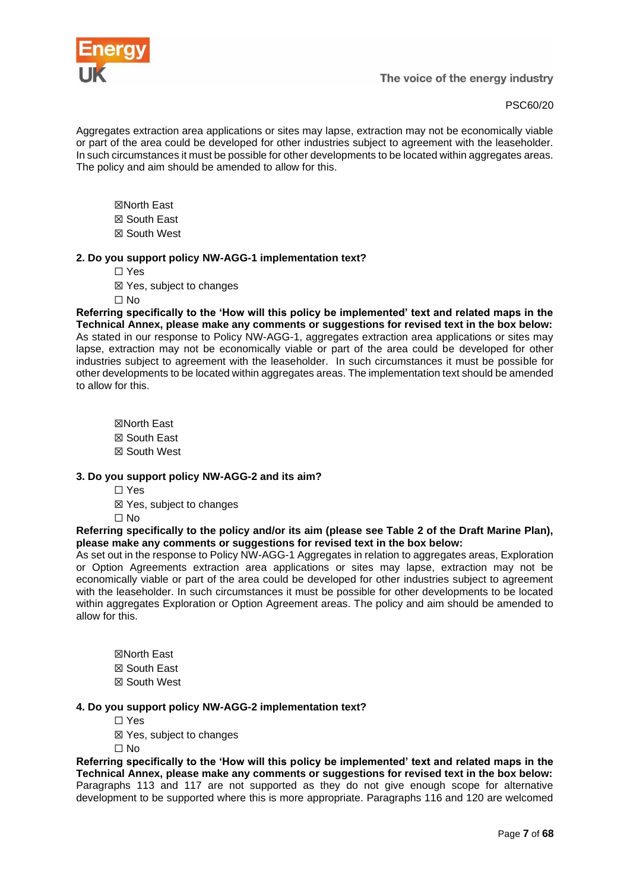

Aggregates extraction area applications or sites may lapse, extraction may not be economically viable or part of the area could be developed for other industries subject to agreement with the leaseholder. In such circumstances it must be possible for other developments to be located within aggregates areas. The policy and aim should be amended to allow for this.

- ☒North East ☒ South East
- ☒ South West

#### **2. Do you support policy NW-AGG-1 implementation text?**

- ☐ Yes
- ☒ Yes, subject to changes
- $\Box$  No

**Referring specifically to the 'How will this policy be implemented' text and related maps in the Technical Annex, please make any comments or suggestions for revised text in the box below:** As stated in our response to Policy NW-AGG-1, aggregates extraction area applications or sites may lapse, extraction may not be economically viable or part of the area could be developed for other industries subject to agreement with the leaseholder. In such circumstances it must be possible for other developments to be located within aggregates areas. The implementation text should be amended to allow for this.

☒North East ☒ South East ☒ South West

#### **3. Do you support policy NW-AGG-2 and its aim?**

- ☐ Yes
- ☒ Yes, subject to changes
- ☐ No

**Referring specifically to the policy and/or its aim (please see Table 2 of the Draft Marine Plan), please make any comments or suggestions for revised text in the box below:**

As set out in the response to Policy NW-AGG-1 Aggregates in relation to aggregates areas, Exploration or Option Agreements extraction area applications or sites may lapse, extraction may not be economically viable or part of the area could be developed for other industries subject to agreement with the leaseholder. In such circumstances it must be possible for other developments to be located within aggregates Exploration or Option Agreement areas. The policy and aim should be amended to allow for this.

☒North East ☒ South East ☒ South West

#### **4. Do you support policy NW-AGG-2 implementation text?**

- ☐ Yes
- ☒ Yes, subject to changes

 $\Box$  No

**Referring specifically to the 'How will this policy be implemented' text and related maps in the Technical Annex, please make any comments or suggestions for revised text in the box below:** Paragraphs 113 and 117 are not supported as they do not give enough scope for alternative development to be supported where this is more appropriate. Paragraphs 116 and 120 are welcomed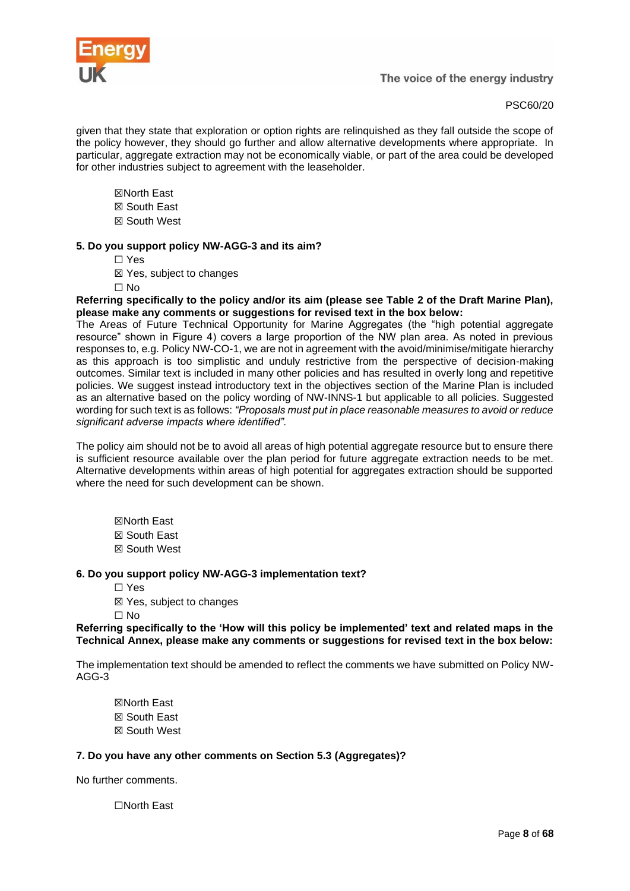

given that they state that exploration or option rights are relinquished as they fall outside the scope of the policy however, they should go further and allow alternative developments where appropriate. In particular, aggregate extraction may not be economically viable, or part of the area could be developed for other industries subject to agreement with the leaseholder.

- ☒North East
- ☒ South East
- ☒ South West

# **5. Do you support policy NW-AGG-3 and its aim?**

- ☐ Yes
- ☒ Yes, subject to changes
- ☐ No

**Referring specifically to the policy and/or its aim (please see Table 2 of the Draft Marine Plan), please make any comments or suggestions for revised text in the box below:**

The Areas of Future Technical Opportunity for Marine Aggregates (the "high potential aggregate resource" shown in Figure 4) covers a large proportion of the NW plan area. As noted in previous responses to, e.g. Policy NW-CO-1, we are not in agreement with the avoid/minimise/mitigate hierarchy as this approach is too simplistic and unduly restrictive from the perspective of decision-making outcomes. Similar text is included in many other policies and has resulted in overly long and repetitive policies. We suggest instead introductory text in the objectives section of the Marine Plan is included as an alternative based on the policy wording of NW-INNS-1 but applicable to all policies. Suggested wording for such text is as follows: *"Proposals must put in place reasonable measures to avoid or reduce significant adverse impacts where identified".*

The policy aim should not be to avoid all areas of high potential aggregate resource but to ensure there is sufficient resource available over the plan period for future aggregate extraction needs to be met. Alternative developments within areas of high potential for aggregates extraction should be supported where the need for such development can be shown.

☒North East ☒ South East ☒ South West

# **6. Do you support policy NW-AGG-3 implementation text?**

- ☐ Yes
- ☒ Yes, subject to changes
- ☐ No

**Referring specifically to the 'How will this policy be implemented' text and related maps in the Technical Annex, please make any comments or suggestions for revised text in the box below:**

The implementation text should be amended to reflect the comments we have submitted on Policy NW-AGG-3

☒North East ☒ South East ☒ South West

# **7. Do you have any other comments on Section 5.3 (Aggregates)?**

No further comments.

☐North East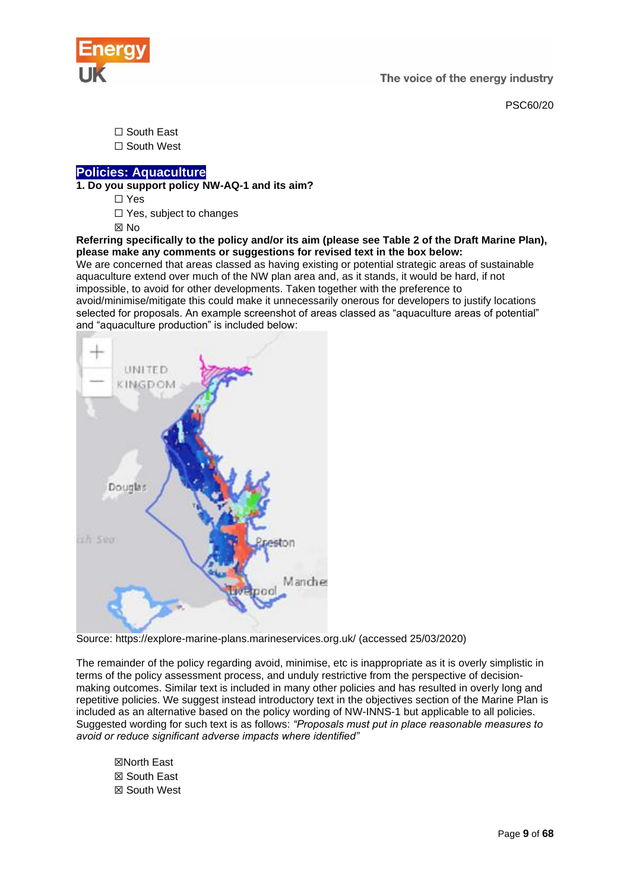



☐ South East ☐ South West

# <span id="page-8-0"></span>**[Policies: Aquaculture](https://consult.defra.gov.uk/mmo/draft-north-west-inshore-and-offshore-marine-plans/consultation/subpage.2019-09-11.7067917138/)**

**1. Do you support policy NW-AQ-1 and its aim?**

☐ Yes

☐ Yes, subject to changes

☒ No

**Referring specifically to the policy and/or its aim (please see Table 2 of the Draft Marine Plan), please make any comments or suggestions for revised text in the box below:**

We are concerned that areas classed as having existing or potential strategic areas of sustainable aquaculture extend over much of the NW plan area and, as it stands, it would be hard, if not impossible, to avoid for other developments. Taken together with the preference to avoid/minimise/mitigate this could make it unnecessarily onerous for developers to justify locations selected for proposals. An example screenshot of areas classed as "aquaculture areas of potential" and "aquaculture production" is included below:



Source: https://explore-marine-plans.marineservices.org.uk/ (accessed 25/03/2020)

The remainder of the policy regarding avoid, minimise, etc is inappropriate as it is overly simplistic in terms of the policy assessment process, and unduly restrictive from the perspective of decisionmaking outcomes. Similar text is included in many other policies and has resulted in overly long and repetitive policies. We suggest instead introductory text in the objectives section of the Marine Plan is included as an alternative based on the policy wording of NW-INNS-1 but applicable to all policies. Suggested wording for such text is as follows: *"Proposals must put in place reasonable measures to avoid or reduce significant adverse impacts where identified"*

☒North East ☒ South East ☒ South West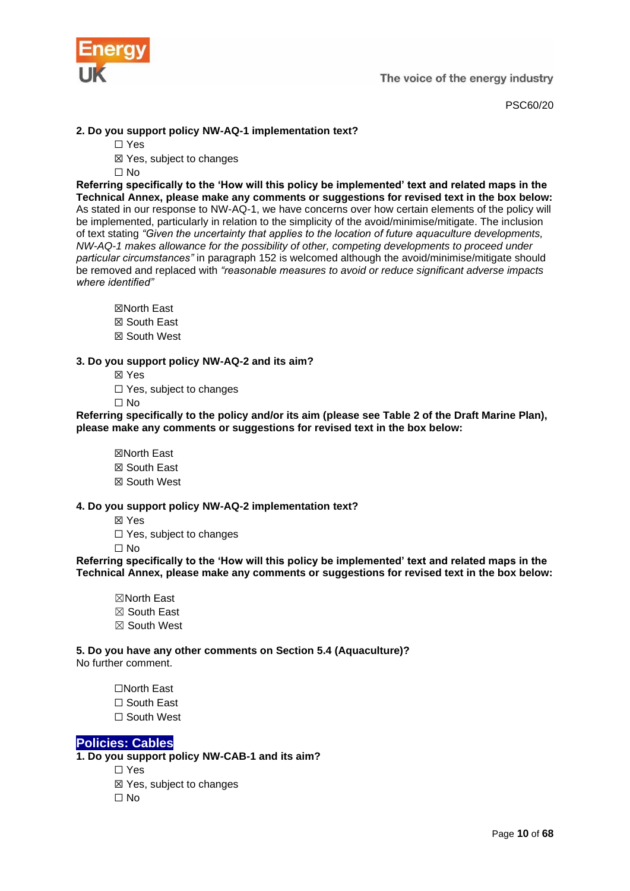

# **2. Do you support policy NW-AQ-1 implementation text?**

- ☐ Yes
	- ☒ Yes, subject to changes
	- ☐ No

**Referring specifically to the 'How will this policy be implemented' text and related maps in the Technical Annex, please make any comments or suggestions for revised text in the box below:** As stated in our response to NW-AQ-1, we have concerns over how certain elements of the policy will be implemented, particularly in relation to the simplicity of the avoid/minimise/mitigate. The inclusion of text stating *"Given the uncertainty that applies to the location of future aquaculture developments, NW-AQ-1 makes allowance for the possibility of other, competing developments to proceed under particular circumstances"* in paragraph 152 is welcomed although the avoid/minimise/mitigate should be removed and replaced with *"reasonable measures to avoid or reduce significant adverse impacts where identified"*

- ☒North East ☒ South East
- ☒ South West

# **3. Do you support policy NW-AQ-2 and its aim?**

- ☒ Yes
- □ Yes, subject to changes

☐ No

**Referring specifically to the policy and/or its aim (please see Table 2 of the Draft Marine Plan), please make any comments or suggestions for revised text in the box below:**

☒North East ☒ South East ☒ South West

# **4. Do you support policy NW-AQ-2 implementation text?**

- ☒ Yes
- □ Yes, subject to changes

☐ No

**Referring specifically to the 'How will this policy be implemented' text and related maps in the Technical Annex, please make any comments or suggestions for revised text in the box below:**

☒North East ☒ South East ☒ South West

**5. Do you have any other comments on Section 5.4 (Aquaculture)?** No further comment.

- ☐North East
- ☐ South East
- ☐ South West

# <span id="page-9-0"></span>**[Policies: Cables](https://consult.defra.gov.uk/mmo/draft-north-west-inshore-and-offshore-marine-plans/consultation/subpage.2019-09-17.4264816073/)**

**1. Do you support policy NW-CAB-1 and its aim?**

- ☐ Yes
	- ☒ Yes, subject to changes
	- ☐ No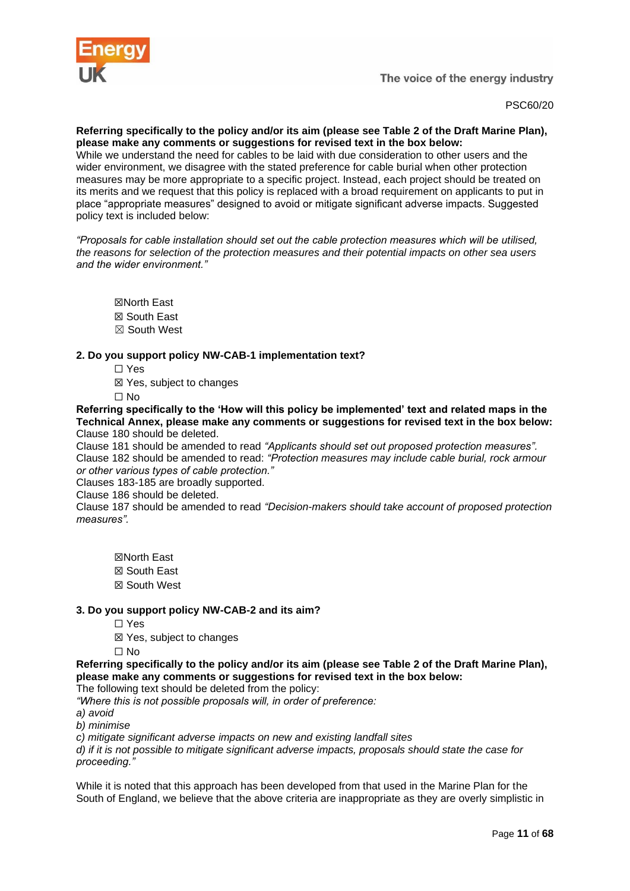

PSC60/20

#### **Referring specifically to the policy and/or its aim (please see Table 2 of the Draft Marine Plan), please make any comments or suggestions for revised text in the box below:**

While we understand the need for cables to be laid with due consideration to other users and the wider environment, we disagree with the stated preference for cable burial when other protection measures may be more appropriate to a specific project. Instead, each project should be treated on its merits and we request that this policy is replaced with a broad requirement on applicants to put in place "appropriate measures" designed to avoid or mitigate significant adverse impacts. Suggested policy text is included below:

*"Proposals for cable installation should set out the cable protection measures which will be utilised, the reasons for selection of the protection measures and their potential impacts on other sea users and the wider environment."*

☒North East ☒ South East ☒ South West

# **2. Do you support policy NW-CAB-1 implementation text?**

☐ Yes

☒ Yes, subject to changes

☐ No

**Referring specifically to the 'How will this policy be implemented' text and related maps in the Technical Annex, please make any comments or suggestions for revised text in the box below:** Clause 180 should be deleted.

Clause 181 should be amended to read *"Applicants should set out proposed protection measures".* Clause 182 should be amended to read: *"Protection measures may include cable burial, rock armour or other various types of cable protection."*

Clauses 183-185 are broadly supported.

Clause 186 should be deleted.

Clause 187 should be amended to read *"Decision-makers should take account of proposed protection measures".*

☒North East ☒ South East ☒ South West

# **3. Do you support policy NW-CAB-2 and its aim?**

☐ Yes

☒ Yes, subject to changes

☐ No

**Referring specifically to the policy and/or its aim (please see Table 2 of the Draft Marine Plan), please make any comments or suggestions for revised text in the box below:**

The following text should be deleted from the policy:

*"Where this is not possible proposals will, in order of preference:* 

*a) avoid* 

*b) minimise* 

*c) mitigate significant adverse impacts on new and existing landfall sites* 

*d) if it is not possible to mitigate significant adverse impacts, proposals should state the case for proceeding."*

While it is noted that this approach has been developed from that used in the Marine Plan for the South of England, we believe that the above criteria are inappropriate as they are overly simplistic in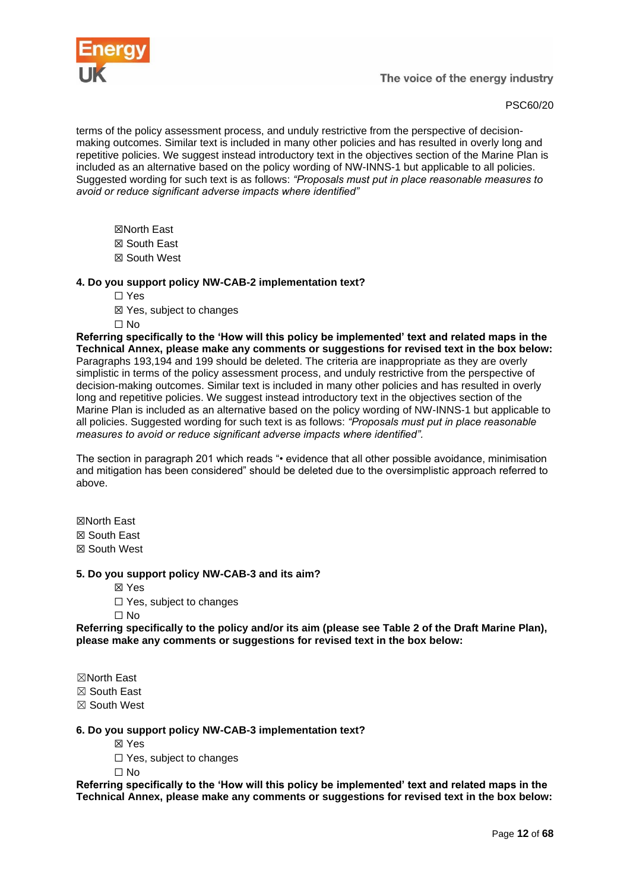

# PSC60/20

terms of the policy assessment process, and unduly restrictive from the perspective of decisionmaking outcomes. Similar text is included in many other policies and has resulted in overly long and repetitive policies. We suggest instead introductory text in the objectives section of the Marine Plan is included as an alternative based on the policy wording of NW-INNS-1 but applicable to all policies. Suggested wording for such text is as follows: *"Proposals must put in place reasonable measures to avoid or reduce significant adverse impacts where identified"*

☒North East ☒ South East ☒ South West

# **4. Do you support policy NW-CAB-2 implementation text?**

☐ Yes

☒ Yes, subject to changes

☐ No

**Referring specifically to the 'How will this policy be implemented' text and related maps in the Technical Annex, please make any comments or suggestions for revised text in the box below:** Paragraphs 193,194 and 199 should be deleted. The criteria are inappropriate as they are overly simplistic in terms of the policy assessment process, and unduly restrictive from the perspective of decision-making outcomes. Similar text is included in many other policies and has resulted in overly long and repetitive policies. We suggest instead introductory text in the objectives section of the Marine Plan is included as an alternative based on the policy wording of NW-INNS-1 but applicable to all policies. Suggested wording for such text is as follows: *"Proposals must put in place reasonable measures to avoid or reduce significant adverse impacts where identified".* 

The section in paragraph 201 which reads "• evidence that all other possible avoidance, minimisation and mitigation has been considered" should be deleted due to the oversimplistic approach referred to above.

☒North East ☒ South East ☒ South West

# **5. Do you support policy NW-CAB-3 and its aim?**

☒ Yes

□ Yes, subject to changes

☐ No

**Referring specifically to the policy and/or its aim (please see Table 2 of the Draft Marine Plan), please make any comments or suggestions for revised text in the box below:**

☒North East ☒ South East ☒ South West

# **6. Do you support policy NW-CAB-3 implementation text?**

☒ Yes

□ Yes, subject to changes

 $\Box$  No

**Referring specifically to the 'How will this policy be implemented' text and related maps in the Technical Annex, please make any comments or suggestions for revised text in the box below:**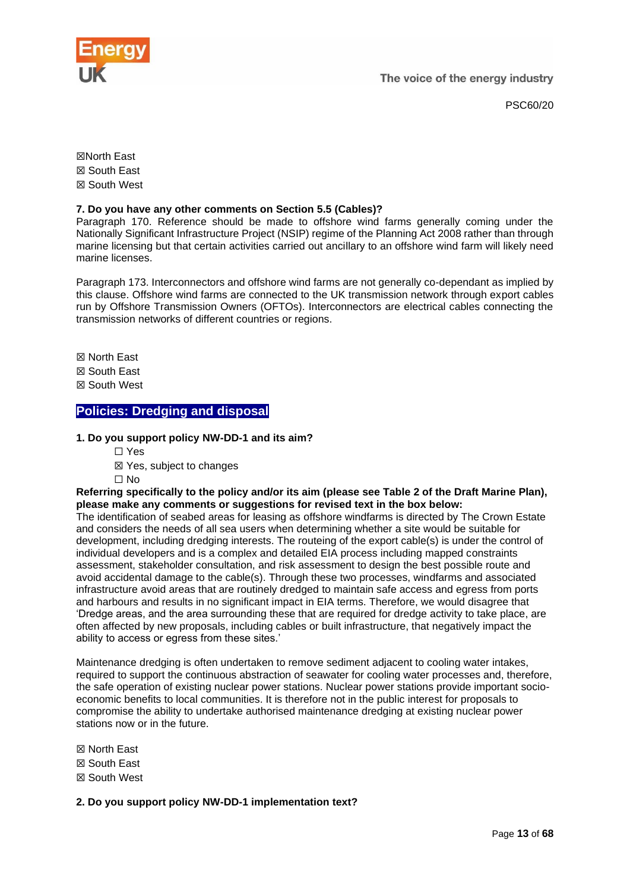

PSC60/20

☒North East ☒ South East ☒ South West

# **7. Do you have any other comments on Section 5.5 (Cables)?**

Paragraph 170. Reference should be made to offshore wind farms generally coming under the Nationally Significant Infrastructure Project (NSIP) regime of the Planning Act 2008 rather than through marine licensing but that certain activities carried out ancillary to an offshore wind farm will likely need marine licenses.

Paragraph 173. Interconnectors and offshore wind farms are not generally co-dependant as implied by this clause. Offshore wind farms are connected to the UK transmission network through export cables run by Offshore Transmission Owners (OFTOs). Interconnectors are electrical cables connecting the transmission networks of different countries or regions.

☒ North East

- ☒ South East
- ☒ South West

# <span id="page-12-0"></span>**[Policies: Dredging and disposal](https://consult.defra.gov.uk/mmo/draft-north-west-inshore-and-offshore-marine-plans/consultation/subpage.2019-09-17.4491902505/)**

# **1. Do you support policy NW-DD-1 and its aim?**

- ☐ Yes
- ☒ Yes, subject to changes

 $\Box$  No

#### **Referring specifically to the policy and/or its aim (please see Table 2 of the Draft Marine Plan), please make any comments or suggestions for revised text in the box below:**

The identification of seabed areas for leasing as offshore windfarms is directed by The Crown Estate and considers the needs of all sea users when determining whether a site would be suitable for development, including dredging interests. The routeing of the export cable(s) is under the control of individual developers and is a complex and detailed EIA process including mapped constraints assessment, stakeholder consultation, and risk assessment to design the best possible route and avoid accidental damage to the cable(s). Through these two processes, windfarms and associated infrastructure avoid areas that are routinely dredged to maintain safe access and egress from ports and harbours and results in no significant impact in EIA terms. Therefore, we would disagree that 'Dredge areas, and the area surrounding these that are required for dredge activity to take place, are often affected by new proposals, including cables or built infrastructure, that negatively impact the ability to access or egress from these sites.'

Maintenance dredging is often undertaken to remove sediment adjacent to cooling water intakes, required to support the continuous abstraction of seawater for cooling water processes and, therefore, the safe operation of existing nuclear power stations. Nuclear power stations provide important socioeconomic benefits to local communities. It is therefore not in the public interest for proposals to compromise the ability to undertake authorised maintenance dredging at existing nuclear power stations now or in the future.

☒ North East

- ☒ South East
- ☒ South West

**2. Do you support policy NW-DD-1 implementation text?**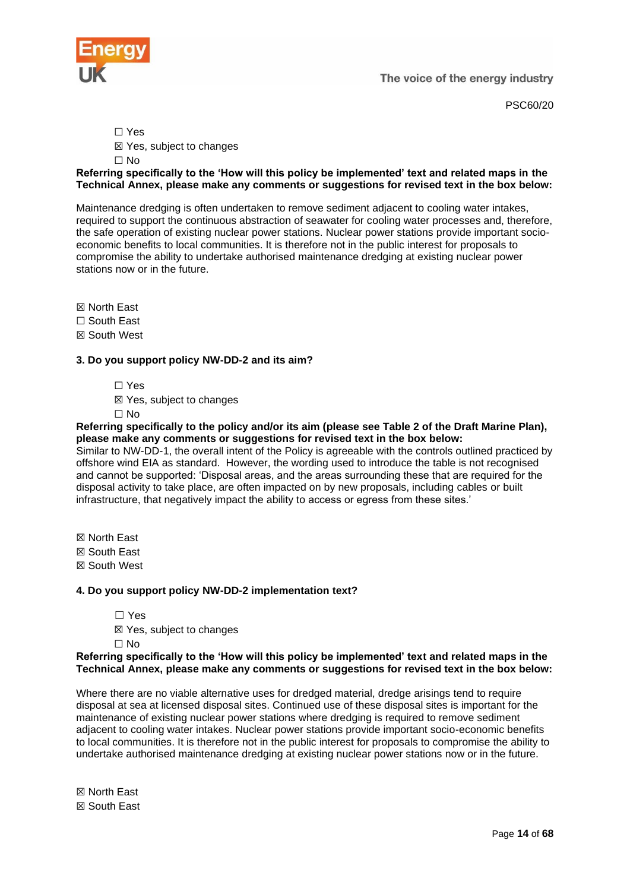

PSC60/20

☐ Yes

☒ Yes, subject to changes

☐ No

# **Referring specifically to the 'How will this policy be implemented' text and related maps in the Technical Annex, please make any comments or suggestions for revised text in the box below:**

Maintenance dredging is often undertaken to remove sediment adjacent to cooling water intakes, required to support the continuous abstraction of seawater for cooling water processes and, therefore, the safe operation of existing nuclear power stations. Nuclear power stations provide important socioeconomic benefits to local communities. It is therefore not in the public interest for proposals to compromise the ability to undertake authorised maintenance dredging at existing nuclear power stations now or in the future.

☒ North East

☐ South East

☒ South West

# **3. Do you support policy NW-DD-2 and its aim?**

☐ Yes

☒ Yes, subject to changes

☐ No

#### **Referring specifically to the policy and/or its aim (please see Table 2 of the Draft Marine Plan), please make any comments or suggestions for revised text in the box below:**

Similar to NW-DD-1, the overall intent of the Policy is agreeable with the controls outlined practiced by offshore wind EIA as standard. However, the wording used to introduce the table is not recognised and cannot be supported: 'Disposal areas, and the areas surrounding these that are required for the disposal activity to take place, are often impacted on by new proposals, including cables or built infrastructure, that negatively impact the ability to access or egress from these sites.'

☒ North East

☒ South East

☒ South West

# **4. Do you support policy NW-DD-2 implementation text?**

- ☐ Yes
- ☒ Yes, subject to changes

 $\Box$  No

# **Referring specifically to the 'How will this policy be implemented' text and related maps in the Technical Annex, please make any comments or suggestions for revised text in the box below:**

Where there are no viable alternative uses for dredged material, dredge arisings tend to require disposal at sea at licensed disposal sites. Continued use of these disposal sites is important for the maintenance of existing nuclear power stations where dredging is required to remove sediment adjacent to cooling water intakes. Nuclear power stations provide important socio-economic benefits to local communities. It is therefore not in the public interest for proposals to compromise the ability to undertake authorised maintenance dredging at existing nuclear power stations now or in the future.

☒ North East ☒ South East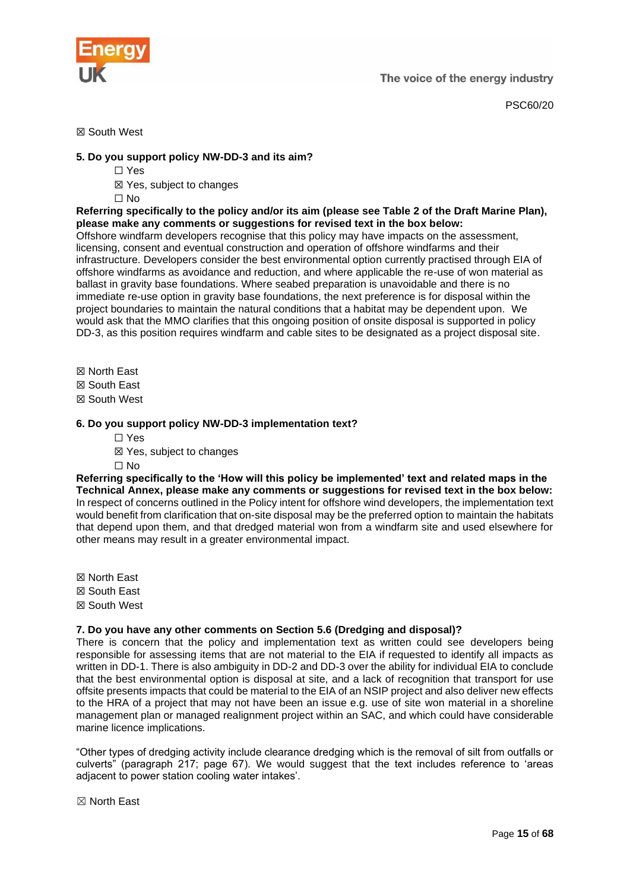

#### ☒ South West

#### **5. Do you support policy NW-DD-3 and its aim?**

- ☐ Yes
- ☒ Yes, subject to changes
- ☐ No

**Referring specifically to the policy and/or its aim (please see Table 2 of the Draft Marine Plan), please make any comments or suggestions for revised text in the box below:**

Offshore windfarm developers recognise that this policy may have impacts on the assessment, licensing, consent and eventual construction and operation of offshore windfarms and their infrastructure. Developers consider the best environmental option currently practised through EIA of offshore windfarms as avoidance and reduction, and where applicable the re-use of won material as ballast in gravity base foundations. Where seabed preparation is unavoidable and there is no immediate re-use option in gravity base foundations, the next preference is for disposal within the project boundaries to maintain the natural conditions that a habitat may be dependent upon. We would ask that the MMO clarifies that this ongoing position of onsite disposal is supported in policy DD-3, as this position requires windfarm and cable sites to be designated as a project disposal site.

- ☒ North East
- ☒ South East
- ☒ South West

#### **6. Do you support policy NW-DD-3 implementation text?**

- ☐ Yes
- ☒ Yes, subject to changes
- ☐ No

**Referring specifically to the 'How will this policy be implemented' text and related maps in the Technical Annex, please make any comments or suggestions for revised text in the box below:** In respect of concerns outlined in the Policy intent for offshore wind developers, the implementation text would benefit from clarification that on-site disposal may be the preferred option to maintain the habitats that depend upon them, and that dredged material won from a windfarm site and used elsewhere for other means may result in a greater environmental impact.

☒ North East ☒ South East ☒ South West

# **7. Do you have any other comments on Section 5.6 (Dredging and disposal)?**

There is concern that the policy and implementation text as written could see developers being responsible for assessing items that are not material to the EIA if requested to identify all impacts as written in DD-1. There is also ambiguity in DD-2 and DD-3 over the ability for individual EIA to conclude that the best environmental option is disposal at site, and a lack of recognition that transport for use offsite presents impacts that could be material to the EIA of an NSIP project and also deliver new effects to the HRA of a project that may not have been an issue e.g. use of site won material in a shoreline management plan or managed realignment project within an SAC, and which could have considerable marine licence implications.

"Other types of dredging activity include clearance dredging which is the removal of silt from outfalls or culverts" (paragraph 217; page 67). We would suggest that the text includes reference to 'areas adjacent to power station cooling water intakes'.

☒ North East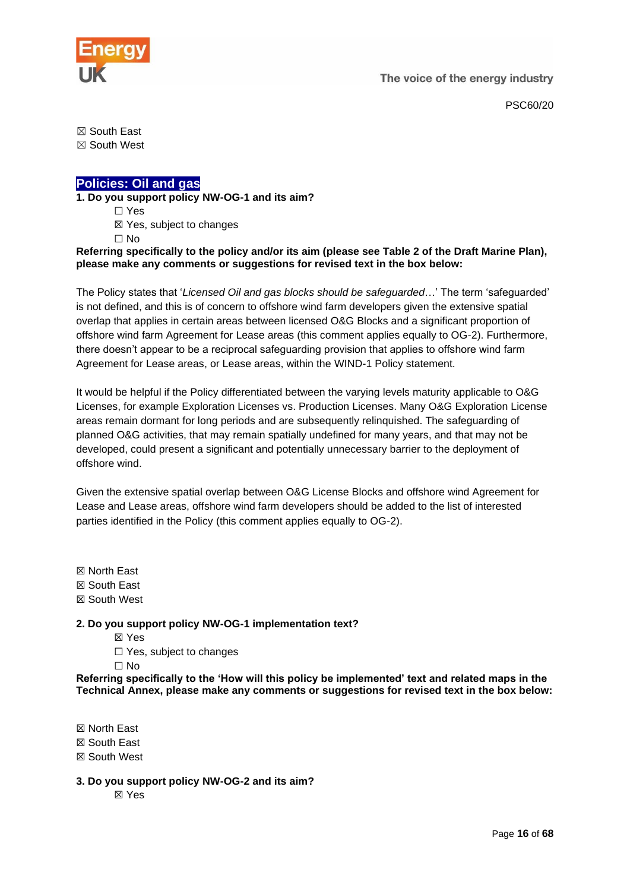

PSC60/20

☒ South East

☒ South West

# <span id="page-15-0"></span>**[Policies: Oil and gas](https://consult.defra.gov.uk/mmo/draft-north-west-inshore-and-offshore-marine-plans/consultation/subpage.2019-09-17.4706279371/)**

**1. Do you support policy NW-OG-1 and its aim?**

☐ Yes

☒ Yes, subject to changes

☐ No

**Referring specifically to the policy and/or its aim (please see Table 2 of the Draft Marine Plan), please make any comments or suggestions for revised text in the box below:**

The Policy states that '*Licensed Oil and gas blocks should be safeguarded*…' The term 'safeguarded' is not defined, and this is of concern to offshore wind farm developers given the extensive spatial overlap that applies in certain areas between licensed O&G Blocks and a significant proportion of offshore wind farm Agreement for Lease areas (this comment applies equally to OG-2). Furthermore, there doesn't appear to be a reciprocal safeguarding provision that applies to offshore wind farm Agreement for Lease areas, or Lease areas, within the WIND-1 Policy statement.

It would be helpful if the Policy differentiated between the varying levels maturity applicable to O&G Licenses, for example Exploration Licenses vs. Production Licenses. Many O&G Exploration License areas remain dormant for long periods and are subsequently relinquished. The safeguarding of planned O&G activities, that may remain spatially undefined for many years, and that may not be developed, could present a significant and potentially unnecessary barrier to the deployment of offshore wind.

Given the extensive spatial overlap between O&G License Blocks and offshore wind Agreement for Lease and Lease areas, offshore wind farm developers should be added to the list of interested parties identified in the Policy (this comment applies equally to OG-2).

☒ North East ☒ South East ☒ South West

# **2. Do you support policy NW-OG-1 implementation text?**

- ☒ Yes
- ☐ Yes, subject to changes

☐ No

**Referring specifically to the 'How will this policy be implemented' text and related maps in the Technical Annex, please make any comments or suggestions for revised text in the box below:**

☒ North East ☒ South East

☒ South West

**3. Do you support policy NW-OG-2 and its aim?**

☒ Yes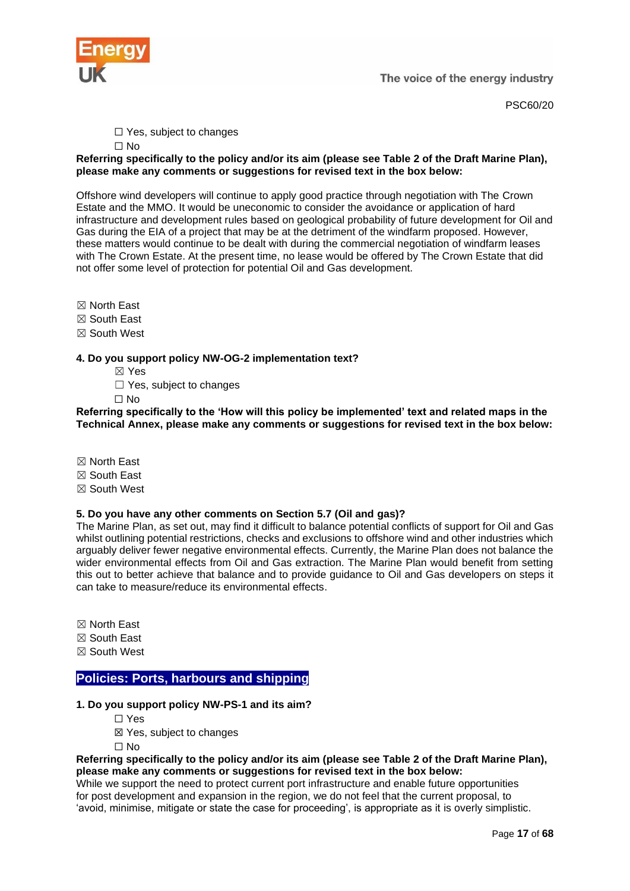

PSC60/20

□ Yes, subject to changes

☐ No

# **Referring specifically to the policy and/or its aim (please see Table 2 of the Draft Marine Plan), please make any comments or suggestions for revised text in the box below:**

Offshore wind developers will continue to apply good practice through negotiation with The Crown Estate and the MMO. It would be uneconomic to consider the avoidance or application of hard infrastructure and development rules based on geological probability of future development for Oil and Gas during the EIA of a project that may be at the detriment of the windfarm proposed. However, these matters would continue to be dealt with during the commercial negotiation of windfarm leases with The Crown Estate. At the present time, no lease would be offered by The Crown Estate that did not offer some level of protection for potential Oil and Gas development.

☒ North East

- ☒ South East
- ☒ South West

# **4. Do you support policy NW-OG-2 implementation text?**

- ☒ Yes
- $\Box$  Yes, subject to changes

☐ No

**Referring specifically to the 'How will this policy be implemented' text and related maps in the Technical Annex, please make any comments or suggestions for revised text in the box below:**

- ☒ North East
- ☒ South East
- ☒ South West

# **5. Do you have any other comments on Section 5.7 (Oil and gas)?**

The Marine Plan, as set out, may find it difficult to balance potential conflicts of support for Oil and Gas whilst outlining potential restrictions, checks and exclusions to offshore wind and other industries which arguably deliver fewer negative environmental effects. Currently, the Marine Plan does not balance the wider environmental effects from Oil and Gas extraction. The Marine Plan would benefit from setting this out to better achieve that balance and to provide guidance to Oil and Gas developers on steps it can take to measure/reduce its environmental effects.

- ☒ North East
- ☒ South East
- ☒ South West

# <span id="page-16-0"></span>**[Policies: Ports, harbours and shipping](https://consult.defra.gov.uk/mmo/draft-north-west-inshore-and-offshore-marine-plans/consultation/subpage.2019-09-17.5296248936/)**

- **1. Do you support policy NW-PS-1 and its aim?**
	- ☐ Yes
	- ☒ Yes, subject to changes
	- ☐ No

#### **Referring specifically to the policy and/or its aim (please see Table 2 of the Draft Marine Plan), please make any comments or suggestions for revised text in the box below:**

While we support the need to protect current port infrastructure and enable future opportunities for post development and expansion in the region, we do not feel that the current proposal, to 'avoid, minimise, mitigate or state the case for proceeding', is appropriate as it is overly simplistic.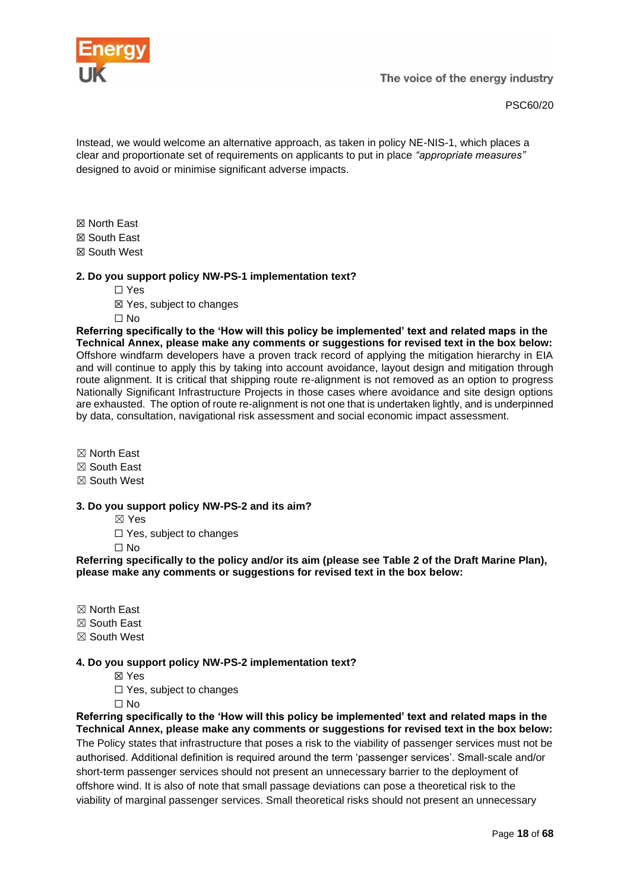

Instead, we would welcome an alternative approach, as taken in policy NE-NIS-1, which places a clear and proportionate set of requirements on applicants to put in place *"appropriate measures"* designed to avoid or minimise significant adverse impacts.

☒ North East

☒ South East

☒ South West

# **2. Do you support policy NW-PS-1 implementation text?**

☐ Yes

☒ Yes, subject to changes

☐ No

**Referring specifically to the 'How will this policy be implemented' text and related maps in the Technical Annex, please make any comments or suggestions for revised text in the box below:** Offshore windfarm developers have a proven track record of applying the mitigation hierarchy in EIA and will continue to apply this by taking into account avoidance, layout design and mitigation through route alignment. It is critical that shipping route re-alignment is not removed as an option to progress Nationally Significant Infrastructure Projects in those cases where avoidance and site design options are exhausted. The option of route re-alignment is not one that is undertaken lightly, and is underpinned by data, consultation, navigational risk assessment and social economic impact assessment.

☒ North East

☒ South East

☒ South West

# **3. Do you support policy NW-PS-2 and its aim?**

☒ Yes

□ Yes, subject to changes

☐ No

**Referring specifically to the policy and/or its aim (please see Table 2 of the Draft Marine Plan), please make any comments or suggestions for revised text in the box below:**

☒ North East

☒ South East

☒ South West

# **4. Do you support policy NW-PS-2 implementation text?**

☒ Yes

□ Yes, subject to changes

 $\Box$  No

**Referring specifically to the 'How will this policy be implemented' text and related maps in the Technical Annex, please make any comments or suggestions for revised text in the box below:** The Policy states that infrastructure that poses a risk to the viability of passenger services must not be authorised. Additional definition is required around the term 'passenger services'. Small-scale and/or short-term passenger services should not present an unnecessary barrier to the deployment of offshore wind. It is also of note that small passage deviations can pose a theoretical risk to the viability of marginal passenger services. Small theoretical risks should not present an unnecessary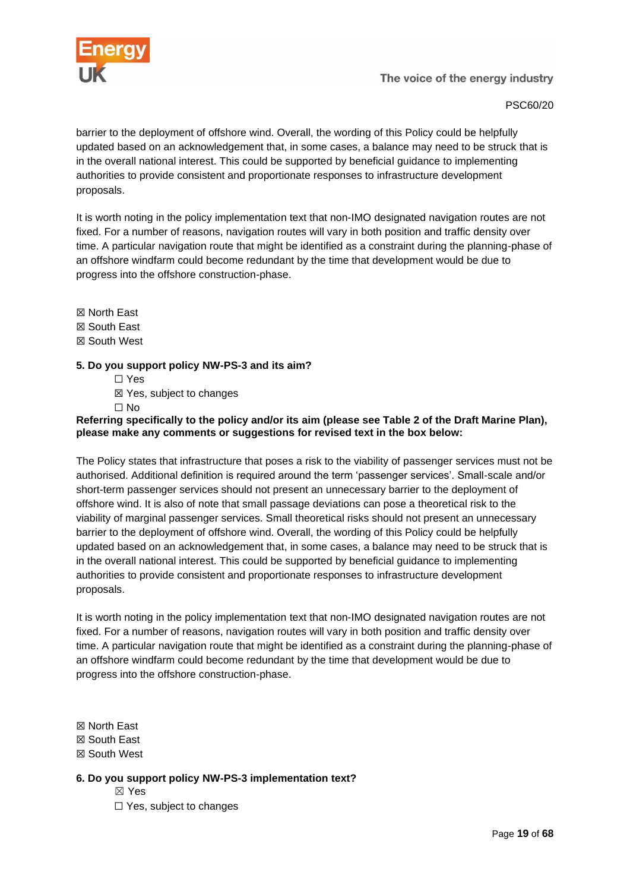

# PSC60/20

barrier to the deployment of offshore wind. Overall, the wording of this Policy could be helpfully updated based on an acknowledgement that, in some cases, a balance may need to be struck that is in the overall national interest. This could be supported by beneficial guidance to implementing authorities to provide consistent and proportionate responses to infrastructure development proposals.

It is worth noting in the policy implementation text that non-IMO designated navigation routes are not fixed. For a number of reasons, navigation routes will vary in both position and traffic density over time. A particular navigation route that might be identified as a constraint during the planning-phase of an offshore windfarm could become redundant by the time that development would be due to progress into the offshore construction-phase.

☒ North East ☒ South East ☒ South West

# **5. Do you support policy NW-PS-3 and its aim?**

☐ Yes ☒ Yes, subject to changes

☐ No

# **Referring specifically to the policy and/or its aim (please see Table 2 of the Draft Marine Plan), please make any comments or suggestions for revised text in the box below:**

The Policy states that infrastructure that poses a risk to the viability of passenger services must not be authorised. Additional definition is required around the term 'passenger services'. Small-scale and/or short-term passenger services should not present an unnecessary barrier to the deployment of offshore wind. It is also of note that small passage deviations can pose a theoretical risk to the viability of marginal passenger services. Small theoretical risks should not present an unnecessary barrier to the deployment of offshore wind. Overall, the wording of this Policy could be helpfully updated based on an acknowledgement that, in some cases, a balance may need to be struck that is in the overall national interest. This could be supported by beneficial guidance to implementing authorities to provide consistent and proportionate responses to infrastructure development proposals.

It is worth noting in the policy implementation text that non-IMO designated navigation routes are not fixed. For a number of reasons, navigation routes will vary in both position and traffic density over time. A particular navigation route that might be identified as a constraint during the planning-phase of an offshore windfarm could become redundant by the time that development would be due to progress into the offshore construction-phase.

☒ North East

☒ South East

☒ South West

**6. Do you support policy NW-PS-3 implementation text?**

☒ Yes

□ Yes, subject to changes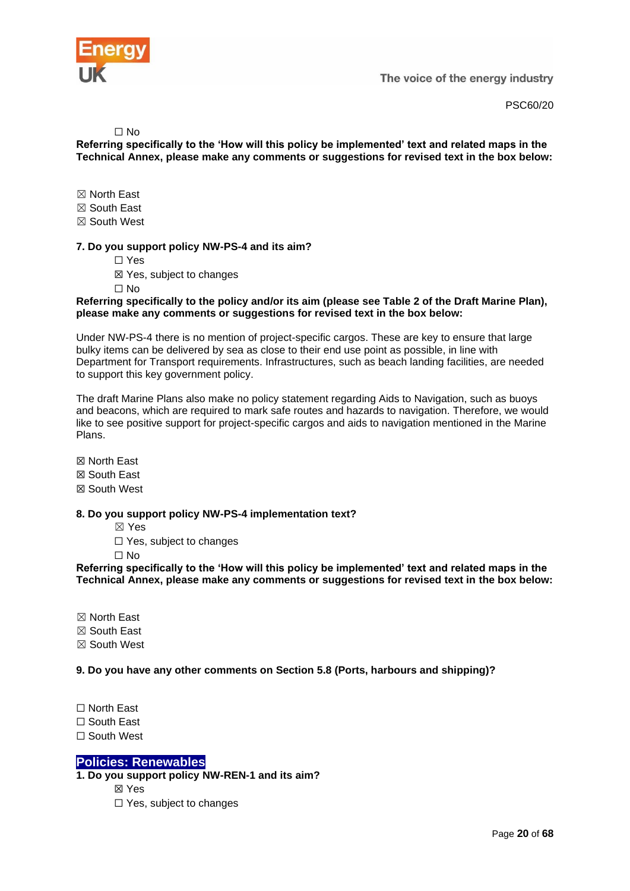

PSC60/20

#### $\Box$  No

**Referring specifically to the 'How will this policy be implemented' text and related maps in the Technical Annex, please make any comments or suggestions for revised text in the box below:**

☒ North East

☒ South East

☒ South West

#### **7. Do you support policy NW-PS-4 and its aim?**

☐ Yes

☒ Yes, subject to changes

 $\Box$  No

#### **Referring specifically to the policy and/or its aim (please see Table 2 of the Draft Marine Plan), please make any comments or suggestions for revised text in the box below:**

Under NW-PS-4 there is no mention of project-specific cargos. These are key to ensure that large bulky items can be delivered by sea as close to their end use point as possible, in line with Department for Transport requirements. Infrastructures, such as beach landing facilities, are needed to support this key government policy.

The draft Marine Plans also make no policy statement regarding Aids to Navigation, such as buoys and beacons, which are required to mark safe routes and hazards to navigation. Therefore, we would like to see positive support for project-specific cargos and aids to navigation mentioned in the Marine Plans.

☒ North East ☒ South East

☒ South West

# **8. Do you support policy NW-PS-4 implementation text?**

☒ Yes

☐ Yes, subject to changes

 $\Box$  No

**Referring specifically to the 'How will this policy be implemented' text and related maps in the Technical Annex, please make any comments or suggestions for revised text in the box below:**

☒ North East

☒ South East

☒ South West

**9. Do you have any other comments on Section 5.8 (Ports, harbours and shipping)?**

☐ North East

☐ South East

☐ South West

# <span id="page-19-0"></span>**[Policies: Renewables](https://consult.defra.gov.uk/mmo/draft-north-west-inshore-and-offshore-marine-plans/consultation/subpage.2019-09-17.5678758885/)**

**1. Do you support policy NW-REN-1 and its aim?**

☒ Yes

☐ Yes, subject to changes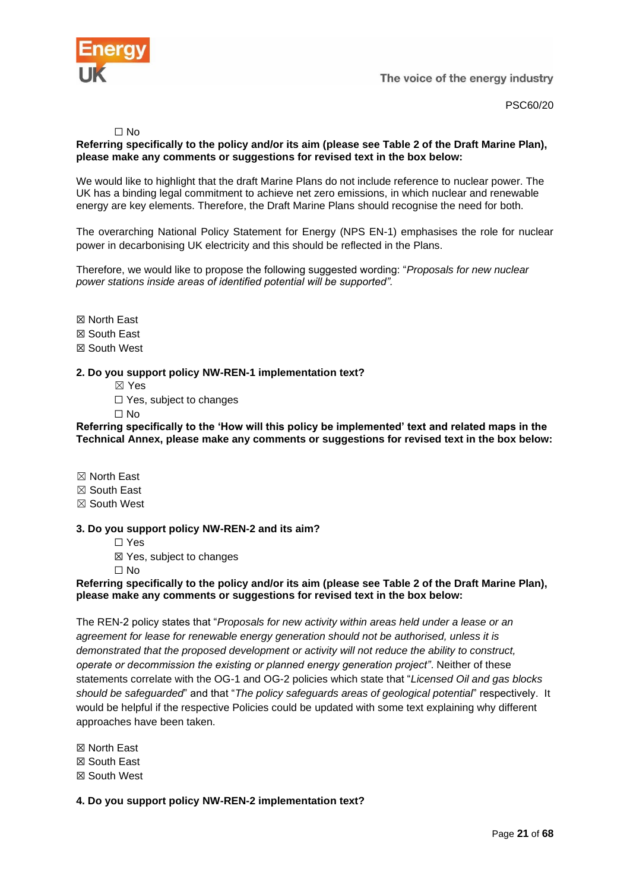



#### $\Box$  No

# **Referring specifically to the policy and/or its aim (please see Table 2 of the Draft Marine Plan), please make any comments or suggestions for revised text in the box below:**

We would like to highlight that the draft Marine Plans do not include reference to nuclear power. The UK has a binding legal commitment to achieve net zero emissions, in which nuclear and renewable energy are key elements. Therefore, the Draft Marine Plans should recognise the need for both.

The overarching National Policy Statement for Energy (NPS EN-1) emphasises the role for nuclear power in decarbonising UK electricity and this should be reflected in the Plans.

Therefore, we would like to propose the following suggested wording: "*Proposals for new nuclear power stations inside areas of identified potential will be supported".*

☒ North East

☒ South East

☒ South West

#### **2. Do you support policy NW-REN-1 implementation text?**

☒ Yes

□ Yes, subject to changes

 $\Box$  No

**Referring specifically to the 'How will this policy be implemented' text and related maps in the Technical Annex, please make any comments or suggestions for revised text in the box below:**

☒ North East

☒ South East

☒ South West

#### **3. Do you support policy NW-REN-2 and its aim?**

☐ Yes

☒ Yes, subject to changes

☐ No

# **Referring specifically to the policy and/or its aim (please see Table 2 of the Draft Marine Plan), please make any comments or suggestions for revised text in the box below:**

The REN-2 policy states that "*Proposals for new activity within areas held under a lease or an agreement for lease for renewable energy generation should not be authorised, unless it is demonstrated that the proposed development or activity will not reduce the ability to construct, operate or decommission the existing or planned energy generation project"*. Neither of these statements correlate with the OG-1 and OG-2 policies which state that "*Licensed Oil and gas blocks should be safeguarded*" and that "*The policy safeguards areas of geological potential*" respectively. It would be helpful if the respective Policies could be updated with some text explaining why different approaches have been taken.

☒ North East ☒ South East

☒ South West

**4. Do you support policy NW-REN-2 implementation text?**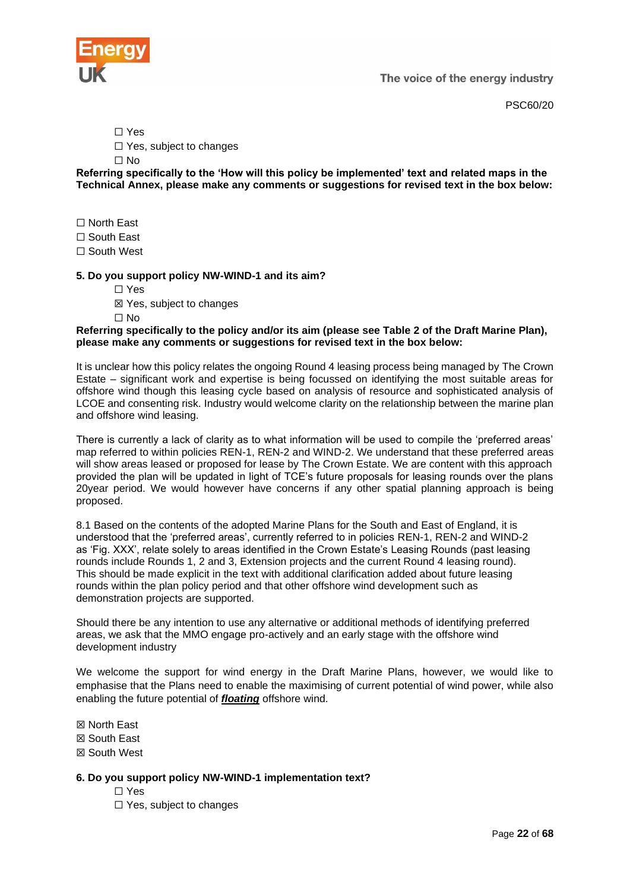

PSC60/20

☐ Yes

□ Yes, subject to changes

☐ No

**Referring specifically to the 'How will this policy be implemented' text and related maps in the Technical Annex, please make any comments or suggestions for revised text in the box below:**

☐ North East

☐ South East

☐ South West

# **5. Do you support policy NW-WIND-1 and its aim?**

☐ Yes

☒ Yes, subject to changes

 $\Box$  No

#### **Referring specifically to the policy and/or its aim (please see Table 2 of the Draft Marine Plan), please make any comments or suggestions for revised text in the box below:**

It is unclear how this policy relates the ongoing Round 4 leasing process being managed by The Crown Estate – significant work and expertise is being focussed on identifying the most suitable areas for offshore wind though this leasing cycle based on analysis of resource and sophisticated analysis of LCOE and consenting risk. Industry would welcome clarity on the relationship between the marine plan and offshore wind leasing.

There is currently a lack of clarity as to what information will be used to compile the 'preferred areas' map referred to within policies REN-1, REN-2 and WIND-2. We understand that these preferred areas will show areas leased or proposed for lease by The Crown Estate. We are content with this approach provided the plan will be updated in light of TCE's future proposals for leasing rounds over the plans 20year period. We would however have concerns if any other spatial planning approach is being proposed.

8.1 Based on the contents of the adopted Marine Plans for the South and East of England, it is understood that the 'preferred areas', currently referred to in policies REN-1, REN-2 and WIND-2 as 'Fig. XXX', relate solely to areas identified in the Crown Estate's Leasing Rounds (past leasing rounds include Rounds 1, 2 and 3, Extension projects and the current Round 4 leasing round). This should be made explicit in the text with additional clarification added about future leasing rounds within the plan policy period and that other offshore wind development such as demonstration projects are supported.

Should there be any intention to use any alternative or additional methods of identifying preferred areas, we ask that the MMO engage pro-actively and an early stage with the offshore wind development industry

We welcome the support for wind energy in the Draft Marine Plans, however, we would like to emphasise that the Plans need to enable the maximising of current potential of wind power, while also enabling the future potential of *floating* offshore wind.

☒ North East

☒ South East

☒ South West

# **6. Do you support policy NW-WIND-1 implementation text?**

- ☐ Yes
- ☐ Yes, subject to changes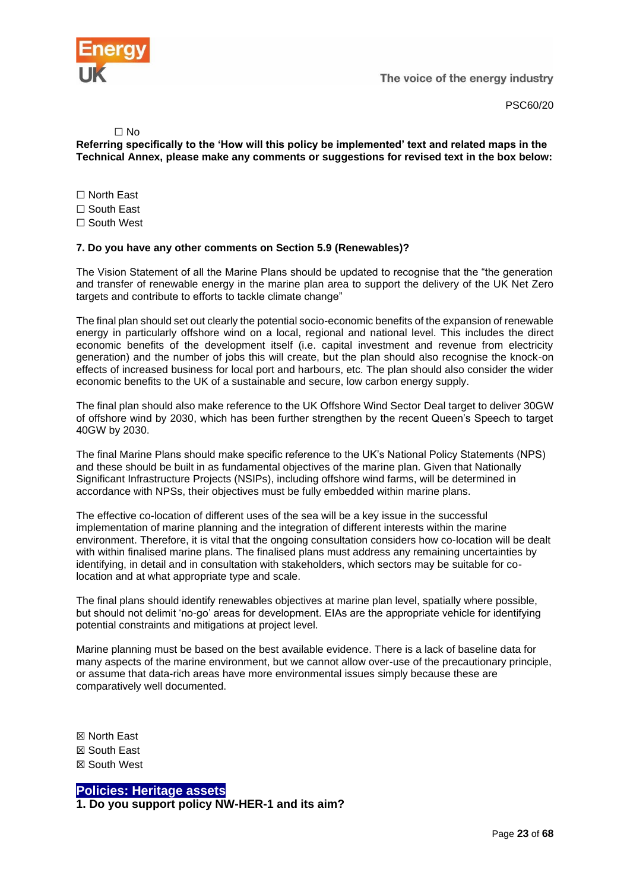

PSC60/20

 $\Box$  No

**Referring specifically to the 'How will this policy be implemented' text and related maps in the Technical Annex, please make any comments or suggestions for revised text in the box below:**

☐ North East ☐ South East ☐ South West

# **7. Do you have any other comments on Section 5.9 (Renewables)?**

The Vision Statement of all the Marine Plans should be updated to recognise that the "the generation and transfer of renewable energy in the marine plan area to support the delivery of the UK Net Zero targets and contribute to efforts to tackle climate change"

The final plan should set out clearly the potential socio-economic benefits of the expansion of renewable energy in particularly offshore wind on a local, regional and national level. This includes the direct economic benefits of the development itself (i.e. capital investment and revenue from electricity generation) and the number of jobs this will create, but the plan should also recognise the knock-on effects of increased business for local port and harbours, etc. The plan should also consider the wider economic benefits to the UK of a sustainable and secure, low carbon energy supply.

The final plan should also make reference to the UK Offshore Wind Sector Deal target to deliver 30GW of offshore wind by 2030, which has been further strengthen by the recent Queen's Speech to target 40GW by 2030.

The final Marine Plans should make specific reference to the UK's National Policy Statements (NPS) and these should be built in as fundamental objectives of the marine plan. Given that Nationally Significant Infrastructure Projects (NSIPs), including offshore wind farms, will be determined in accordance with NPSs, their objectives must be fully embedded within marine plans.

The effective co-location of different uses of the sea will be a key issue in the successful implementation of marine planning and the integration of different interests within the marine environment. Therefore, it is vital that the ongoing consultation considers how co-location will be dealt with within finalised marine plans. The finalised plans must address any remaining uncertainties by identifying, in detail and in consultation with stakeholders, which sectors may be suitable for colocation and at what appropriate type and scale.

The final plans should identify renewables objectives at marine plan level, spatially where possible, but should not delimit 'no-go' areas for development. EIAs are the appropriate vehicle for identifying potential constraints and mitigations at project level.

Marine planning must be based on the best available evidence. There is a lack of baseline data for many aspects of the marine environment, but we cannot allow over-use of the precautionary principle, or assume that data-rich areas have more environmental issues simply because these are comparatively well documented.

☒ North East ☒ South East ☒ South West

<span id="page-22-0"></span>**Policies: Heritage assets**

**1. Do you support policy NW-HER-1 and its aim?**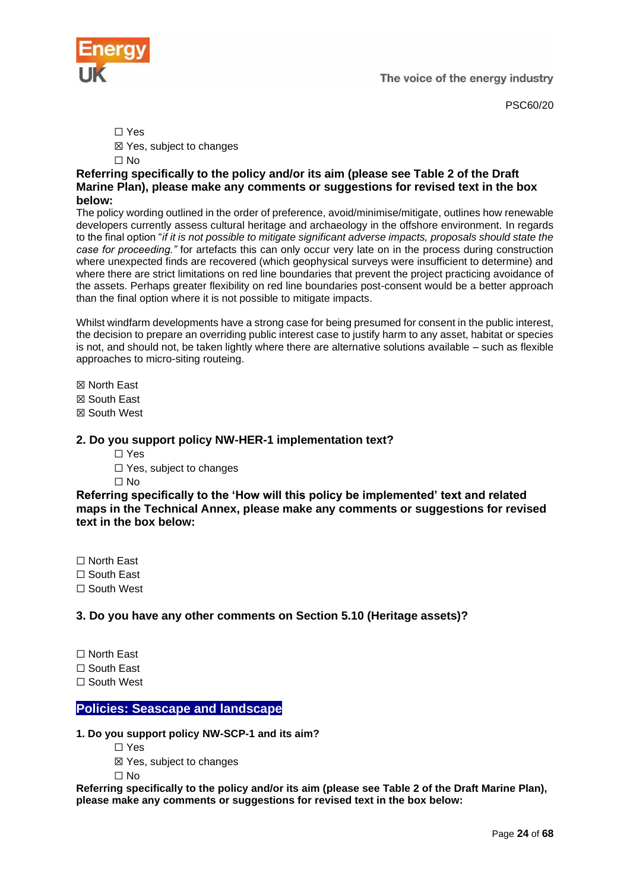

PSC60/20

☐ Yes

☒ Yes, subject to changes

 $\Box$  No

# **Referring specifically to the policy and/or its aim (please see Table 2 of the Draft Marine Plan), please make any comments or suggestions for revised text in the box below:**

The policy wording outlined in the order of preference, avoid/minimise/mitigate, outlines how renewable developers currently assess cultural heritage and archaeology in the offshore environment. In regards to the final option "*if it is not possible to mitigate significant adverse impacts, proposals should state the case for proceeding."* for artefacts this can only occur very late on in the process during construction where unexpected finds are recovered (which geophysical surveys were insufficient to determine) and where there are strict limitations on red line boundaries that prevent the project practicing avoidance of the assets. Perhaps greater flexibility on red line boundaries post-consent would be a better approach than the final option where it is not possible to mitigate impacts.

Whilst windfarm developments have a strong case for being presumed for consent in the public interest, the decision to prepare an overriding public interest case to justify harm to any asset, habitat or species is not, and should not, be taken lightly where there are alternative solutions available – such as flexible approaches to micro-siting routeing.

☒ North East

☒ South East

☒ South West

# **2. Do you support policy NW-HER-1 implementation text?**

☐ Yes

□ Yes, subject to changes

 $\Box$  No

**Referring specifically to the 'How will this policy be implemented' text and related maps in the Technical Annex, please make any comments or suggestions for revised text in the box below:**

☐ North East

☐ South East

☐ South West

# **3. Do you have any other comments on Section 5.10 (Heritage assets)?**

☐ North East

☐ South East

☐ South West

# <span id="page-23-0"></span>**Policies: Seascape and landscape**

# **1. Do you support policy NW-SCP-1 and its aim?**

☐ Yes

☒ Yes, subject to changes

 $\Box$  No

**Referring specifically to the policy and/or its aim (please see Table 2 of the Draft Marine Plan), please make any comments or suggestions for revised text in the box below:**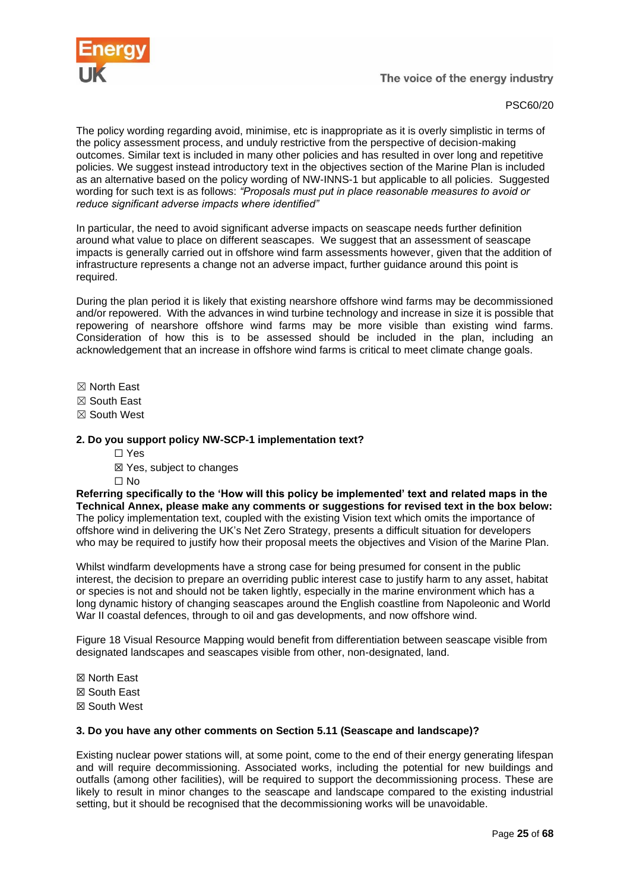

PSC60/20

The policy wording regarding avoid, minimise, etc is inappropriate as it is overly simplistic in terms of the policy assessment process, and unduly restrictive from the perspective of decision-making outcomes. Similar text is included in many other policies and has resulted in over long and repetitive policies. We suggest instead introductory text in the objectives section of the Marine Plan is included as an alternative based on the policy wording of NW-INNS-1 but applicable to all policies. Suggested wording for such text is as follows: *"Proposals must put in place reasonable measures to avoid or reduce significant adverse impacts where identified"*

In particular, the need to avoid significant adverse impacts on seascape needs further definition around what value to place on different seascapes. We suggest that an assessment of seascape impacts is generally carried out in offshore wind farm assessments however, given that the addition of infrastructure represents a change not an adverse impact, further guidance around this point is required.

During the plan period it is likely that existing nearshore offshore wind farms may be decommissioned and/or repowered. With the advances in wind turbine technology and increase in size it is possible that repowering of nearshore offshore wind farms may be more visible than existing wind farms. Consideration of how this is to be assessed should be included in the plan, including an acknowledgement that an increase in offshore wind farms is critical to meet climate change goals.

- ☒ North East
- ☒ South East
- ☒ South West

#### **2. Do you support policy NW-SCP-1 implementation text?**

- ☐ Yes
- ☒ Yes, subject to changes
- ☐ No

**Referring specifically to the 'How will this policy be implemented' text and related maps in the Technical Annex, please make any comments or suggestions for revised text in the box below:** The policy implementation text, coupled with the existing Vision text which omits the importance of offshore wind in delivering the UK's Net Zero Strategy, presents a difficult situation for developers who may be required to justify how their proposal meets the objectives and Vision of the Marine Plan.

Whilst windfarm developments have a strong case for being presumed for consent in the public interest, the decision to prepare an overriding public interest case to justify harm to any asset, habitat or species is not and should not be taken lightly, especially in the marine environment which has a long dynamic history of changing seascapes around the English coastline from Napoleonic and World War II coastal defences, through to oil and gas developments, and now offshore wind.

Figure 18 Visual Resource Mapping would benefit from differentiation between seascape visible from designated landscapes and seascapes visible from other, non-designated, land.

☒ North East ☒ South East ☒ South West

#### **3. Do you have any other comments on Section 5.11 (Seascape and landscape)?**

Existing nuclear power stations will, at some point, come to the end of their energy generating lifespan and will require decommissioning. Associated works, including the potential for new buildings and outfalls (among other facilities), will be required to support the decommissioning process. These are likely to result in minor changes to the seascape and landscape compared to the existing industrial setting, but it should be recognised that the decommissioning works will be unavoidable.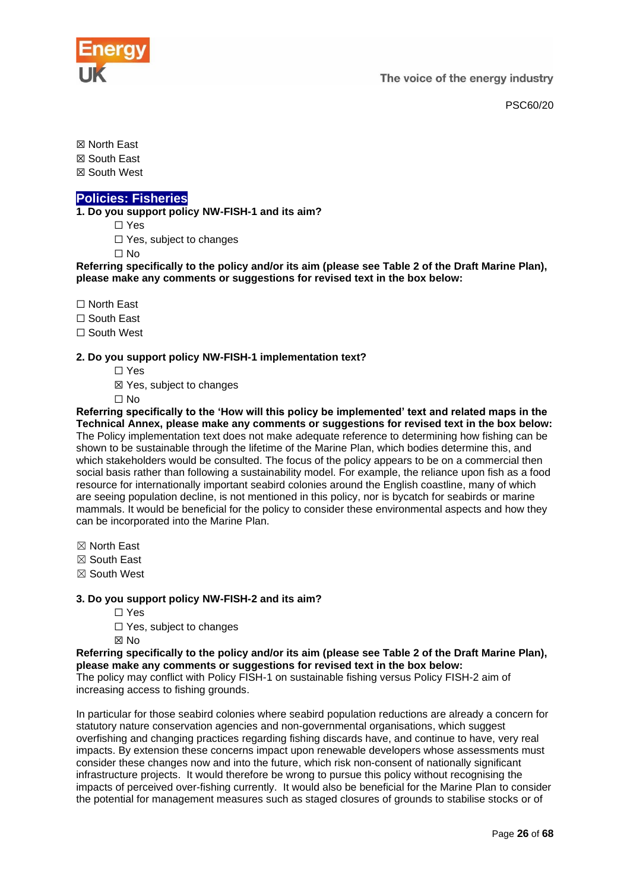

☒ North East

☒ South East

☒ South West

# <span id="page-25-0"></span>**Policies: Fisheries**

**1. Do you support policy NW-FISH-1 and its aim?**

☐ Yes

☐ Yes, subject to changes

 $\Box$  No

**Referring specifically to the policy and/or its aim (please see Table 2 of the Draft Marine Plan), please make any comments or suggestions for revised text in the box below:**

☐ North East

☐ South East

□ South West

# **2. Do you support policy NW-FISH-1 implementation text?**

- ☐ Yes
- ☒ Yes, subject to changes
- ☐ No

**Referring specifically to the 'How will this policy be implemented' text and related maps in the Technical Annex, please make any comments or suggestions for revised text in the box below:** The Policy implementation text does not make adequate reference to determining how fishing can be shown to be sustainable through the lifetime of the Marine Plan, which bodies determine this, and which stakeholders would be consulted. The focus of the policy appears to be on a commercial then social basis rather than following a sustainability model. For example, the reliance upon fish as a food resource for internationally important seabird colonies around the English coastline, many of which are seeing population decline, is not mentioned in this policy, nor is bycatch for seabirds or marine mammals. It would be beneficial for the policy to consider these environmental aspects and how they can be incorporated into the Marine Plan.

- ☒ North East
- ☒ South East
- ☒ South West

# **3. Do you support policy NW-FISH-2 and its aim?**

- ☐ Yes
- □ Yes, subject to changes

☒ No

#### **Referring specifically to the policy and/or its aim (please see Table 2 of the Draft Marine Plan), please make any comments or suggestions for revised text in the box below:**

The policy may conflict with Policy FISH-1 on sustainable fishing versus Policy FISH-2 aim of increasing access to fishing grounds.

In particular for those seabird colonies where seabird population reductions are already a concern for statutory nature conservation agencies and non-governmental organisations, which suggest overfishing and changing practices regarding fishing discards have, and continue to have, very real impacts. By extension these concerns impact upon renewable developers whose assessments must consider these changes now and into the future, which risk non-consent of nationally significant infrastructure projects. It would therefore be wrong to pursue this policy without recognising the impacts of perceived over-fishing currently. It would also be beneficial for the Marine Plan to consider the potential for management measures such as staged closures of grounds to stabilise stocks or of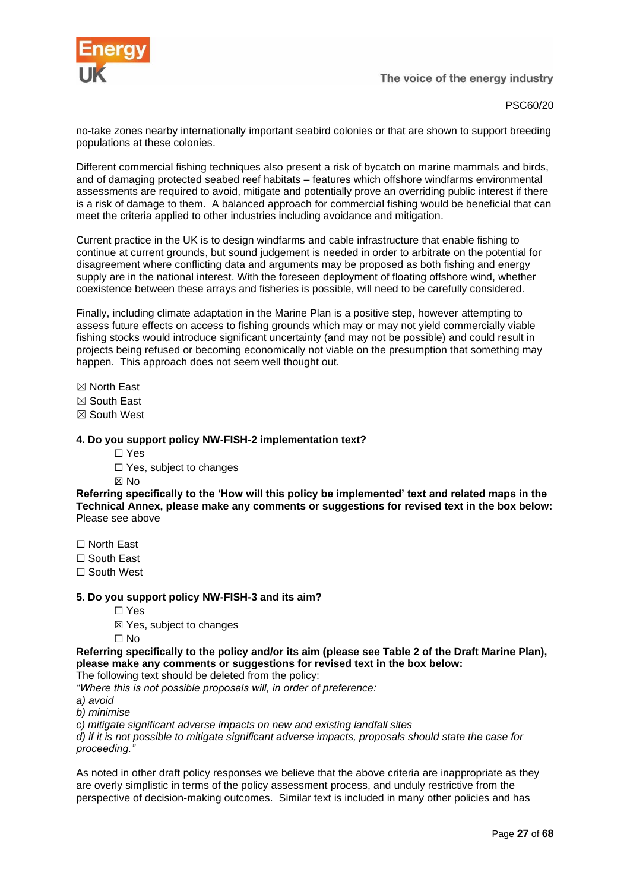

PSC60/20

no-take zones nearby internationally important seabird colonies or that are shown to support breeding populations at these colonies.

Different commercial fishing techniques also present a risk of bycatch on marine mammals and birds, and of damaging protected seabed reef habitats – features which offshore windfarms environmental assessments are required to avoid, mitigate and potentially prove an overriding public interest if there is a risk of damage to them. A balanced approach for commercial fishing would be beneficial that can meet the criteria applied to other industries including avoidance and mitigation.

Current practice in the UK is to design windfarms and cable infrastructure that enable fishing to continue at current grounds, but sound judgement is needed in order to arbitrate on the potential for disagreement where conflicting data and arguments may be proposed as both fishing and energy supply are in the national interest. With the foreseen deployment of floating offshore wind, whether coexistence between these arrays and fisheries is possible, will need to be carefully considered.

Finally, including climate adaptation in the Marine Plan is a positive step, however attempting to assess future effects on access to fishing grounds which may or may not yield commercially viable fishing stocks would introduce significant uncertainty (and may not be possible) and could result in projects being refused or becoming economically not viable on the presumption that something may happen. This approach does not seem well thought out.

☒ North East

☒ South East

☒ South West

#### **4. Do you support policy NW-FISH-2 implementation text?**

- ☐ Yes
- □ Yes, subject to changes

☒ No

**Referring specifically to the 'How will this policy be implemented' text and related maps in the Technical Annex, please make any comments or suggestions for revised text in the box below:** Please see above

☐ North East

☐ South East

☐ South West

#### **5. Do you support policy NW-FISH-3 and its aim?**

☐ Yes

☒ Yes, subject to changes

☐ No

**Referring specifically to the policy and/or its aim (please see Table 2 of the Draft Marine Plan), please make any comments or suggestions for revised text in the box below:**

The following text should be deleted from the policy:

*"Where this is not possible proposals will, in order of preference:* 

*a) avoid* 

*b) minimise* 

*c) mitigate significant adverse impacts on new and existing landfall sites* 

*d) if it is not possible to mitigate significant adverse impacts, proposals should state the case for proceeding."*

As noted in other draft policy responses we believe that the above criteria are inappropriate as they are overly simplistic in terms of the policy assessment process, and unduly restrictive from the perspective of decision-making outcomes. Similar text is included in many other policies and has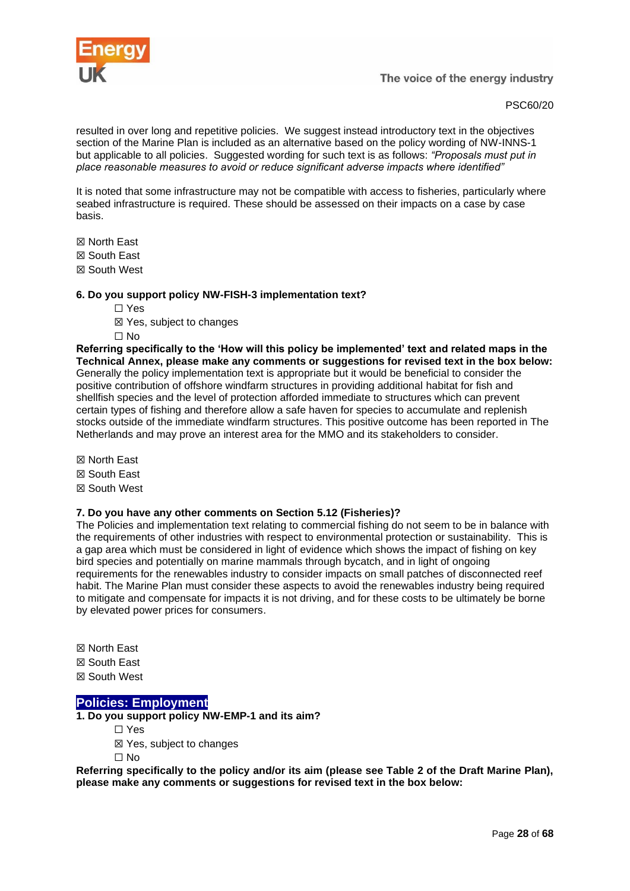

PSC60/20

resulted in over long and repetitive policies. We suggest instead introductory text in the objectives section of the Marine Plan is included as an alternative based on the policy wording of NW-INNS-1 but applicable to all policies. Suggested wording for such text is as follows: *"Proposals must put in place reasonable measures to avoid or reduce significant adverse impacts where identified"*

It is noted that some infrastructure may not be compatible with access to fisheries, particularly where seabed infrastructure is required. These should be assessed on their impacts on a case by case basis.

☒ North East

☒ South East

☒ South West

# **6. Do you support policy NW-FISH-3 implementation text?**

- ☐ Yes
- ☒ Yes, subject to changes
- ☐ No

**Referring specifically to the 'How will this policy be implemented' text and related maps in the Technical Annex, please make any comments or suggestions for revised text in the box below:** Generally the policy implementation text is appropriate but it would be beneficial to consider the positive contribution of offshore windfarm structures in providing additional habitat for fish and shellfish species and the level of protection afforded immediate to structures which can prevent certain types of fishing and therefore allow a safe haven for species to accumulate and replenish stocks outside of the immediate windfarm structures. This positive outcome has been reported in The Netherlands and may prove an interest area for the MMO and its stakeholders to consider.

☒ North East ☒ South East ☒ South West

# **7. Do you have any other comments on Section 5.12 (Fisheries)?**

The Policies and implementation text relating to commercial fishing do not seem to be in balance with the requirements of other industries with respect to environmental protection or sustainability. This is a gap area which must be considered in light of evidence which shows the impact of fishing on key bird species and potentially on marine mammals through bycatch, and in light of ongoing requirements for the renewables industry to consider impacts on small patches of disconnected reef habit. The Marine Plan must consider these aspects to avoid the renewables industry being required to mitigate and compensate for impacts it is not driving, and for these costs to be ultimately be borne by elevated power prices for consumers.

☒ North East ☒ South East ☒ South West

# <span id="page-27-0"></span>**Policies: Employment**

**1. Do you support policy NW-EMP-1 and its aim?**

☐ Yes

☒ Yes, subject to changes

☐ No

**Referring specifically to the policy and/or its aim (please see Table 2 of the Draft Marine Plan), please make any comments or suggestions for revised text in the box below:**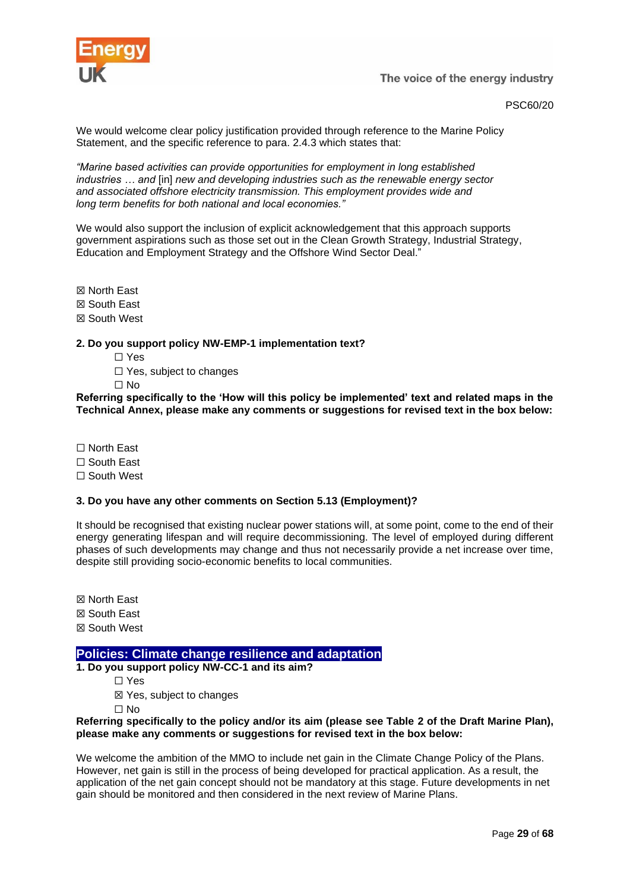

# PSC60/20

We would welcome clear policy justification provided through reference to the Marine Policy Statement, and the specific reference to para. 2.4.3 which states that:

*"Marine based activities can provide opportunities for employment in long established industries … and* [in] *new and developing industries such as the renewable energy sector and associated offshore electricity transmission. This employment provides wide and long term benefits for both national and local economies."*

We would also support the inclusion of explicit acknowledgement that this approach supports government aspirations such as those set out in the Clean Growth Strategy, Industrial Strategy, Education and Employment Strategy and the Offshore Wind Sector Deal."

☒ North East ☒ South East ☒ South West

**2. Do you support policy NW-EMP-1 implementation text?**

☐ Yes

□ Yes, subject to changes

☐ No

**Referring specifically to the 'How will this policy be implemented' text and related maps in the Technical Annex, please make any comments or suggestions for revised text in the box below:**

☐ North East

☐ South East

☐ South West

# **3. Do you have any other comments on Section 5.13 (Employment)?**

It should be recognised that existing nuclear power stations will, at some point, come to the end of their energy generating lifespan and will require decommissioning. The level of employed during different phases of such developments may change and thus not necessarily provide a net increase over time, despite still providing socio-economic benefits to local communities.

☒ North East

☒ South East

☒ South West

# <span id="page-28-0"></span>**Policies: Climate change resilience and adaptation**

**1. Do you support policy NW-CC-1 and its aim?**

☐ Yes

☒ Yes, subject to changes

 $\Box$  No

#### **Referring specifically to the policy and/or its aim (please see Table 2 of the Draft Marine Plan), please make any comments or suggestions for revised text in the box below:**

We welcome the ambition of the MMO to include net gain in the Climate Change Policy of the Plans. However, net gain is still in the process of being developed for practical application. As a result, the application of the net gain concept should not be mandatory at this stage. Future developments in net gain should be monitored and then considered in the next review of Marine Plans.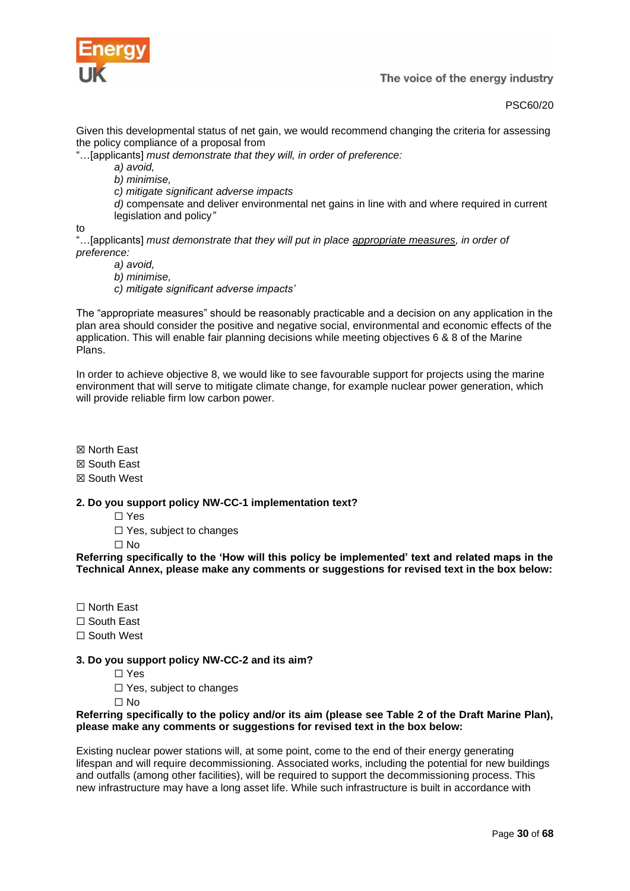

PSC60/20

Given this developmental status of net gain, we would recommend changing the criteria for assessing the policy compliance of a proposal from

"…[applicants] *must demonstrate that they will, in order of preference:*

*a) avoid,*

*b) minimise,*

*c) mitigate significant adverse impacts*

*d)* compensate and deliver environmental net gains in line with and where required in current legislation and policy*"* 

to

"…[applicants] *must demonstrate that they will put in place appropriate measures, in order of preference:*

*a) avoid,*

*b) minimise, c) mitigate significant adverse impacts'*

The "appropriate measures" should be reasonably practicable and a decision on any application in the plan area should consider the positive and negative social, environmental and economic effects of the application. This will enable fair planning decisions while meeting objectives 6 & 8 of the Marine Plans.

In order to achieve objective 8, we would like to see favourable support for projects using the marine environment that will serve to mitigate climate change, for example nuclear power generation, which will provide reliable firm low carbon power.

☒ North East

☒ South East

☒ South West

# **2. Do you support policy NW-CC-1 implementation text?**

☐ Yes

□ Yes, subject to changes

 $\Box$  No

**Referring specifically to the 'How will this policy be implemented' text and related maps in the Technical Annex, please make any comments or suggestions for revised text in the box below:**

☐ North East

☐ South East

☐ South West

# **3. Do you support policy NW-CC-2 and its aim?**

☐ Yes

☐ Yes, subject to changes

 $\Box$  No

# **Referring specifically to the policy and/or its aim (please see Table 2 of the Draft Marine Plan), please make any comments or suggestions for revised text in the box below:**

Existing nuclear power stations will, at some point, come to the end of their energy generating lifespan and will require decommissioning. Associated works, including the potential for new buildings and outfalls (among other facilities), will be required to support the decommissioning process. This new infrastructure may have a long asset life. While such infrastructure is built in accordance with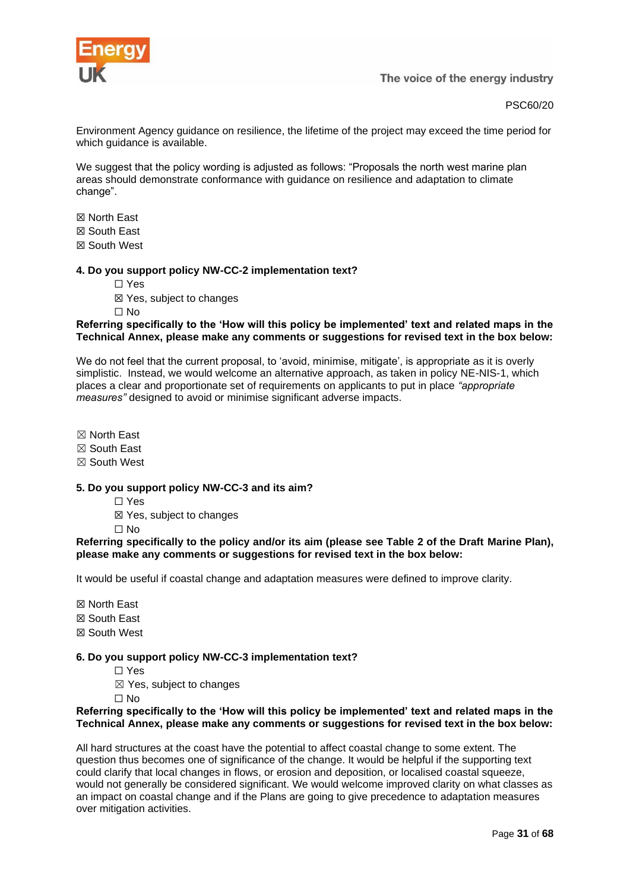

PSC60/20

Environment Agency guidance on resilience, the lifetime of the project may exceed the time period for which guidance is available.

We suggest that the policy wording is adjusted as follows: "Proposals the north west marine plan areas should demonstrate conformance with guidance on resilience and adaptation to climate change".

☒ North East

☒ South East

☒ South West

#### **4. Do you support policy NW-CC-2 implementation text?**

- ☐ Yes
- ☒ Yes, subject to changes

 $\Box$  No

#### **Referring specifically to the 'How will this policy be implemented' text and related maps in the Technical Annex, please make any comments or suggestions for revised text in the box below:**

We do not feel that the current proposal, to 'avoid, minimise, mitigate', is appropriate as it is overly simplistic. Instead, we would welcome an alternative approach, as taken in policy NE-NIS-1, which places a clear and proportionate set of requirements on applicants to put in place *"appropriate measures"* designed to avoid or minimise significant adverse impacts.

☒ North East

☒ South East

☒ South West

# **5. Do you support policy NW-CC-3 and its aim?**

☐ Yes

☒ Yes, subject to changes

 $\Box$  No

#### **Referring specifically to the policy and/or its aim (please see Table 2 of the Draft Marine Plan), please make any comments or suggestions for revised text in the box below:**

It would be useful if coastal change and adaptation measures were defined to improve clarity.

☒ North East

☒ South East

☒ South West

# **6. Do you support policy NW-CC-3 implementation text?**

- ☐ Yes
- $\boxtimes$  Yes, subject to changes
- $\Box$  No

#### **Referring specifically to the 'How will this policy be implemented' text and related maps in the Technical Annex, please make any comments or suggestions for revised text in the box below:**

All hard structures at the coast have the potential to affect coastal change to some extent. The question thus becomes one of significance of the change. It would be helpful if the supporting text could clarify that local changes in flows, or erosion and deposition, or localised coastal squeeze, would not generally be considered significant. We would welcome improved clarity on what classes as an impact on coastal change and if the Plans are going to give precedence to adaptation measures over mitigation activities.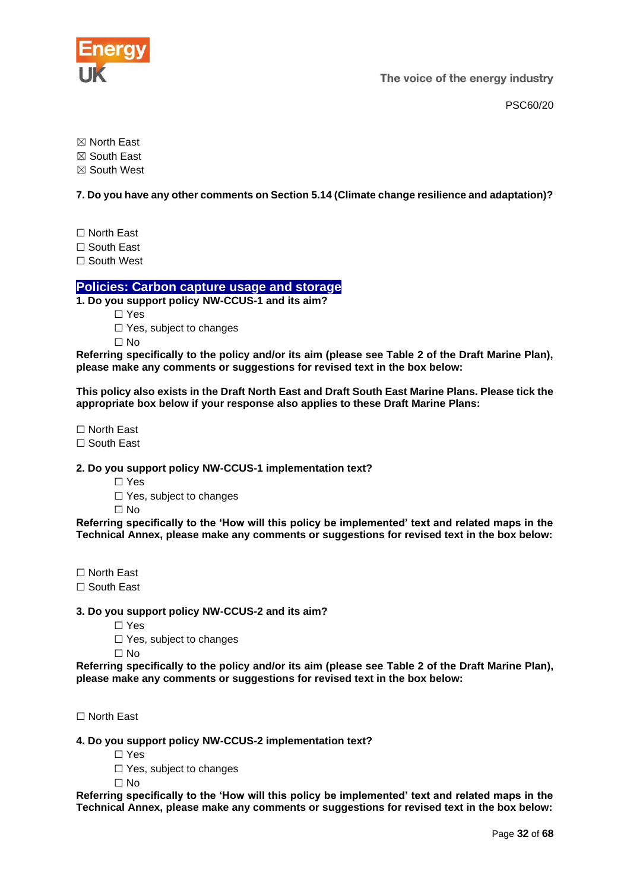

PSC60/20

☒ North East

☒ South East

☒ South West

**7. Do you have any other comments on Section 5.14 (Climate change resilience and adaptation)?**

☐ North East

☐ South East

☐ South West

# <span id="page-31-0"></span>**Policies: Carbon capture usage and storage**

**1. Do you support policy NW-CCUS-1 and its aim?**

☐ Yes

□ Yes, subject to changes

☐ No

**Referring specifically to the policy and/or its aim (please see Table 2 of the Draft Marine Plan), please make any comments or suggestions for revised text in the box below:**

**This policy also exists in the Draft North East and Draft South East Marine Plans. Please tick the appropriate box below if your response also applies to these Draft Marine Plans:**

☐ North East

☐ South East

**2. Do you support policy NW-CCUS-1 implementation text?**

☐ Yes

☐ Yes, subject to changes

☐ No

**Referring specifically to the 'How will this policy be implemented' text and related maps in the Technical Annex, please make any comments or suggestions for revised text in the box below:**

☐ North East

☐ South East

**3. Do you support policy NW-CCUS-2 and its aim?**

☐ Yes

□ Yes, subject to changes

 $\Box$  No

**Referring specifically to the policy and/or its aim (please see Table 2 of the Draft Marine Plan), please make any comments or suggestions for revised text in the box below:**

☐ North East

**4. Do you support policy NW-CCUS-2 implementation text?**

☐ Yes

□ Yes, subject to changes

 $\Box$  No

**Referring specifically to the 'How will this policy be implemented' text and related maps in the Technical Annex, please make any comments or suggestions for revised text in the box below:**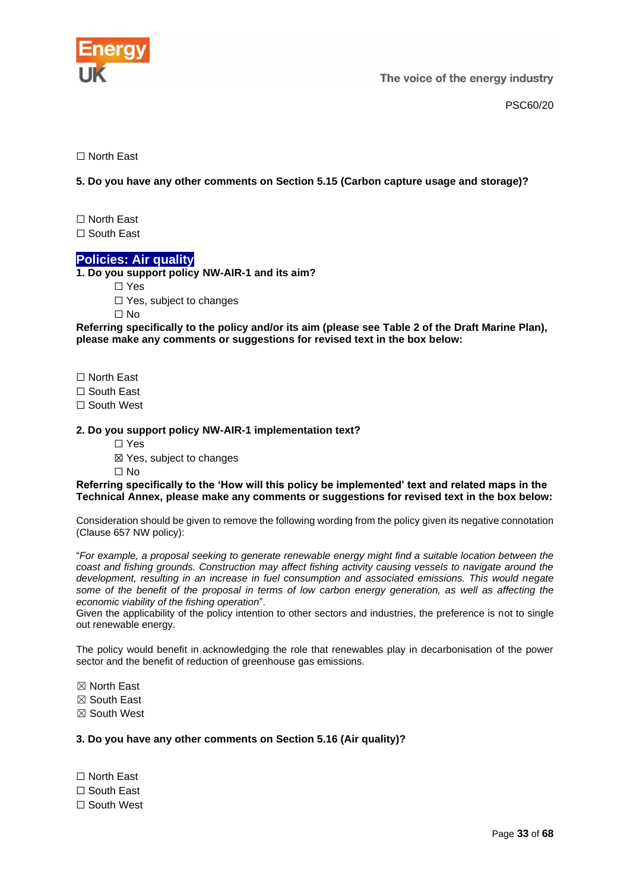

PSC60/20

☐ North East

**5. Do you have any other comments on Section 5.15 (Carbon capture usage and storage)?**

☐ North East ☐ South East

**Policies: Air quality**

<span id="page-32-0"></span>**1. Do you support policy NW-AIR-1 and its aim?**

☐ Yes

□ Yes, subject to changes

☐ No

**Referring specifically to the policy and/or its aim (please see Table 2 of the Draft Marine Plan), please make any comments or suggestions for revised text in the box below:**

☐ North East

☐ South East

□ South West

# **2. Do you support policy NW-AIR-1 implementation text?**

☐ Yes

☒ Yes, subject to changes

☐ No

**Referring specifically to the 'How will this policy be implemented' text and related maps in the Technical Annex, please make any comments or suggestions for revised text in the box below:**

Consideration should be given to remove the following wording from the policy given its negative connotation (Clause 657 NW policy):

"*For example, a proposal seeking to generate renewable energy might find a suitable location between the coast and fishing grounds. Construction may affect fishing activity causing vessels to navigate around the development, resulting in an increase in fuel consumption and associated emissions. This would negate some of the benefit of the proposal in terms of low carbon energy generation, as well as affecting the economic viability of the fishing operation*".

Given the applicability of the policy intention to other sectors and industries, the preference is not to single out renewable energy.

The policy would benefit in acknowledging the role that renewables play in decarbonisation of the power sector and the benefit of reduction of greenhouse gas emissions.

☒ North East

☒ South East

☒ South West

**3. Do you have any other comments on Section 5.16 (Air quality)?**

☐ North East ☐ South East

□ South West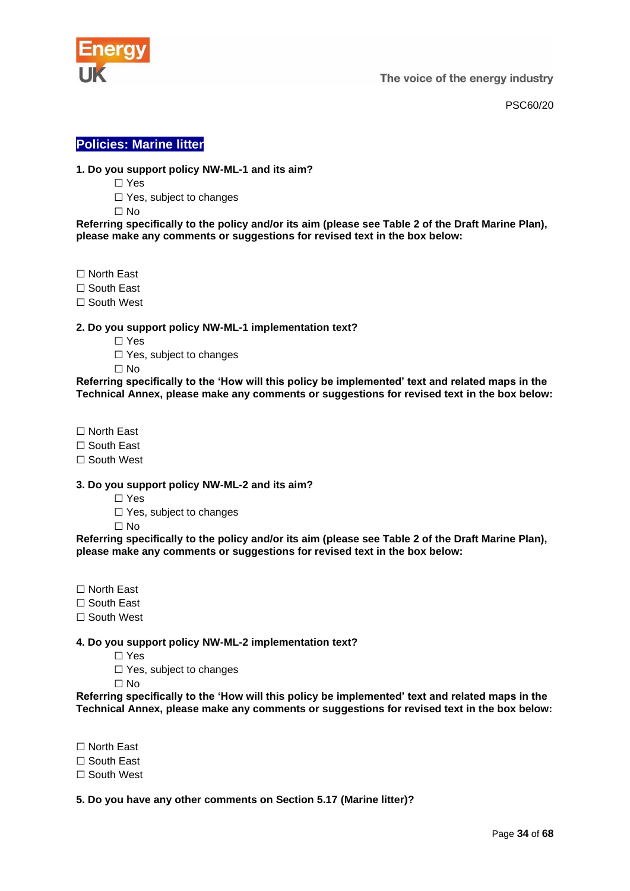

PSC60/20

# <span id="page-33-0"></span>**Policies: Marine litter**

# **1. Do you support policy NW-ML-1 and its aim?**

- ☐ Yes
- □ Yes, subject to changes
- ☐ No

**Referring specifically to the policy and/or its aim (please see Table 2 of the Draft Marine Plan), please make any comments or suggestions for revised text in the box below:**

- ☐ North East
- ☐ South East
- ☐ South West

# **2. Do you support policy NW-ML-1 implementation text?**

- ☐ Yes
- ☐ Yes, subject to changes
- $\Box$  No

**Referring specifically to the 'How will this policy be implemented' text and related maps in the Technical Annex, please make any comments or suggestions for revised text in the box below:**

- ☐ North East
- ☐ South East
- ☐ South West

#### **3. Do you support policy NW-ML-2 and its aim?**

- ☐ Yes
- □ Yes, subject to changes
- ☐ No

**Referring specifically to the policy and/or its aim (please see Table 2 of the Draft Marine Plan), please make any comments or suggestions for revised text in the box below:**

- ☐ North East
- ☐ South East
- □ South West

# **4. Do you support policy NW-ML-2 implementation text?**

- ☐ Yes
- □ Yes, subject to changes
- ☐ No

**Referring specifically to the 'How will this policy be implemented' text and related maps in the Technical Annex, please make any comments or suggestions for revised text in the box below:**

☐ North East

- ☐ South East
- ☐ South West

# **5. Do you have any other comments on Section 5.17 (Marine litter)?**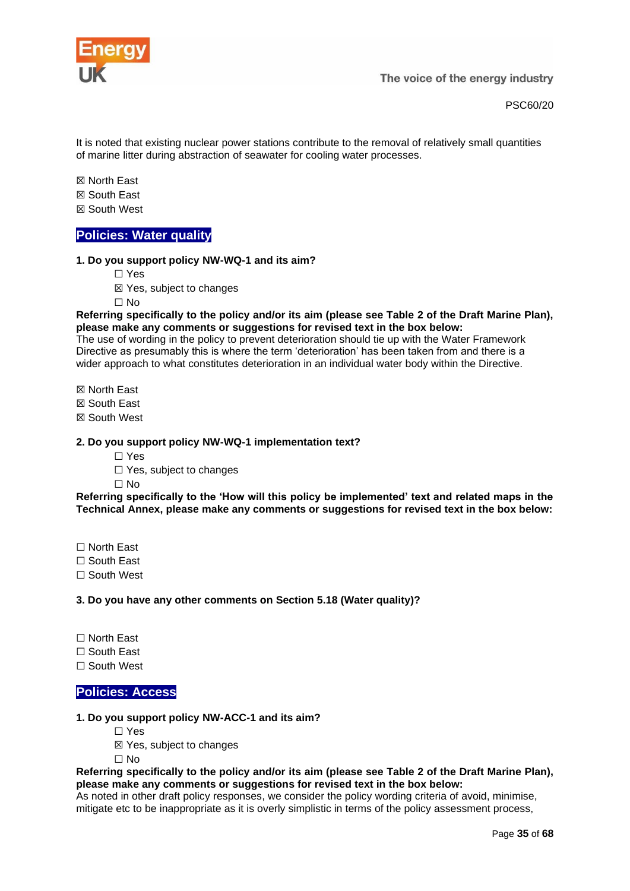

It is noted that existing nuclear power stations contribute to the removal of relatively small quantities of marine litter during abstraction of seawater for cooling water processes.

☒ North East

☒ South East

☒ South West

# <span id="page-34-0"></span>**Policies: Water quality**

#### **1. Do you support policy NW-WQ-1 and its aim?**

- ☐ Yes
- ☒ Yes, subject to changes

☐ No

**Referring specifically to the policy and/or its aim (please see Table 2 of the Draft Marine Plan), please make any comments or suggestions for revised text in the box below:**

The use of wording in the policy to prevent deterioration should tie up with the Water Framework Directive as presumably this is where the term 'deterioration' has been taken from and there is a wider approach to what constitutes deterioration in an individual water body within the Directive.

☒ North East

☒ South East

☒ South West

#### **2. Do you support policy NW-WQ-1 implementation text?**

☐ Yes

□ Yes, subject to changes

 $\Box$  No

**Referring specifically to the 'How will this policy be implemented' text and related maps in the Technical Annex, please make any comments or suggestions for revised text in the box below:**

☐ North East

☐ South East

☐ South West

**3. Do you have any other comments on Section 5.18 (Water quality)?**

☐ North East

☐ South East

☐ South West

# <span id="page-34-1"></span>**Policies: Access**

# **1. Do you support policy NW-ACC-1 and its aim?**

- ☐ Yes
- ☒ Yes, subject to changes

☐ No

**Referring specifically to the policy and/or its aim (please see Table 2 of the Draft Marine Plan), please make any comments or suggestions for revised text in the box below:**

As noted in other draft policy responses, we consider the policy wording criteria of avoid, minimise, mitigate etc to be inappropriate as it is overly simplistic in terms of the policy assessment process,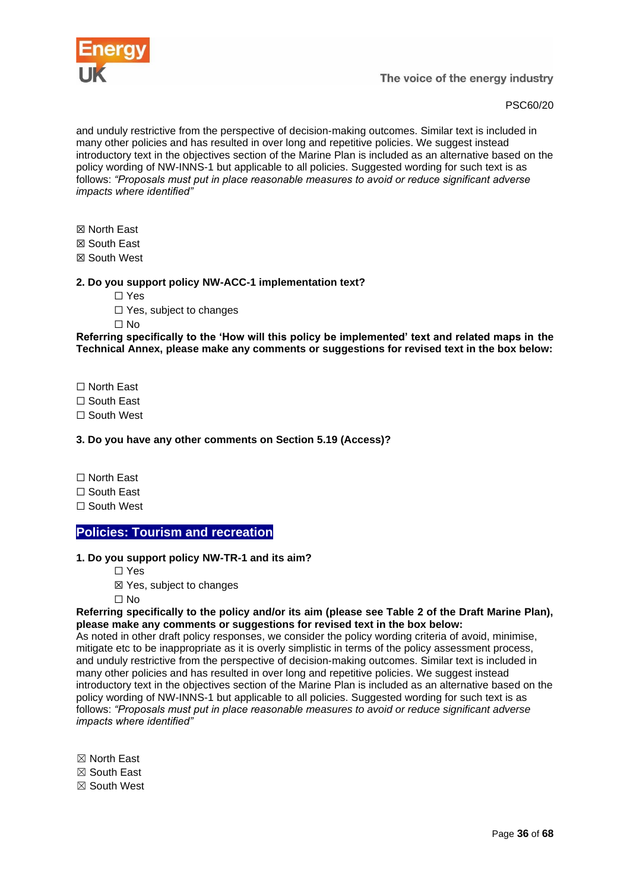

PSC60/20

and unduly restrictive from the perspective of decision-making outcomes. Similar text is included in many other policies and has resulted in over long and repetitive policies. We suggest instead introductory text in the objectives section of the Marine Plan is included as an alternative based on the policy wording of NW-INNS-1 but applicable to all policies. Suggested wording for such text is as follows: *"Proposals must put in place reasonable measures to avoid or reduce significant adverse impacts where identified"*

☒ North East

☒ South East

☒ South West

# **2. Do you support policy NW-ACC-1 implementation text?**

☐ Yes

☐ Yes, subject to changes

☐ No

**Referring specifically to the 'How will this policy be implemented' text and related maps in the Technical Annex, please make any comments or suggestions for revised text in the box below:**

☐ North East

☐ South East

☐ South West

# **3. Do you have any other comments on Section 5.19 (Access)?**

☐ North East

☐ South East

☐ South West

# <span id="page-35-0"></span>**Policies: Tourism and recreation**

# **1. Do you support policy NW-TR-1 and its aim?**

- ☐ Yes
- ☒ Yes, subject to changes

☐ No

#### **Referring specifically to the policy and/or its aim (please see Table 2 of the Draft Marine Plan), please make any comments or suggestions for revised text in the box below:**

As noted in other draft policy responses, we consider the policy wording criteria of avoid, minimise, mitigate etc to be inappropriate as it is overly simplistic in terms of the policy assessment process, and unduly restrictive from the perspective of decision-making outcomes. Similar text is included in many other policies and has resulted in over long and repetitive policies. We suggest instead introductory text in the objectives section of the Marine Plan is included as an alternative based on the policy wording of NW-INNS-1 but applicable to all policies. Suggested wording for such text is as follows: *"Proposals must put in place reasonable measures to avoid or reduce significant adverse impacts where identified"*

☒ North East

☒ South East

☒ South West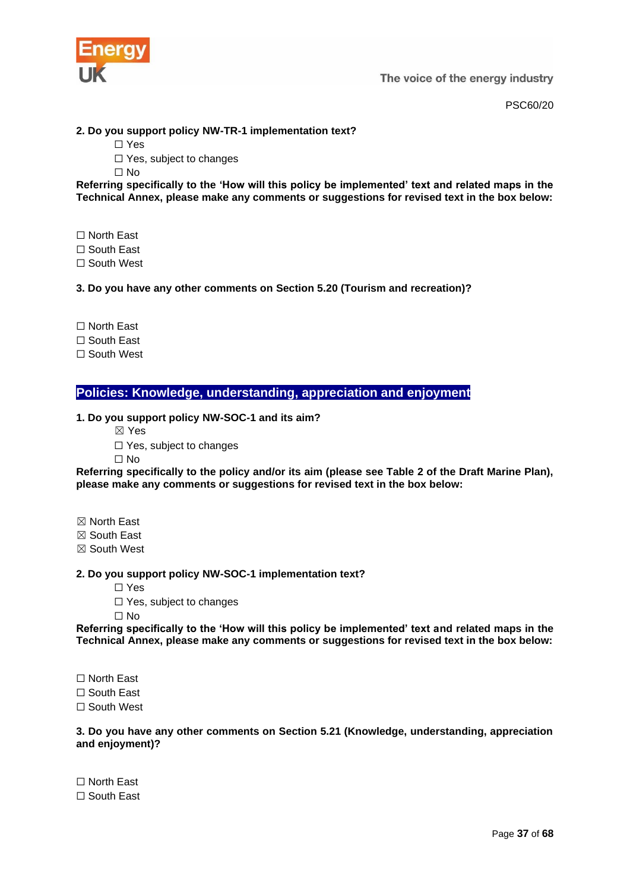

PSC60/20

# **2. Do you support policy NW-TR-1 implementation text?**

☐ Yes

□ Yes, subject to changes

☐ No

**Referring specifically to the 'How will this policy be implemented' text and related maps in the Technical Annex, please make any comments or suggestions for revised text in the box below:**

☐ North East

☐ South East

☐ South West

# **3. Do you have any other comments on Section 5.20 (Tourism and recreation)?**

☐ North East

☐ South East

☐ South West

<span id="page-36-0"></span>**Policies: Knowledge, understanding, appreciation and enjoyment**

#### **1. Do you support policy NW-SOC-1 and its aim?**

☒ Yes

□ Yes, subject to changes

☐ No

**Referring specifically to the policy and/or its aim (please see Table 2 of the Draft Marine Plan), please make any comments or suggestions for revised text in the box below:**

☒ North East

☒ South East

☒ South West

**2. Do you support policy NW-SOC-1 implementation text?**

☐ Yes

☐ Yes, subject to changes

☐ No

**Referring specifically to the 'How will this policy be implemented' text and related maps in the Technical Annex, please make any comments or suggestions for revised text in the box below:**

☐ North East

☐ South East

☐ South West

**3. Do you have any other comments on Section 5.21 (Knowledge, understanding, appreciation and enjoyment)?**

☐ North East ☐ South East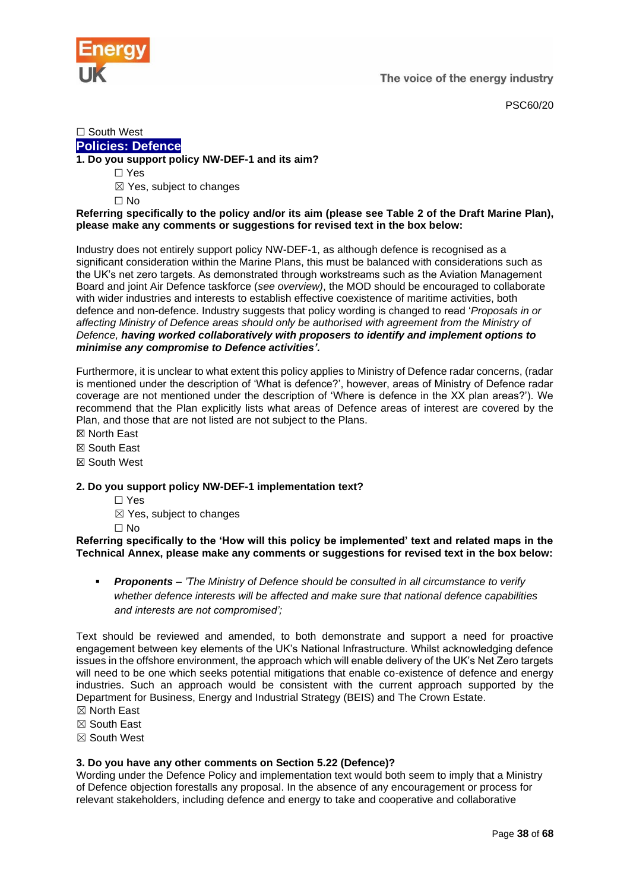

PSC60/20

# ☐ South West **Policies: Defence**

# <span id="page-37-0"></span>**1. Do you support policy NW-DEF-1 and its aim?**

- ☐ Yes
- $\boxtimes$  Yes, subject to changes
- ☐ No

# **Referring specifically to the policy and/or its aim (please see Table 2 of the Draft Marine Plan), please make any comments or suggestions for revised text in the box below:**

Industry does not entirely support policy NW-DEF-1, as although defence is recognised as a significant consideration within the Marine Plans, this must be balanced with considerations such as the UK's net zero targets. As demonstrated through workstreams such as the Aviation Management Board and joint Air Defence taskforce (*see overview)*, the MOD should be encouraged to collaborate with wider industries and interests to establish effective coexistence of maritime activities, both defence and non-defence. Industry suggests that policy wording is changed to read '*Proposals in or affecting Ministry of Defence areas should only be authorised with agreement from the Ministry of Defence, having worked collaboratively with proposers to identify and implement options to minimise any compromise to Defence activities'.* 

Furthermore, it is unclear to what extent this policy applies to Ministry of Defence radar concerns, (radar is mentioned under the description of 'What is defence?', however, areas of Ministry of Defence radar coverage are not mentioned under the description of 'Where is defence in the XX plan areas?'). We recommend that the Plan explicitly lists what areas of Defence areas of interest are covered by the Plan, and those that are not listed are not subject to the Plans.

- ☒ North East
- ☒ South East
- ☒ South West

# **2. Do you support policy NW-DEF-1 implementation text?**

- ☐ Yes
- ☒ Yes, subject to changes
- ☐ No

**Referring specifically to the 'How will this policy be implemented' text and related maps in the Technical Annex, please make any comments or suggestions for revised text in the box below:**

**Proponents** – *'The Ministry of Defence should be consulted in all circumstance to verify whether defence interests will be affected and make sure that national defence capabilities and interests are not compromised';* 

Text should be reviewed and amended, to both demonstrate and support a need for proactive engagement between key elements of the UK's National Infrastructure. Whilst acknowledging defence issues in the offshore environment, the approach which will enable delivery of the UK's Net Zero targets will need to be one which seeks potential mitigations that enable co-existence of defence and energy industries. Such an approach would be consistent with the current approach supported by the Department for Business, Energy and Industrial Strategy (BEIS) and The Crown Estate.

- ☒ North East
- ☒ South East
- ☒ South West

# **3. Do you have any other comments on Section 5.22 (Defence)?**

Wording under the Defence Policy and implementation text would both seem to imply that a Ministry of Defence objection forestalls any proposal. In the absence of any encouragement or process for relevant stakeholders, including defence and energy to take and cooperative and collaborative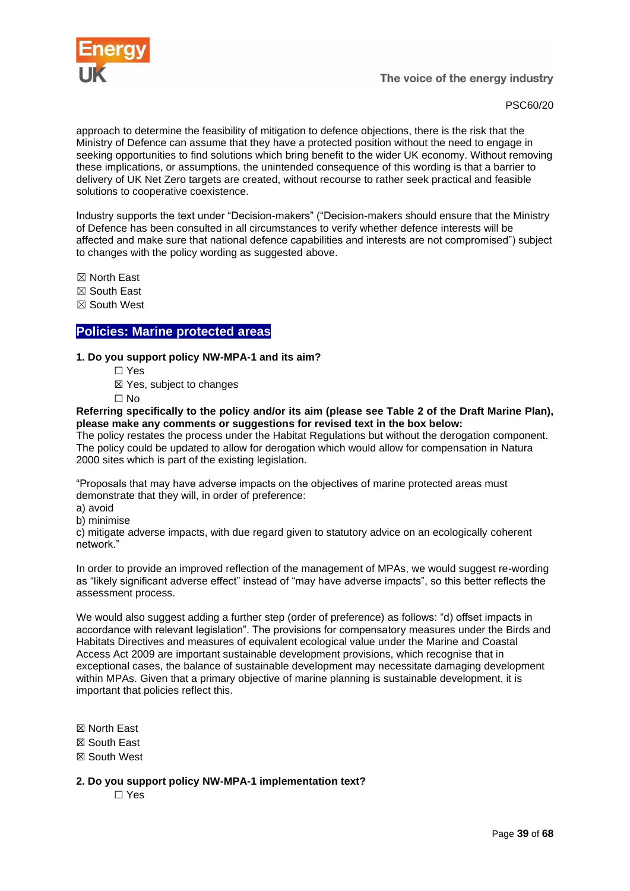

# PSC60/20

approach to determine the feasibility of mitigation to defence objections, there is the risk that the Ministry of Defence can assume that they have a protected position without the need to engage in seeking opportunities to find solutions which bring benefit to the wider UK economy. Without removing these implications, or assumptions, the unintended consequence of this wording is that a barrier to delivery of UK Net Zero targets are created, without recourse to rather seek practical and feasible solutions to cooperative coexistence.

Industry supports the text under "Decision-makers" ("Decision-makers should ensure that the Ministry of Defence has been consulted in all circumstances to verify whether defence interests will be affected and make sure that national defence capabilities and interests are not compromised") subject to changes with the policy wording as suggested above.

☒ North East

- ☒ South East
- ☒ South West

# <span id="page-38-0"></span>**Policies: Marine protected areas**

#### **1. Do you support policy NW-MPA-1 and its aim?**

- ☐ Yes
- ☒ Yes, subject to changes
- ☐ No

**Referring specifically to the policy and/or its aim (please see Table 2 of the Draft Marine Plan), please make any comments or suggestions for revised text in the box below:**

The policy restates the process under the Habitat Regulations but without the derogation component. The policy could be updated to allow for derogation which would allow for compensation in Natura 2000 sites which is part of the existing legislation.

"Proposals that may have adverse impacts on the objectives of marine protected areas must demonstrate that they will, in order of preference:

a) avoid

b) minimise

c) mitigate adverse impacts, with due regard given to statutory advice on an ecologically coherent network."

In order to provide an improved reflection of the management of MPAs, we would suggest re-wording as "likely significant adverse effect" instead of "may have adverse impacts", so this better reflects the assessment process.

We would also suggest adding a further step (order of preference) as follows: "d) offset impacts in accordance with relevant legislation". The provisions for compensatory measures under the Birds and Habitats Directives and measures of equivalent ecological value under the Marine and Coastal Access Act 2009 are important sustainable development provisions, which recognise that in exceptional cases, the balance of sustainable development may necessitate damaging development within MPAs. Given that a primary objective of marine planning is sustainable development, it is important that policies reflect this.

- ☒ North East
- ☒ South East
- ☒ South West
- **2. Do you support policy NW-MPA-1 implementation text?**

☐ Yes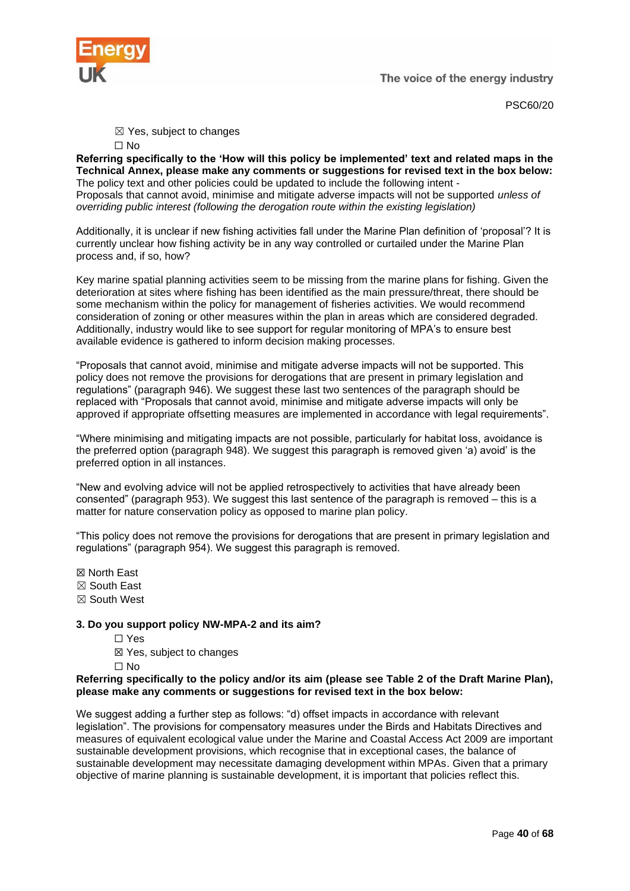

PSC60/20

☒ Yes, subject to changes

**Referring specifically to the 'How will this policy be implemented' text and related maps in the Technical Annex, please make any comments or suggestions for revised text in the box below:** The policy text and other policies could be updated to include the following intent - Proposals that cannot avoid, minimise and mitigate adverse impacts will not be supported *unless of overriding public interest (following the derogation route within the existing legislation)*

Additionally, it is unclear if new fishing activities fall under the Marine Plan definition of 'proposal'? It is currently unclear how fishing activity be in any way controlled or curtailed under the Marine Plan process and, if so, how?

Key marine spatial planning activities seem to be missing from the marine plans for fishing. Given the deterioration at sites where fishing has been identified as the main pressure/threat, there should be some mechanism within the policy for management of fisheries activities. We would recommend consideration of zoning or other measures within the plan in areas which are considered degraded. Additionally, industry would like to see support for regular monitoring of MPA's to ensure best available evidence is gathered to inform decision making processes.

"Proposals that cannot avoid, minimise and mitigate adverse impacts will not be supported. This policy does not remove the provisions for derogations that are present in primary legislation and regulations" (paragraph 946). We suggest these last two sentences of the paragraph should be replaced with "Proposals that cannot avoid, minimise and mitigate adverse impacts will only be approved if appropriate offsetting measures are implemented in accordance with legal requirements".

"Where minimising and mitigating impacts are not possible, particularly for habitat loss, avoidance is the preferred option (paragraph 948). We suggest this paragraph is removed given 'a) avoid' is the preferred option in all instances.

"New and evolving advice will not be applied retrospectively to activities that have already been consented" (paragraph 953). We suggest this last sentence of the paragraph is removed – this is a matter for nature conservation policy as opposed to marine plan policy.

"This policy does not remove the provisions for derogations that are present in primary legislation and regulations" (paragraph 954). We suggest this paragraph is removed.

- ☒ North East
- ☒ South East
- ☒ South West

# **3. Do you support policy NW-MPA-2 and its aim?**

- ☐ Yes
- ☒ Yes, subject to changes
- ☐ No

#### **Referring specifically to the policy and/or its aim (please see Table 2 of the Draft Marine Plan), please make any comments or suggestions for revised text in the box below:**

We suggest adding a further step as follows: "d) offset impacts in accordance with relevant legislation". The provisions for compensatory measures under the Birds and Habitats Directives and measures of equivalent ecological value under the Marine and Coastal Access Act 2009 are important sustainable development provisions, which recognise that in exceptional cases, the balance of sustainable development may necessitate damaging development within MPAs. Given that a primary objective of marine planning is sustainable development, it is important that policies reflect this.

<sup>☐</sup> No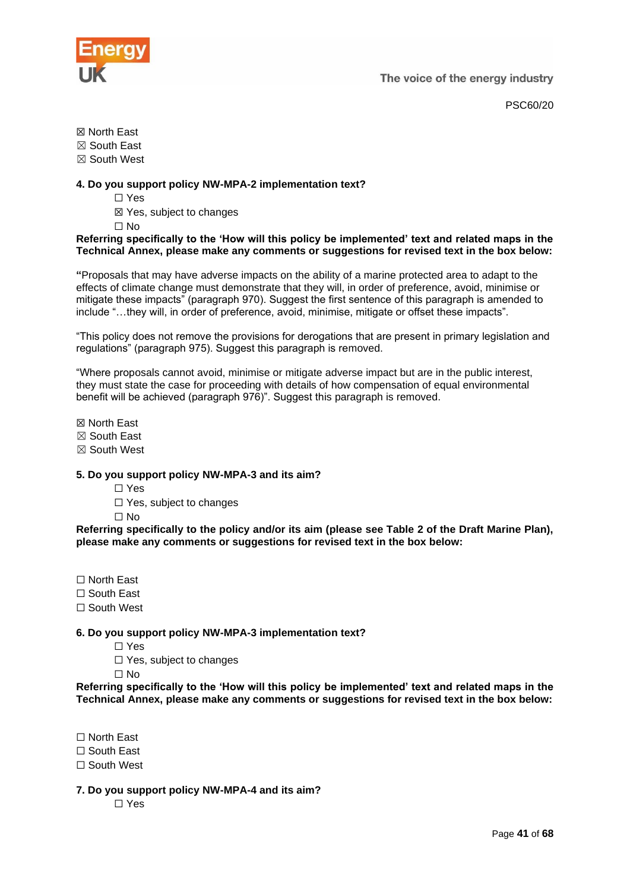

PSC60/20

☒ North East

☒ South East

☒ South West

# **4. Do you support policy NW-MPA-2 implementation text?**

- ☐ Yes
- ☒ Yes, subject to changes

☐ No

#### **Referring specifically to the 'How will this policy be implemented' text and related maps in the Technical Annex, please make any comments or suggestions for revised text in the box below:**

**"**Proposals that may have adverse impacts on the ability of a marine protected area to adapt to the effects of climate change must demonstrate that they will, in order of preference, avoid, minimise or mitigate these impacts" (paragraph 970). Suggest the first sentence of this paragraph is amended to include "…they will, in order of preference, avoid, minimise, mitigate or offset these impacts".

"This policy does not remove the provisions for derogations that are present in primary legislation and regulations" (paragraph 975). Suggest this paragraph is removed.

"Where proposals cannot avoid, minimise or mitigate adverse impact but are in the public interest, they must state the case for proceeding with details of how compensation of equal environmental benefit will be achieved (paragraph 976)". Suggest this paragraph is removed.

☒ North East

- ☒ South East
- ☒ South West

# **5. Do you support policy NW-MPA-3 and its aim?**

- ☐ Yes
- ☐ Yes, subject to changes

☐ No

**Referring specifically to the policy and/or its aim (please see Table 2 of the Draft Marine Plan), please make any comments or suggestions for revised text in the box below:**

- ☐ North East
- ☐ South East
- ☐ South West

# **6. Do you support policy NW-MPA-3 implementation text?**

☐ Yes

☐ Yes, subject to changes

☐ No

**Referring specifically to the 'How will this policy be implemented' text and related maps in the Technical Annex, please make any comments or suggestions for revised text in the box below:**

☐ North East

☐ South East

☐ South West

**7. Do you support policy NW-MPA-4 and its aim?**

☐ Yes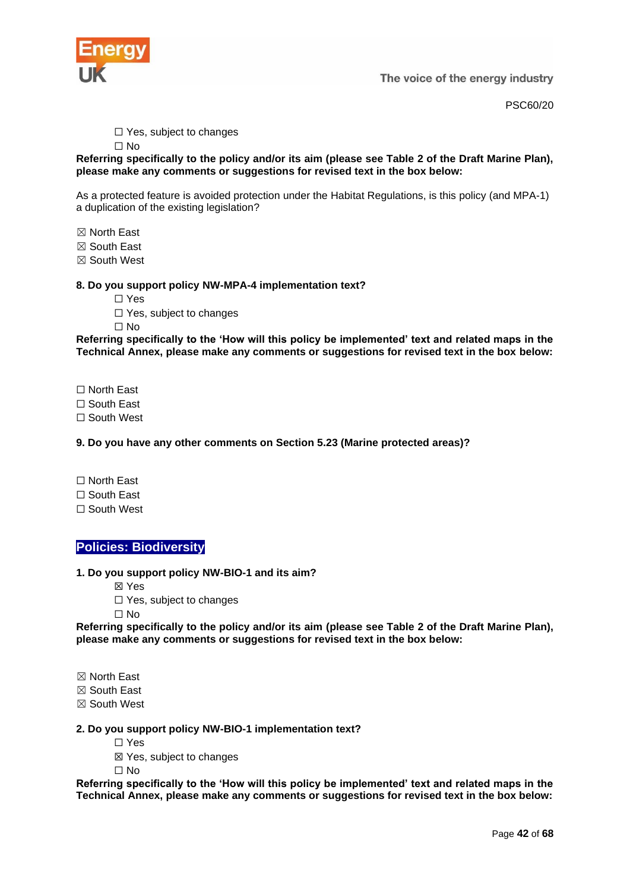

PSC60/20

□ Yes, subject to changes

☐ No

**Referring specifically to the policy and/or its aim (please see Table 2 of the Draft Marine Plan), please make any comments or suggestions for revised text in the box below:**

As a protected feature is avoided protection under the Habitat Regulations, is this policy (and MPA-1) a duplication of the existing legislation?

☒ North East

☒ South East

☒ South West

#### **8. Do you support policy NW-MPA-4 implementation text?**

☐ Yes

☐ Yes, subject to changes

☐ No

**Referring specifically to the 'How will this policy be implemented' text and related maps in the Technical Annex, please make any comments or suggestions for revised text in the box below:**

☐ North East

☐ South East

☐ South West

**9. Do you have any other comments on Section 5.23 (Marine protected areas)?**

- ☐ North East
- ☐ South East

☐ South West

# <span id="page-41-0"></span>**Policies: Biodiversity**

**1. Do you support policy NW-BIO-1 and its aim?**

☒ Yes

□ Yes, subject to changes

☐ No

**Referring specifically to the policy and/or its aim (please see Table 2 of the Draft Marine Plan), please make any comments or suggestions for revised text in the box below:**

☒ North East

☒ South East

☒ South West

#### **2. Do you support policy NW-BIO-1 implementation text?**

☐ Yes

☒ Yes, subject to changes

☐ No

**Referring specifically to the 'How will this policy be implemented' text and related maps in the Technical Annex, please make any comments or suggestions for revised text in the box below:**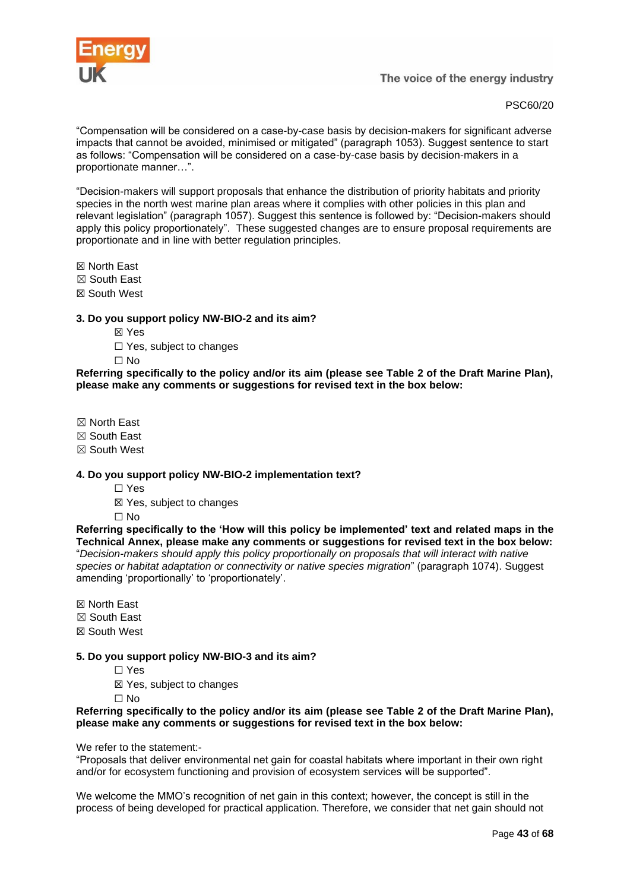

PSC60/20

"Compensation will be considered on a case-by-case basis by decision-makers for significant adverse impacts that cannot be avoided, minimised or mitigated" (paragraph 1053). Suggest sentence to start as follows: "Compensation will be considered on a case-by-case basis by decision-makers in a proportionate manner…".

"Decision-makers will support proposals that enhance the distribution of priority habitats and priority species in the north west marine plan areas where it complies with other policies in this plan and relevant legislation" (paragraph 1057). Suggest this sentence is followed by: "Decision-makers should apply this policy proportionately". These suggested changes are to ensure proposal requirements are proportionate and in line with better regulation principles.

☒ North East

☒ South East

☒ South West

# **3. Do you support policy NW-BIO-2 and its aim?**

- ☒ Yes
- ☐ Yes, subject to changes
- ☐ No

#### **Referring specifically to the policy and/or its aim (please see Table 2 of the Draft Marine Plan), please make any comments or suggestions for revised text in the box below:**

- ☒ North East
- ☒ South East
- ☒ South West

#### **4. Do you support policy NW-BIO-2 implementation text?**

- ☐ Yes
- ☒ Yes, subject to changes
- ☐ No

**Referring specifically to the 'How will this policy be implemented' text and related maps in the Technical Annex, please make any comments or suggestions for revised text in the box below:** "*Decision-makers should apply this policy proportionally on proposals that will interact with native species or habitat adaptation or connectivity or native species migration*" (paragraph 1074). Suggest amending 'proportionally' to 'proportionately'.

☒ North East

- ☒ South East
- ☒ South West

# **5. Do you support policy NW-BIO-3 and its aim?**

- ☐ Yes
- ☒ Yes, subject to changes

☐ No

#### **Referring specifically to the policy and/or its aim (please see Table 2 of the Draft Marine Plan), please make any comments or suggestions for revised text in the box below:**

We refer to the statement:-

"Proposals that deliver environmental net gain for coastal habitats where important in their own right and/or for ecosystem functioning and provision of ecosystem services will be supported".

We welcome the MMO's recognition of net gain in this context: however, the concept is still in the process of being developed for practical application. Therefore, we consider that net gain should not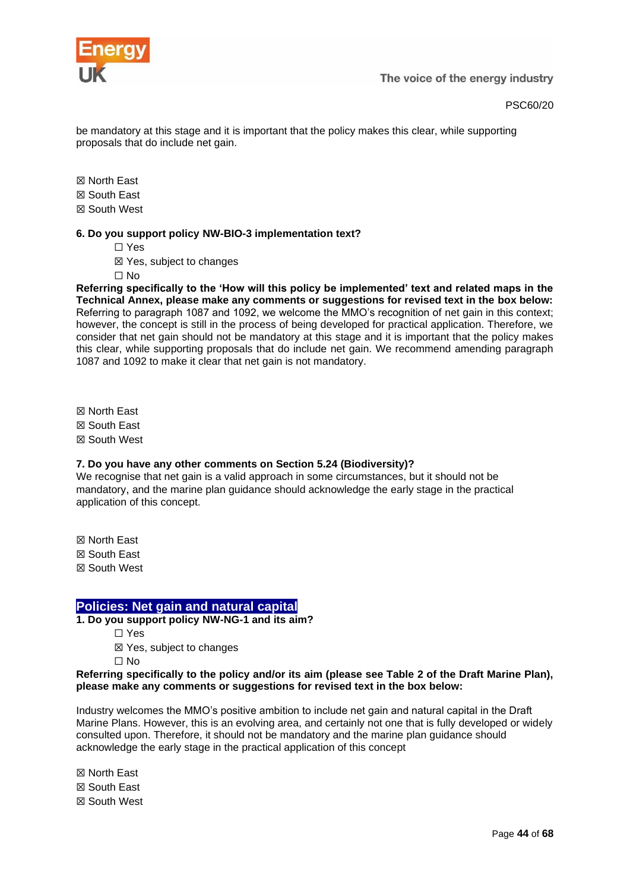

be mandatory at this stage and it is important that the policy makes this clear, while supporting proposals that do include net gain.

☒ North East

☒ South East

☒ South West

#### **6. Do you support policy NW-BIO-3 implementation text?**

☐ Yes

☒ Yes, subject to changes

 $\Box$  No

**Referring specifically to the 'How will this policy be implemented' text and related maps in the Technical Annex, please make any comments or suggestions for revised text in the box below:** Referring to paragraph 1087 and 1092, we welcome the MMO's recognition of net gain in this context; however, the concept is still in the process of being developed for practical application. Therefore, we consider that net gain should not be mandatory at this stage and it is important that the policy makes this clear, while supporting proposals that do include net gain. We recommend amending paragraph 1087 and 1092 to make it clear that net gain is not mandatory.

☒ North East ☒ South East ☒ South West

# **7. Do you have any other comments on Section 5.24 (Biodiversity)?**

We recognise that net gain is a valid approach in some circumstances, but it should not be mandatory, and the marine plan guidance should acknowledge the early stage in the practical application of this concept.

☒ North East ☒ South East ☒ South West

# <span id="page-43-0"></span>**Policies: Net gain and natural capital**

**1. Do you support policy NW-NG-1 and its aim?**

☐ Yes

☒ Yes, subject to changes

☐ No

#### **Referring specifically to the policy and/or its aim (please see Table 2 of the Draft Marine Plan), please make any comments or suggestions for revised text in the box below:**

Industry welcomes the MMO's positive ambition to include net gain and natural capital in the Draft Marine Plans. However, this is an evolving area, and certainly not one that is fully developed or widely consulted upon. Therefore, it should not be mandatory and the marine plan guidance should acknowledge the early stage in the practical application of this concept

☒ North East ☒ South East ☒ South West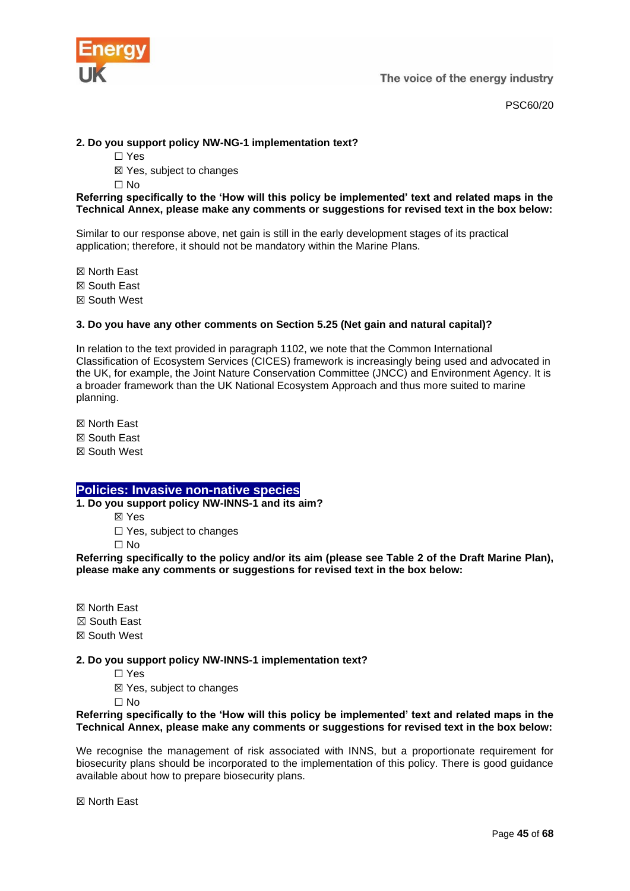

PSC60/20

# **2. Do you support policy NW-NG-1 implementation text?**

☐ Yes

☒ Yes, subject to changes

☐ No

#### **Referring specifically to the 'How will this policy be implemented' text and related maps in the Technical Annex, please make any comments or suggestions for revised text in the box below:**

Similar to our response above, net gain is still in the early development stages of its practical application; therefore, it should not be mandatory within the Marine Plans.

☒ North East ☒ South East

☒ South West

# **3. Do you have any other comments on Section 5.25 (Net gain and natural capital)?**

In relation to the text provided in paragraph 1102, we note that the Common International Classification of Ecosystem Services (CICES) framework is increasingly being used and advocated in the UK, for example, the Joint Nature Conservation Committee (JNCC) and Environment Agency. It is a broader framework than the UK National Ecosystem Approach and thus more suited to marine planning.

☒ North East ☒ South East ☒ South West

# <span id="page-44-0"></span>**Policies: Invasive non-native species**

**1. Do you support policy NW-INNS-1 and its aim?**

☒ Yes

□ Yes, subject to changes

☐ No

**Referring specifically to the policy and/or its aim (please see Table 2 of the Draft Marine Plan), please make any comments or suggestions for revised text in the box below:**

☒ North East ☒ South East ☒ South West

# **2. Do you support policy NW-INNS-1 implementation text?**

☐ Yes

☒ Yes, subject to changes

☐ No

#### **Referring specifically to the 'How will this policy be implemented' text and related maps in the Technical Annex, please make any comments or suggestions for revised text in the box below:**

We recognise the management of risk associated with INNS, but a proportionate requirement for biosecurity plans should be incorporated to the implementation of this policy. There is good guidance available about how to prepare biosecurity plans.

☒ North East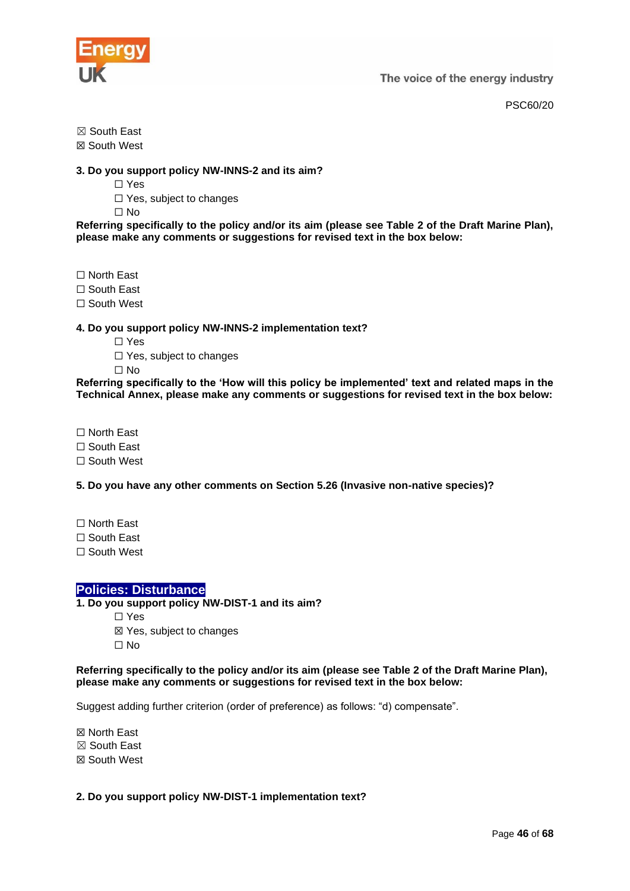

PSC60/20

☒ South East

☒ South West

# **3. Do you support policy NW-INNS-2 and its aim?**

☐ Yes

☐ Yes, subject to changes

 $\Box$  No

**Referring specifically to the policy and/or its aim (please see Table 2 of the Draft Marine Plan), please make any comments or suggestions for revised text in the box below:**

☐ North East

☐ South East

□ South West

# **4. Do you support policy NW-INNS-2 implementation text?**

- ☐ Yes
- □ Yes, subject to changes

☐ No

**Referring specifically to the 'How will this policy be implemented' text and related maps in the Technical Annex, please make any comments or suggestions for revised text in the box below:**

☐ North East

☐ South East

☐ South West

**5. Do you have any other comments on Section 5.26 (Invasive non-native species)?**

- ☐ North East
- ☐ South East

☐ South West

# <span id="page-45-0"></span>**Policies: Disturbance**

**1. Do you support policy NW-DIST-1 and its aim?**

☐ Yes

☒ Yes, subject to changes  $\Box$  No

#### **Referring specifically to the policy and/or its aim (please see Table 2 of the Draft Marine Plan), please make any comments or suggestions for revised text in the box below:**

Suggest adding further criterion (order of preference) as follows: "d) compensate".

☒ North East ☒ South East ☒ South West

# **2. Do you support policy NW-DIST-1 implementation text?**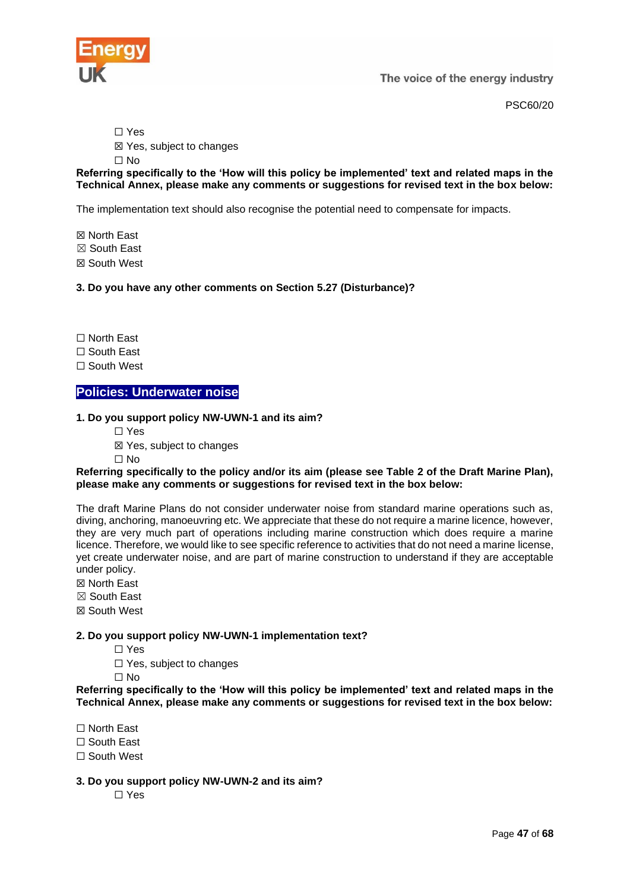

PSC60/20

☐ Yes

☒ Yes, subject to changes

☐ No

**Referring specifically to the 'How will this policy be implemented' text and related maps in the Technical Annex, please make any comments or suggestions for revised text in the box below:**

The implementation text should also recognise the potential need to compensate for impacts.

☒ North East ☒ South East ☒ South West

**3. Do you have any other comments on Section 5.27 (Disturbance)?**

☐ North East

☐ South East

☐ South West

# <span id="page-46-0"></span>**Policies: Underwater noise**

#### **1. Do you support policy NW-UWN-1 and its aim?**

☐ Yes

☒ Yes, subject to changes

 $\Box$  No

#### **Referring specifically to the policy and/or its aim (please see Table 2 of the Draft Marine Plan), please make any comments or suggestions for revised text in the box below:**

The draft Marine Plans do not consider underwater noise from standard marine operations such as, diving, anchoring, manoeuvring etc. We appreciate that these do not require a marine licence, however, they are very much part of operations including marine construction which does require a marine licence. Therefore, we would like to see specific reference to activities that do not need a marine license, yet create underwater noise, and are part of marine construction to understand if they are acceptable under policy.

☒ North East

☒ South East

☒ South West

# **2. Do you support policy NW-UWN-1 implementation text?**

☐ Yes

☐ Yes, subject to changes

☐ No

**Referring specifically to the 'How will this policy be implemented' text and related maps in the Technical Annex, please make any comments or suggestions for revised text in the box below:**

☐ North East

☐ South East

□ South West

**3. Do you support policy NW-UWN-2 and its aim?**

☐ Yes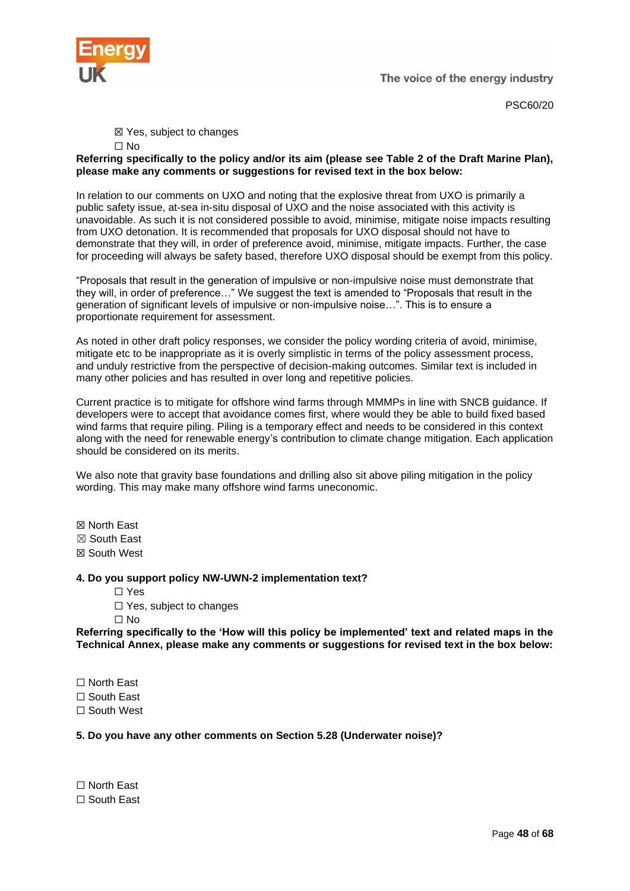

PSC60/20

☒ Yes, subject to changes

☐ No

**Referring specifically to the policy and/or its aim (please see Table 2 of the Draft Marine Plan), please make any comments or suggestions for revised text in the box below:**

In relation to our comments on UXO and noting that the explosive threat from UXO is primarily a public safety issue, at-sea in-situ disposal of UXO and the noise associated with this activity is unavoidable. As such it is not considered possible to avoid, minimise, mitigate noise impacts resulting from UXO detonation. It is recommended that proposals for UXO disposal should not have to demonstrate that they will, in order of preference avoid, minimise, mitigate impacts. Further, the case for proceeding will always be safety based, therefore UXO disposal should be exempt from this policy.

"Proposals that result in the generation of impulsive or non-impulsive noise must demonstrate that they will, in order of preference…" We suggest the text is amended to "Proposals that result in the generation of significant levels of impulsive or non-impulsive noise…". This is to ensure a proportionate requirement for assessment.

As noted in other draft policy responses, we consider the policy wording criteria of avoid, minimise, mitigate etc to be inappropriate as it is overly simplistic in terms of the policy assessment process, and unduly restrictive from the perspective of decision-making outcomes. Similar text is included in many other policies and has resulted in over long and repetitive policies.

Current practice is to mitigate for offshore wind farms through MMMPs in line with SNCB guidance. If developers were to accept that avoidance comes first, where would they be able to build fixed based wind farms that require piling. Piling is a temporary effect and needs to be considered in this context along with the need for renewable energy's contribution to climate change mitigation. Each application should be considered on its merits.

We also note that gravity base foundations and drilling also sit above piling mitigation in the policy wording. This may make many offshore wind farms uneconomic.

☒ North East ☒ South East ☒ South West

#### **4. Do you support policy NW-UWN-2 implementation text?**

☐ Yes

□ Yes, subject to changes

☐ No

**Referring specifically to the 'How will this policy be implemented' text and related maps in the Technical Annex, please make any comments or suggestions for revised text in the box below:**

☐ North East

☐ South East

☐ South West

# **5. Do you have any other comments on Section 5.28 (Underwater noise)?**

☐ North East ☐ South East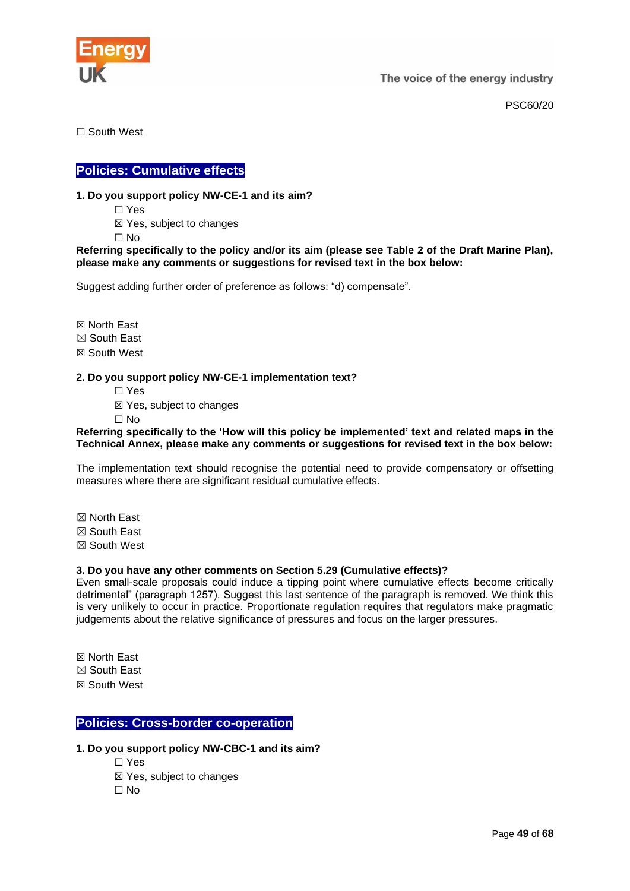

PSC60/20

☐ South West

# <span id="page-48-0"></span>**Policies: Cumulative effects**

# **1. Do you support policy NW-CE-1 and its aim?**

☐ Yes

☒ Yes, subject to changes

 $\Box$  No

#### **Referring specifically to the policy and/or its aim (please see Table 2 of the Draft Marine Plan), please make any comments or suggestions for revised text in the box below:**

Suggest adding further order of preference as follows: "d) compensate".

☒ North East ☒ South East

☒ South West

#### **2. Do you support policy NW-CE-1 implementation text?**

- ☐ Yes
- ☒ Yes, subject to changes
- ☐ No

#### **Referring specifically to the 'How will this policy be implemented' text and related maps in the Technical Annex, please make any comments or suggestions for revised text in the box below:**

The implementation text should recognise the potential need to provide compensatory or offsetting measures where there are significant residual cumulative effects.

- ☒ North East
- ☒ South East
- ☒ South West

# **3. Do you have any other comments on Section 5.29 (Cumulative effects)?**

Even small-scale proposals could induce a tipping point where cumulative effects become critically detrimental" (paragraph 1257). Suggest this last sentence of the paragraph is removed. We think this is very unlikely to occur in practice. Proportionate regulation requires that regulators make pragmatic judgements about the relative significance of pressures and focus on the larger pressures.

☒ North East ☒ South East ☒ South West

# <span id="page-48-1"></span>**Policies: Cross-border co-operation**

# **1. Do you support policy NW-CBC-1 and its aim?**

☐ Yes ☒ Yes, subject to changes ☐ No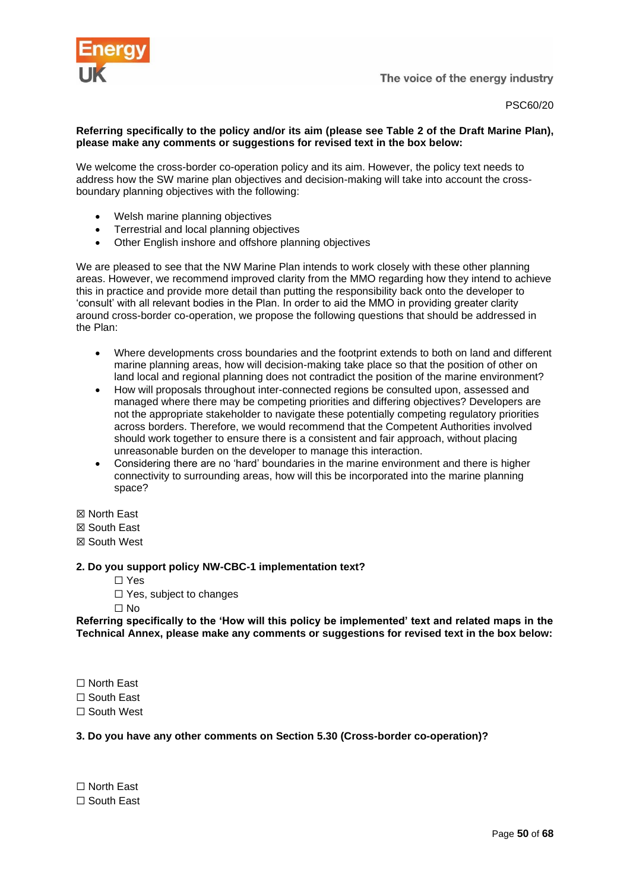

PSC60/20

# **Referring specifically to the policy and/or its aim (please see Table 2 of the Draft Marine Plan), please make any comments or suggestions for revised text in the box below:**

We welcome the cross-border co-operation policy and its aim. However, the policy text needs to address how the SW marine plan objectives and decision-making will take into account the crossboundary planning objectives with the following:

- Welsh marine planning objectives
- Terrestrial and local planning objectives
- Other English inshore and offshore planning objectives

We are pleased to see that the NW Marine Plan intends to work closely with these other planning areas. However, we recommend improved clarity from the MMO regarding how they intend to achieve this in practice and provide more detail than putting the responsibility back onto the developer to 'consult' with all relevant bodies in the Plan. In order to aid the MMO in providing greater clarity around cross-border co-operation, we propose the following questions that should be addressed in the Plan:

- Where developments cross boundaries and the footprint extends to both on land and different marine planning areas, how will decision-making take place so that the position of other on land local and regional planning does not contradict the position of the marine environment?
- How will proposals throughout inter-connected regions be consulted upon, assessed and managed where there may be competing priorities and differing objectives? Developers are not the appropriate stakeholder to navigate these potentially competing regulatory priorities across borders. Therefore, we would recommend that the Competent Authorities involved should work together to ensure there is a consistent and fair approach, without placing unreasonable burden on the developer to manage this interaction.
- Considering there are no 'hard' boundaries in the marine environment and there is higher connectivity to surrounding areas, how will this be incorporated into the marine planning space?

☒ North East

☒ South East

☒ South West

# **2. Do you support policy NW-CBC-1 implementation text?**

- ☐ Yes
- ☐ Yes, subject to changes

☐ No

**Referring specifically to the 'How will this policy be implemented' text and related maps in the Technical Annex, please make any comments or suggestions for revised text in the box below:**

☐ North East

☐ South East

☐ South West

# **3. Do you have any other comments on Section 5.30 (Cross-border co-operation)?**

☐ North East ☐ South East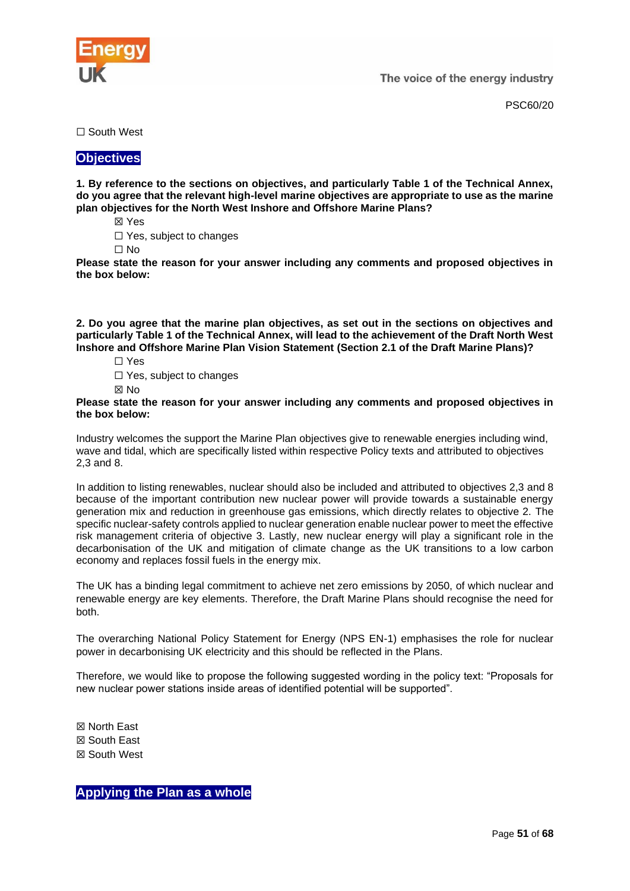

PSC60/20

☐ South West

# <span id="page-50-0"></span>**Objectives**

**1. By reference to the sections on objectives, and particularly Table 1 of the Technical Annex, do you agree that the relevant high-level marine objectives are appropriate to use as the marine plan objectives for the North West Inshore and Offshore Marine Plans?**

☒ Yes

☐ Yes, subject to changes

☐ No

**Please state the reason for your answer including any comments and proposed objectives in the box below:**

**2. Do you agree that the marine plan objectives, as set out in the sections on objectives and particularly Table 1 of the Technical Annex, will lead to the achievement of the Draft North West Inshore and Offshore Marine Plan Vision Statement (Section 2.1 of the Draft Marine Plans)?**

- ☐ Yes
- ☐ Yes, subject to changes
- ☒ No

**Please state the reason for your answer including any comments and proposed objectives in the box below:**

Industry welcomes the support the Marine Plan objectives give to renewable energies including wind, wave and tidal, which are specifically listed within respective Policy texts and attributed to objectives 2,3 and 8.

In addition to listing renewables, nuclear should also be included and attributed to objectives 2,3 and 8 because of the important contribution new nuclear power will provide towards a sustainable energy generation mix and reduction in greenhouse gas emissions, which directly relates to objective 2. The specific nuclear-safety controls applied to nuclear generation enable nuclear power to meet the effective risk management criteria of objective 3. Lastly, new nuclear energy will play a significant role in the decarbonisation of the UK and mitigation of climate change as the UK transitions to a low carbon economy and replaces fossil fuels in the energy mix.

The UK has a binding legal commitment to achieve net zero emissions by 2050, of which nuclear and renewable energy are key elements. Therefore, the Draft Marine Plans should recognise the need for both.

The overarching National Policy Statement for Energy (NPS EN-1) emphasises the role for nuclear power in decarbonising UK electricity and this should be reflected in the Plans.

Therefore, we would like to propose the following suggested wording in the policy text: "Proposals for new nuclear power stations inside areas of identified potential will be supported".

☒ North East ☒ South East ☒ South West

<span id="page-50-1"></span>**Applying the Plan as a whole**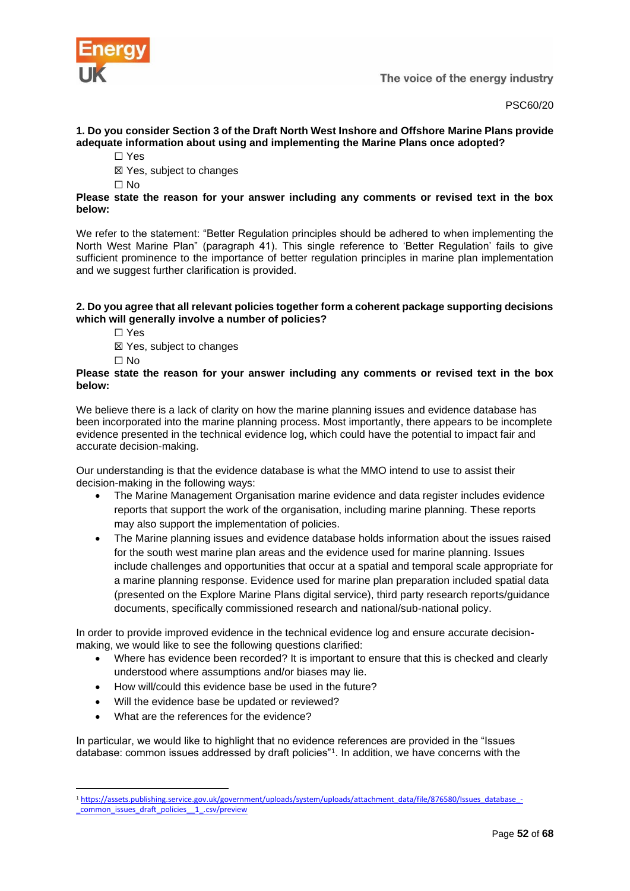

PSC60/20

# **1. Do you consider Section 3 of the Draft North West Inshore and Offshore Marine Plans provide adequate information about using and implementing the Marine Plans once adopted?**

- ☐ Yes
- ☒ Yes, subject to changes
- ☐ No

# **Please state the reason for your answer including any comments or revised text in the box below:**

We refer to the statement: "Better Regulation principles should be adhered to when implementing the North West Marine Plan" (paragraph 41). This single reference to 'Better Regulation' fails to give sufficient prominence to the importance of better regulation principles in marine plan implementation and we suggest further clarification is provided.

# **2. Do you agree that all relevant policies together form a coherent package supporting decisions which will generally involve a number of policies?**

☐ Yes

☒ Yes, subject to changes

 $\Box$  No

#### **Please state the reason for your answer including any comments or revised text in the box below:**

We believe there is a lack of clarity on how the marine planning issues and evidence database has been incorporated into the marine planning process. Most importantly, there appears to be incomplete evidence presented in the technical evidence log, which could have the potential to impact fair and accurate decision-making.

Our understanding is that the evidence database is what the MMO intend to use to assist their decision-making in the following ways:

- The Marine Management Organisation marine evidence and data register includes evidence reports that support the work of the organisation, including marine planning. These reports may also support the implementation of policies.
- The Marine planning issues and evidence database holds information about the issues raised for the south west marine plan areas and the evidence used for marine planning. Issues include challenges and opportunities that occur at a spatial and temporal scale appropriate for a marine planning response. Evidence used for marine plan preparation included spatial data (presented on the Explore Marine Plans digital service), third party research reports/guidance documents, specifically commissioned research and national/sub-national policy.

In order to provide improved evidence in the technical evidence log and ensure accurate decisionmaking, we would like to see the following questions clarified:

- Where has evidence been recorded? It is important to ensure that this is checked and clearly understood where assumptions and/or biases may lie.
- How will/could this evidence base be used in the future?
- Will the evidence base be updated or reviewed?
- What are the references for the evidence?

In particular, we would like to highlight that no evidence references are provided in the "Issues database: common issues addressed by draft policies"<sup>1</sup> . In addition, we have concerns with the

<sup>1</sup> [https://assets.publishing.service.gov.uk/government/uploads/system/uploads/attachment\\_data/file/876580/Issues\\_database\\_-](https://assets.publishing.service.gov.uk/government/uploads/system/uploads/attachment_data/file/876580/Issues_database_-_common_issues_draft_policies__1_.csv/preview) [\\_common\\_issues\\_draft\\_policies\\_\\_1\\_.csv/preview](https://assets.publishing.service.gov.uk/government/uploads/system/uploads/attachment_data/file/876580/Issues_database_-_common_issues_draft_policies__1_.csv/preview)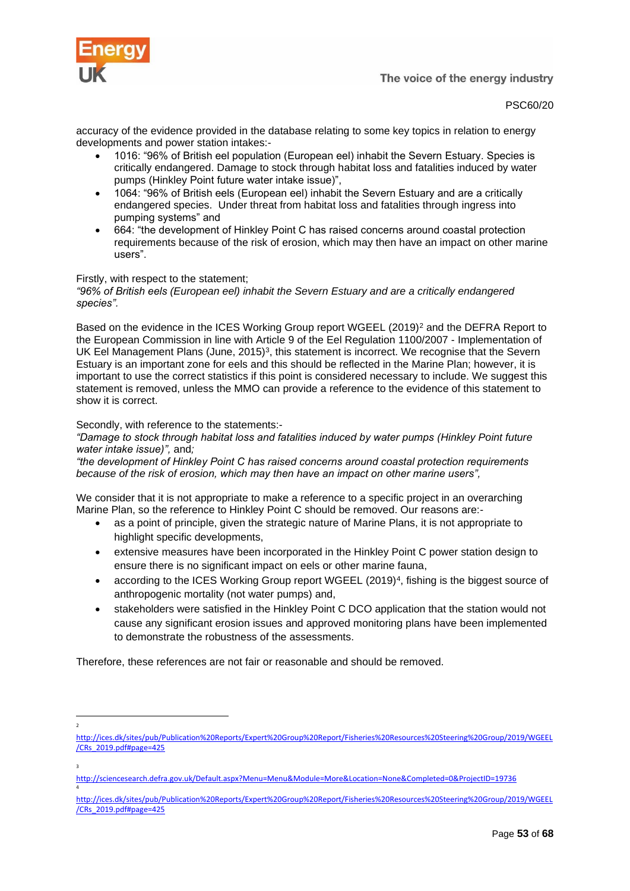

PSC60/20

accuracy of the evidence provided in the database relating to some key topics in relation to energy developments and power station intakes:-

- 1016: "96% of British eel population (European eel) inhabit the Severn Estuary. Species is critically endangered. Damage to stock through habitat loss and fatalities induced by water pumps (Hinkley Point future water intake issue)",
- 1064: "96% of British eels (European eel) inhabit the Severn Estuary and are a critically endangered species. Under threat from habitat loss and fatalities through ingress into pumping systems" and
- 664: "the development of Hinkley Point C has raised concerns around coastal protection requirements because of the risk of erosion, which may then have an impact on other marine users".

# Firstly, with respect to the statement;

*"96% of British eels (European eel) inhabit the Severn Estuary and are a critically endangered species".*

Based on the evidence in the ICES Working Group report WGEEL (2019)<sup>2</sup> and the DEFRA Report to the European Commission in line with Article 9 of the Eel Regulation 1100/2007 - Implementation of UK Eel Management Plans (June, 2015)<sup>3</sup>, this statement is incorrect. We recognise that the Severn Estuary is an important zone for eels and this should be reflected in the Marine Plan; however, it is important to use the correct statistics if this point is considered necessary to include. We suggest this statement is removed, unless the MMO can provide a reference to the evidence of this statement to show it is correct.

#### Secondly, with reference to the statements:-

2

3

4

*"Damage to stock through habitat loss and fatalities induced by water pumps (Hinkley Point future water intake issue)",* and*;*

*"the development of Hinkley Point C has raised concerns around coastal protection requirements because of the risk of erosion, which may then have an impact on other marine users",*

We consider that it is not appropriate to make a reference to a specific project in an overarching Marine Plan, so the reference to Hinkley Point C should be removed. Our reasons are:-

- as a point of principle, given the strategic nature of Marine Plans, it is not appropriate to highlight specific developments,
- extensive measures have been incorporated in the Hinkley Point C power station design to ensure there is no significant impact on eels or other marine fauna,
- according to the ICES Working Group report WGEEL (2019)<sup>4</sup>, fishing is the biggest source of anthropogenic mortality (not water pumps) and,
- stakeholders were satisfied in the Hinkley Point C DCO application that the station would not cause any significant erosion issues and approved monitoring plans have been implemented to demonstrate the robustness of the assessments.

Therefore, these references are not fair or reasonable and should be removed.

[http://ices.dk/sites/pub/Publication%20Reports/Expert%20Group%20Report/Fisheries%20Resources%20Steering%20Group/2019/WGEEL](http://ices.dk/sites/pub/Publication%20Reports/Expert%20Group%20Report/Fisheries%20Resources%20Steering%20Group/2019/WGEEL/CRs_2019.pdf#page=425) [/CRs\\_2019.pdf#page=425](http://ices.dk/sites/pub/Publication%20Reports/Expert%20Group%20Report/Fisheries%20Resources%20Steering%20Group/2019/WGEEL/CRs_2019.pdf#page=425)

<http://sciencesearch.defra.gov.uk/Default.aspx?Menu=Menu&Module=More&Location=None&Completed=0&ProjectID=19736>

[http://ices.dk/sites/pub/Publication%20Reports/Expert%20Group%20Report/Fisheries%20Resources%20Steering%20Group/2019/WGEEL](http://ices.dk/sites/pub/Publication%20Reports/Expert%20Group%20Report/Fisheries%20Resources%20Steering%20Group/2019/WGEEL/CRs_2019.pdf#page=425) [/CRs\\_2019.pdf#page=425](http://ices.dk/sites/pub/Publication%20Reports/Expert%20Group%20Report/Fisheries%20Resources%20Steering%20Group/2019/WGEEL/CRs_2019.pdf#page=425)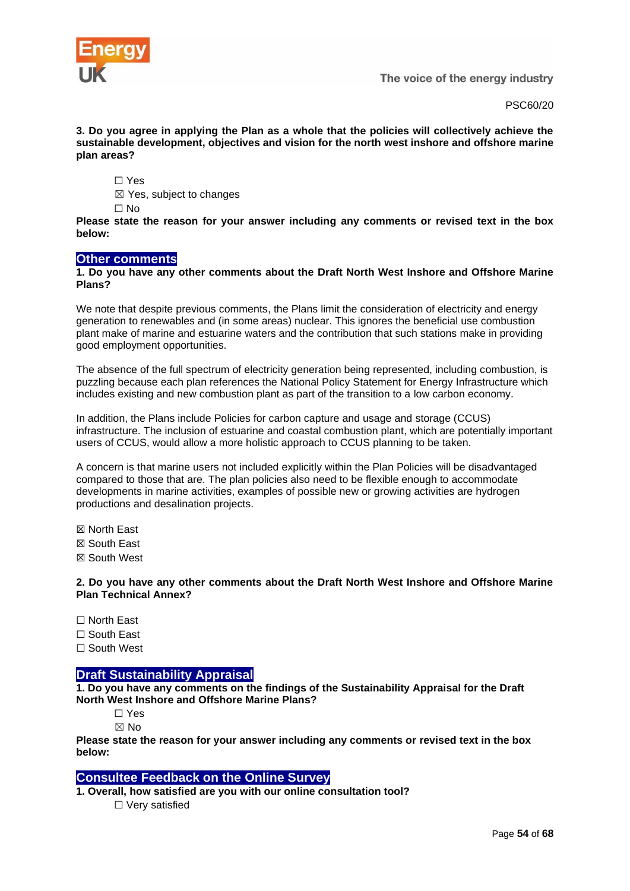

PSC60/20

**3. Do you agree in applying the Plan as a whole that the policies will collectively achieve the sustainable development, objectives and vision for the north west inshore and offshore marine plan areas?**

☐ Yes

☒ Yes, subject to changes

☐ No

**Please state the reason for your answer including any comments or revised text in the box below:**

# <span id="page-53-0"></span>**Other comments**

#### **1. Do you have any other comments about the Draft North West Inshore and Offshore Marine Plans?**

We note that despite previous comments, the Plans limit the consideration of electricity and energy generation to renewables and (in some areas) nuclear. This ignores the beneficial use combustion plant make of marine and estuarine waters and the contribution that such stations make in providing good employment opportunities.

The absence of the full spectrum of electricity generation being represented, including combustion, is puzzling because each plan references the National Policy Statement for Energy Infrastructure which includes existing and new combustion plant as part of the transition to a low carbon economy.

In addition, the Plans include Policies for carbon capture and usage and storage (CCUS) infrastructure. The inclusion of estuarine and coastal combustion plant, which are potentially important users of CCUS, would allow a more holistic approach to CCUS planning to be taken.

A concern is that marine users not included explicitly within the Plan Policies will be disadvantaged compared to those that are. The plan policies also need to be flexible enough to accommodate developments in marine activities, examples of possible new or growing activities are hydrogen productions and desalination projects.

☒ North East

☒ South East

☒ South West

**2. Do you have any other comments about the Draft North West Inshore and Offshore Marine Plan Technical Annex?**

☐ North East

☐ South East

☐ South West

# <span id="page-53-1"></span>**Draft Sustainability Appraisal**

**1. Do you have any comments on the findings of the Sustainability Appraisal for the Draft North West Inshore and Offshore Marine Plans?**

☐ Yes

☒ No

**Please state the reason for your answer including any comments or revised text in the box below:**

# <span id="page-53-2"></span>**Consultee Feedback on the Online Survey**

**1. Overall, how satisfied are you with our online consultation tool?** ☐ Very satisfied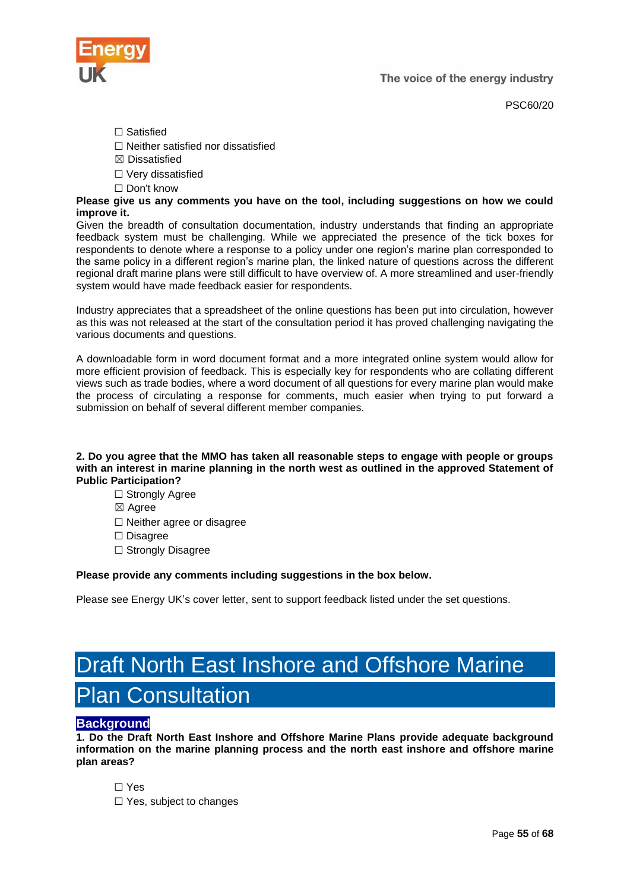PSC60/20

- ☐ Satisfied
- ☐ Neither satisfied nor dissatisfied
- $\boxtimes$  Dissatisfied
- ☐ Very dissatisfied
- ☐ Don't know

**Please give us any comments you have on the tool, including suggestions on how we could improve it.**

Given the breadth of consultation documentation, industry understands that finding an appropriate feedback system must be challenging. While we appreciated the presence of the tick boxes for respondents to denote where a response to a policy under one region's marine plan corresponded to the same policy in a different region's marine plan, the linked nature of questions across the different regional draft marine plans were still difficult to have overview of. A more streamlined and user-friendly system would have made feedback easier for respondents.

Industry appreciates that a spreadsheet of the online questions has been put into circulation, however as this was not released at the start of the consultation period it has proved challenging navigating the various documents and questions.

A downloadable form in word document format and a more integrated online system would allow for more efficient provision of feedback. This is especially key for respondents who are collating different views such as trade bodies, where a word document of all questions for every marine plan would make the process of circulating a response for comments, much easier when trying to put forward a submission on behalf of several different member companies.

#### **2. Do you agree that the MMO has taken all reasonable steps to engage with people or groups with an interest in marine planning in the north west as outlined in the approved Statement of Public Participation?**

- □ Strongly Agree
- ☒ Agree
- ☐ Neither agree or disagree
- ☐ Disagree
- □ Strongly Disagree

# **Please provide any comments including suggestions in the box below.**

Please see Energy UK's cover letter, sent to support feedback listed under the set questions.

# <span id="page-54-0"></span>Draft North East Inshore and Offshore Marine Plan Consultation

# <span id="page-54-1"></span>**Background**

**1. Do the Draft North East Inshore and Offshore Marine Plans provide adequate background information on the marine planning process and the north east inshore and offshore marine plan areas?**

☐ Yes

☐ Yes, subject to changes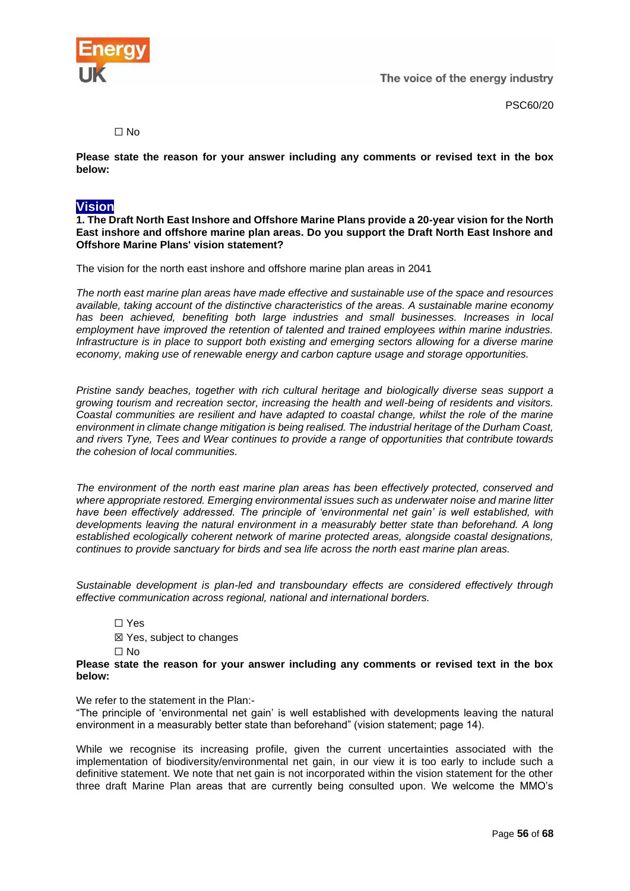

PSC60/20

 $\Box$  No

**Please state the reason for your answer including any comments or revised text in the box below:**

# <span id="page-55-0"></span>**Vision**

**1. The Draft North East Inshore and Offshore Marine Plans provide a 20-year vision for the North East inshore and offshore marine plan areas. Do you support the Draft North East Inshore and Offshore Marine Plans' vision statement?**

The vision for the north east inshore and offshore marine plan areas in 2041

*The north east marine plan areas have made effective and sustainable use of the space and resources available, taking account of the distinctive characteristics of the areas. A sustainable marine economy has been achieved, benefiting both large industries and small businesses. Increases in local employment have improved the retention of talented and trained employees within marine industries. Infrastructure is in place to support both existing and emerging sectors allowing for a diverse marine economy, making use of renewable energy and carbon capture usage and storage opportunities.*

*Pristine sandy beaches, together with rich cultural heritage and biologically diverse seas support a growing tourism and recreation sector, increasing the health and well-being of residents and visitors. Coastal communities are resilient and have adapted to coastal change, whilst the role of the marine environment in climate change mitigation is being realised. The industrial heritage of the Durham Coast, and rivers Tyne, Tees and Wear continues to provide a range of opportunities that contribute towards the cohesion of local communities.*

*The environment of the north east marine plan areas has been effectively protected, conserved and where appropriate restored. Emerging environmental issues such as underwater noise and marine litter have been effectively addressed. The principle of 'environmental net gain' is well established, with developments leaving the natural environment in a measurably better state than beforehand. A long established ecologically coherent network of marine protected areas, alongside coastal designations, continues to provide sanctuary for birds and sea life across the north east marine plan areas.*

*Sustainable development is plan-led and transboundary effects are considered effectively through effective communication across regional, national and international borders.*

☐ Yes ☒ Yes, subject to changes ☐ No

#### **Please state the reason for your answer including any comments or revised text in the box below:**

#### We refer to the statement in the Plan:-

"The principle of 'environmental net gain' is well established with developments leaving the natural environment in a measurably better state than beforehand" (vision statement; page 14).

While we recognise its increasing profile, given the current uncertainties associated with the implementation of biodiversity/environmental net gain, in our view it is too early to include such a definitive statement. We note that net gain is not incorporated within the vision statement for the other three draft Marine Plan areas that are currently being consulted upon. We welcome the MMO's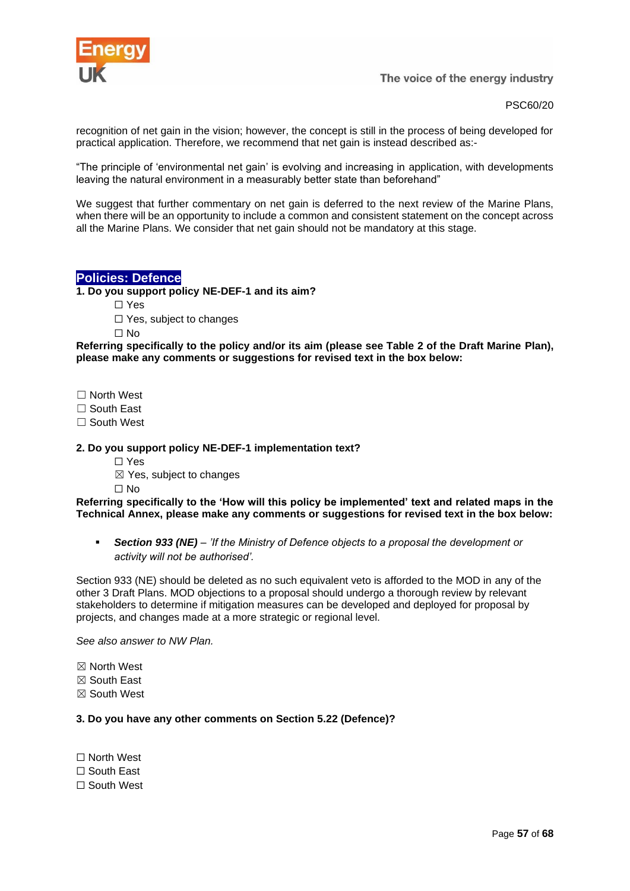

PSC60/20

recognition of net gain in the vision; however, the concept is still in the process of being developed for practical application. Therefore, we recommend that net gain is instead described as:-

"The principle of 'environmental net gain' is evolving and increasing in application, with developments leaving the natural environment in a measurably better state than beforehand"

We suggest that further commentary on net gain is deferred to the next review of the Marine Plans, when there will be an opportunity to include a common and consistent statement on the concept across all the Marine Plans. We consider that net gain should not be mandatory at this stage.

# <span id="page-56-0"></span>**Policies: Defence**

**1. Do you support policy NE-DEF-1 and its aim?**

- ☐ Yes
	- □ Yes, subject to changes

 $\Box$  No

**Referring specifically to the policy and/or its aim (please see Table 2 of the Draft Marine Plan), please make any comments or suggestions for revised text in the box below:**

☐ North West

□ South East

☐ South West

#### **2. Do you support policy NE-DEF-1 implementation text?**

- ☐ Yes
- $\boxtimes$  Yes, subject to changes

 $\Box$  No

#### **Referring specifically to the 'How will this policy be implemented' text and related maps in the Technical Annex, please make any comments or suggestions for revised text in the box below:**

▪ *Section 933 (NE) – 'If the Ministry of Defence objects to a proposal the development or activity will not be authorised'.* 

Section 933 (NE) should be deleted as no such equivalent veto is afforded to the MOD in any of the other 3 Draft Plans. MOD objections to a proposal should undergo a thorough review by relevant stakeholders to determine if mitigation measures can be developed and deployed for proposal by projects, and changes made at a more strategic or regional level.

*See also answer to NW Plan.*

☒ North West

- ☒ South East
- ☒ South West

#### **3. Do you have any other comments on Section 5.22 (Defence)?**

☐ North West ☐ South East ☐ South West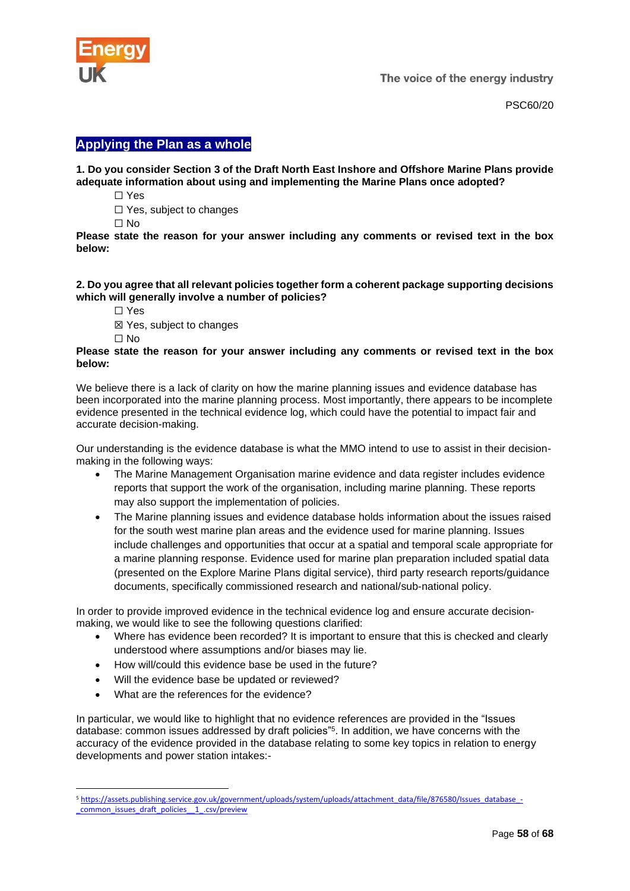

PSC60/20

# <span id="page-57-0"></span>**Applying the Plan as a whole**

#### **1. Do you consider Section 3 of the Draft North East Inshore and Offshore Marine Plans provide adequate information about using and implementing the Marine Plans once adopted?**

- ☐ Yes
- □ Yes, subject to changes
- ☐ No

**Please state the reason for your answer including any comments or revised text in the box below:**

#### **2. Do you agree that all relevant policies together form a coherent package supporting decisions which will generally involve a number of policies?**

- ☐ Yes
- ☒ Yes, subject to changes
- ☐ No

#### **Please state the reason for your answer including any comments or revised text in the box below:**

We believe there is a lack of clarity on how the marine planning issues and evidence database has been incorporated into the marine planning process. Most importantly, there appears to be incomplete evidence presented in the technical evidence log, which could have the potential to impact fair and accurate decision-making.

Our understanding is the evidence database is what the MMO intend to use to assist in their decisionmaking in the following ways:

- The Marine Management Organisation marine evidence and data register includes evidence reports that support the work of the organisation, including marine planning. These reports may also support the implementation of policies.
- The Marine planning issues and evidence database holds information about the issues raised for the south west marine plan areas and the evidence used for marine planning. Issues include challenges and opportunities that occur at a spatial and temporal scale appropriate for a marine planning response. Evidence used for marine plan preparation included spatial data (presented on the Explore Marine Plans digital service), third party research reports/guidance documents, specifically commissioned research and national/sub-national policy.

In order to provide improved evidence in the technical evidence log and ensure accurate decisionmaking, we would like to see the following questions clarified:

- Where has evidence been recorded? It is important to ensure that this is checked and clearly understood where assumptions and/or biases may lie.
- How will/could this evidence base be used in the future?
- Will the evidence base be updated or reviewed?
- What are the references for the evidence?

In particular, we would like to highlight that no evidence references are provided in the "Issues database: common issues addressed by draft policies"<sup>5</sup> . In addition, we have concerns with the accuracy of the evidence provided in the database relating to some key topics in relation to energy developments and power station intakes:-

<sup>5</sup> [https://assets.publishing.service.gov.uk/government/uploads/system/uploads/attachment\\_data/file/876580/Issues\\_database\\_-](https://assets.publishing.service.gov.uk/government/uploads/system/uploads/attachment_data/file/876580/Issues_database_-_common_issues_draft_policies__1_.csv/preview) [\\_common\\_issues\\_draft\\_policies\\_\\_1\\_.csv/preview](https://assets.publishing.service.gov.uk/government/uploads/system/uploads/attachment_data/file/876580/Issues_database_-_common_issues_draft_policies__1_.csv/preview)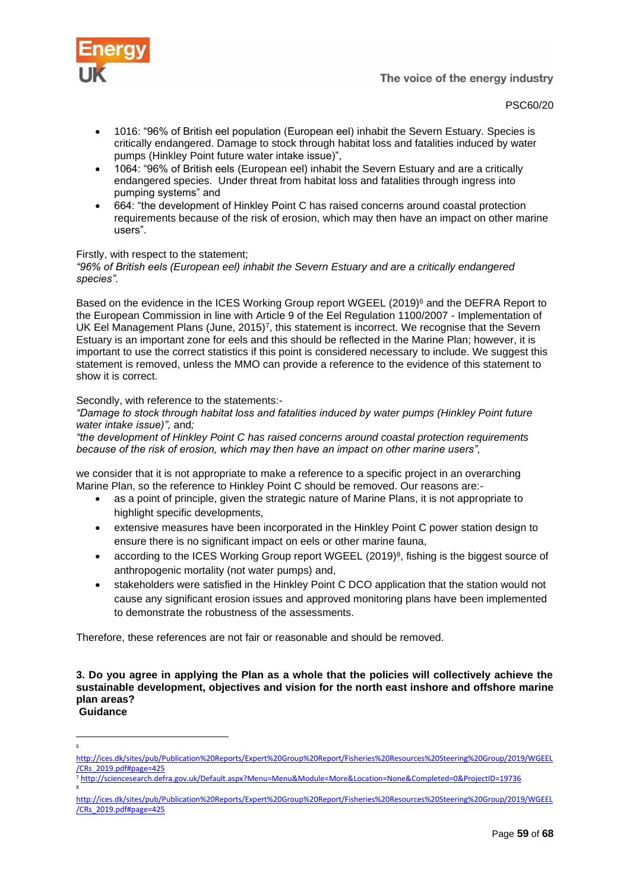

#### PSC60/20

- 1016: "96% of British eel population (European eel) inhabit the Severn Estuary. Species is critically endangered. Damage to stock through habitat loss and fatalities induced by water pumps (Hinkley Point future water intake issue)",
- 1064: "96% of British eels (European eel) inhabit the Severn Estuary and are a critically endangered species. Under threat from habitat loss and fatalities through ingress into pumping systems" and
- 664: "the development of Hinkley Point C has raised concerns around coastal protection requirements because of the risk of erosion, which may then have an impact on other marine users".

# Firstly, with respect to the statement;

*"96% of British eels (European eel) inhabit the Severn Estuary and are a critically endangered species".*

Based on the evidence in the ICES Working Group report WGEEL (2019)<sup>6</sup> and the DEFRA Report to the European Commission in line with Article 9 of the Eel Regulation 1100/2007 - Implementation of UK Eel Management Plans (June, 2015)<sup>7</sup>, this statement is incorrect. We recognise that the Severn Estuary is an important zone for eels and this should be reflected in the Marine Plan; however, it is important to use the correct statistics if this point is considered necessary to include. We suggest this statement is removed, unless the MMO can provide a reference to the evidence of this statement to show it is correct.

#### Secondly, with reference to the statements:-

*"Damage to stock through habitat loss and fatalities induced by water pumps (Hinkley Point future water intake issue)",* and*;*

*"the development of Hinkley Point C has raised concerns around coastal protection requirements because of the risk of erosion, which may then have an impact on other marine users",*

we consider that it is not appropriate to make a reference to a specific project in an overarching Marine Plan, so the reference to Hinkley Point C should be removed. Our reasons are:-

- as a point of principle, given the strategic nature of Marine Plans, it is not appropriate to highlight specific developments,
- extensive measures have been incorporated in the Hinkley Point C power station design to ensure there is no significant impact on eels or other marine fauna,
- according to the ICES Working Group report WGEEL (2019)<sup>8</sup>, fishing is the biggest source of anthropogenic mortality (not water pumps) and,
- stakeholders were satisfied in the Hinkley Point C DCO application that the station would not cause any significant erosion issues and approved monitoring plans have been implemented to demonstrate the robustness of the assessments.

Therefore, these references are not fair or reasonable and should be removed.

**3. Do you agree in applying the Plan as a whole that the policies will collectively achieve the sustainable development, objectives and vision for the north east inshore and offshore marine plan areas? Guidance**

6

[http://ices.dk/sites/pub/Publication%20Reports/Expert%20Group%20Report/Fisheries%20Resources%20Steering%20Group/2019/WGEEL](http://ices.dk/sites/pub/Publication%20Reports/Expert%20Group%20Report/Fisheries%20Resources%20Steering%20Group/2019/WGEEL/CRs_2019.pdf#page=425) [/CRs\\_2019.pdf#page=425](http://ices.dk/sites/pub/Publication%20Reports/Expert%20Group%20Report/Fisheries%20Resources%20Steering%20Group/2019/WGEEL/CRs_2019.pdf#page=425)

<sup>7</sup> <http://sciencesearch.defra.gov.uk/Default.aspx?Menu=Menu&Module=More&Location=None&Completed=0&ProjectID=19736> 8

[http://ices.dk/sites/pub/Publication%20Reports/Expert%20Group%20Report/Fisheries%20Resources%20Steering%20Group/2019/WGEEL](http://ices.dk/sites/pub/Publication%20Reports/Expert%20Group%20Report/Fisheries%20Resources%20Steering%20Group/2019/WGEEL/CRs_2019.pdf#page=425) [/CRs\\_2019.pdf#page=425](http://ices.dk/sites/pub/Publication%20Reports/Expert%20Group%20Report/Fisheries%20Resources%20Steering%20Group/2019/WGEEL/CRs_2019.pdf#page=425)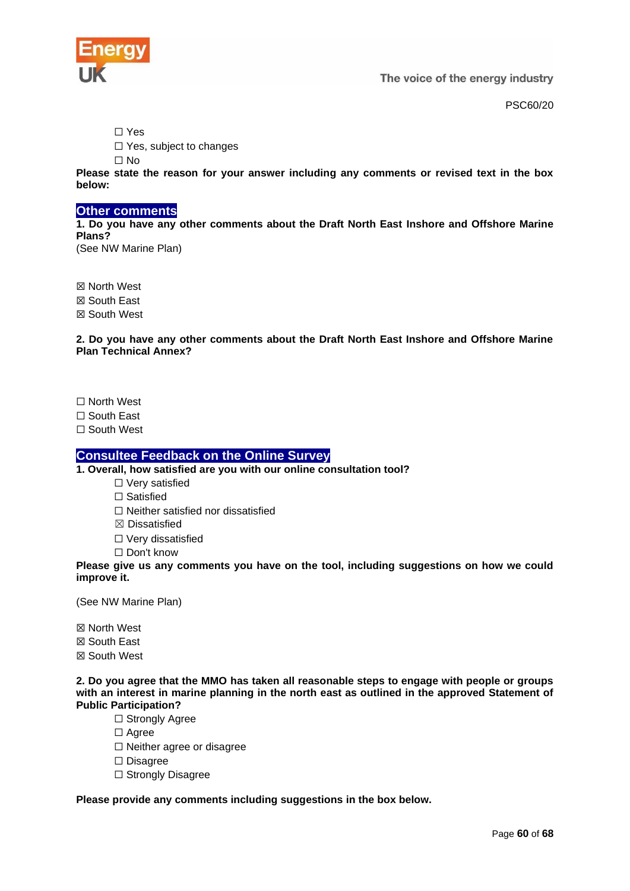

PSC60/20

☐ Yes

□ Yes, subject to changes

☐ No

**Please state the reason for your answer including any comments or revised text in the box below:**

# <span id="page-59-0"></span>**Other comments**

**1. Do you have any other comments about the Draft North East Inshore and Offshore Marine Plans?**

(See NW Marine Plan)

☒ North West ☒ South East ☒ South West

**2. Do you have any other comments about the Draft North East Inshore and Offshore Marine Plan Technical Annex?**

☐ North West

☐ South East

☐ South West

# <span id="page-59-1"></span>**Consultee Feedback on the Online Survey**

**1. Overall, how satisfied are you with our online consultation tool?**

- ☐ Very satisfied
- ☐ Satisfied
- ☐ Neither satisfied nor dissatisfied
- ☒ Dissatisfied
- ☐ Very dissatisfied

☐ Don't know

**Please give us any comments you have on the tool, including suggestions on how we could improve it.**

(See NW Marine Plan)

☒ North West

☒ South East

☒ South West

**2. Do you agree that the MMO has taken all reasonable steps to engage with people or groups with an interest in marine planning in the north east as outlined in the approved Statement of Public Participation?**

- □ Strongly Agree
- □ Agree
- ☐ Neither agree or disagree
- ☐ Disagree
- □ Strongly Disagree

# **Please provide any comments including suggestions in the box below.**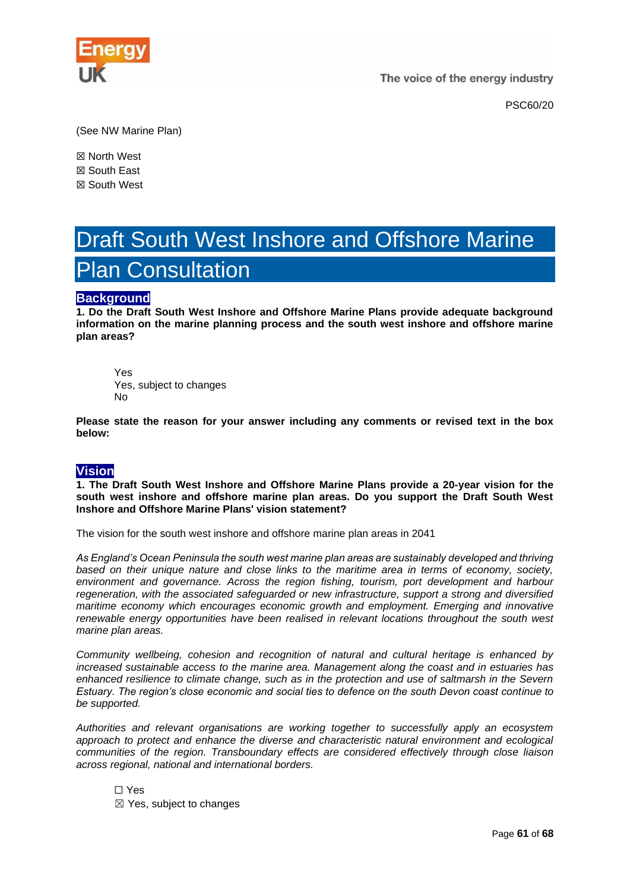

PSC60/20

(See NW Marine Plan)

☒ North West ☒ South East ☒ South West

# <span id="page-60-0"></span>Draft South West Inshore and Offshore Marine Plan Consultation

# <span id="page-60-1"></span>**Background**

**1. Do the Draft South West Inshore and Offshore Marine Plans provide adequate background information on the marine planning process and the south west inshore and offshore marine plan areas?**

**Y**es Yes, subject to changes No

**Please state the reason for your answer including any comments or revised text in the box below:**

# <span id="page-60-2"></span>**Vision**

**1. The Draft South West Inshore and Offshore Marine Plans provide a 20-year vision for the south west inshore and offshore marine plan areas. Do you support the Draft South West Inshore and Offshore Marine Plans' vision statement?**

The vision for the south west inshore and offshore marine plan areas in 2041

*As England's Ocean Peninsula the south west marine plan areas are sustainably developed and thriving based on their unique nature and close links to the maritime area in terms of economy, society, environment and governance. Across the region fishing, tourism, port development and harbour regeneration, with the associated safeguarded or new infrastructure, support a strong and diversified maritime economy which encourages economic growth and employment. Emerging and innovative renewable energy opportunities have been realised in relevant locations throughout the south west marine plan areas.* 

*Community wellbeing, cohesion and recognition of natural and cultural heritage is enhanced by increased sustainable access to the marine area. Management along the coast and in estuaries has enhanced resilience to climate change, such as in the protection and use of saltmarsh in the Severn Estuary. The region's close economic and social ties to defence on the south Devon coast continue to be supported.*

*Authorities and relevant organisations are working together to successfully apply an ecosystem approach to protect and enhance the diverse and characteristic natural environment and ecological communities of the region. Transboundary effects are considered effectively through close liaison across regional, national and international borders.*

☐ Yes ☒ Yes, subject to changes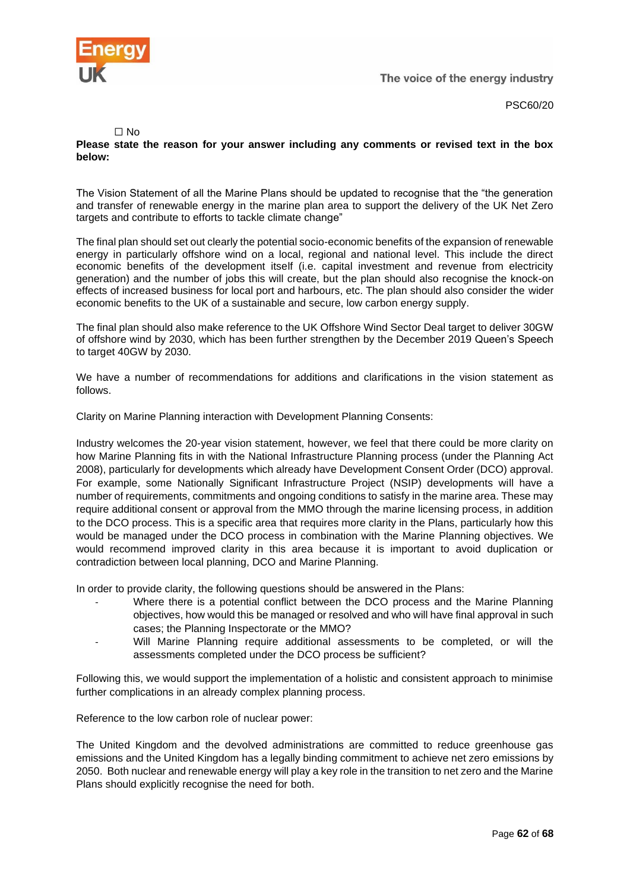

PSC60/20

#### $\Box$  No

#### **Please state the reason for your answer including any comments or revised text in the box below:**

The Vision Statement of all the Marine Plans should be updated to recognise that the "the generation and transfer of renewable energy in the marine plan area to support the delivery of the UK Net Zero targets and contribute to efforts to tackle climate change"

The final plan should set out clearly the potential socio-economic benefits of the expansion of renewable energy in particularly offshore wind on a local, regional and national level. This include the direct economic benefits of the development itself (i.e. capital investment and revenue from electricity generation) and the number of jobs this will create, but the plan should also recognise the knock-on effects of increased business for local port and harbours, etc. The plan should also consider the wider economic benefits to the UK of a sustainable and secure, low carbon energy supply.

The final plan should also make reference to the UK Offshore Wind Sector Deal target to deliver 30GW of offshore wind by 2030, which has been further strengthen by the December 2019 Queen's Speech to target 40GW by 2030.

We have a number of recommendations for additions and clarifications in the vision statement as follows.

Clarity on Marine Planning interaction with Development Planning Consents:

Industry welcomes the 20-year vision statement, however, we feel that there could be more clarity on how Marine Planning fits in with the National Infrastructure Planning process (under the Planning Act 2008), particularly for developments which already have Development Consent Order (DCO) approval. For example, some Nationally Significant Infrastructure Project (NSIP) developments will have a number of requirements, commitments and ongoing conditions to satisfy in the marine area. These may require additional consent or approval from the MMO through the marine licensing process, in addition to the DCO process. This is a specific area that requires more clarity in the Plans, particularly how this would be managed under the DCO process in combination with the Marine Planning objectives. We would recommend improved clarity in this area because it is important to avoid duplication or contradiction between local planning, DCO and Marine Planning.

In order to provide clarity, the following questions should be answered in the Plans:

- Where there is a potential conflict between the DCO process and the Marine Planning objectives, how would this be managed or resolved and who will have final approval in such cases; the Planning Inspectorate or the MMO?
- Will Marine Planning require additional assessments to be completed, or will the assessments completed under the DCO process be sufficient?

Following this, we would support the implementation of a holistic and consistent approach to minimise further complications in an already complex planning process.

Reference to the low carbon role of nuclear power:

The United Kingdom and the devolved administrations are committed to reduce greenhouse gas emissions and the United Kingdom has a legally binding commitment to achieve net zero emissions by 2050. Both nuclear and renewable energy will play a key role in the transition to net zero and the Marine Plans should explicitly recognise the need for both.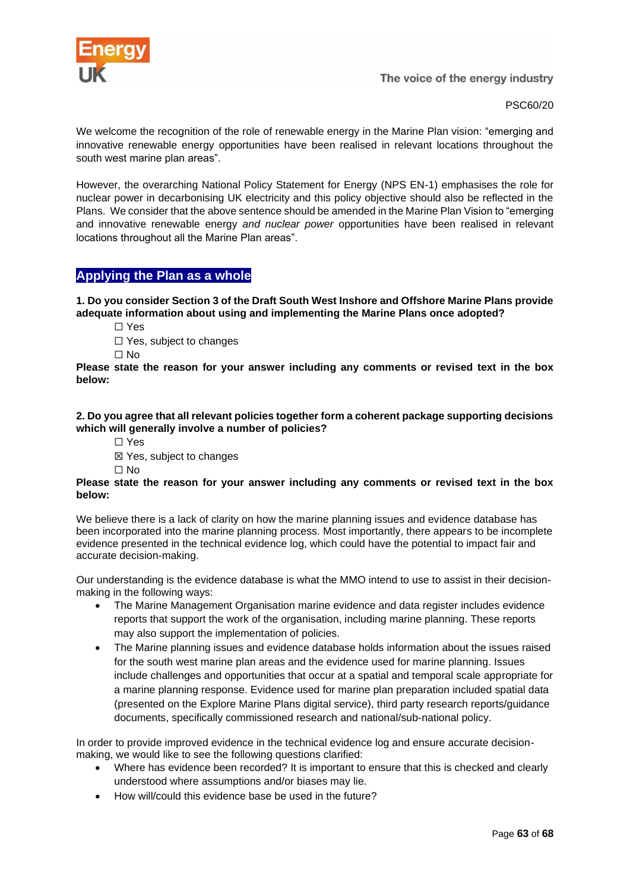

PSC60/20

We welcome the recognition of the role of renewable energy in the Marine Plan vision: "emerging and innovative renewable energy opportunities have been realised in relevant locations throughout the south west marine plan areas".

However, the overarching National Policy Statement for Energy (NPS EN-1) emphasises the role for nuclear power in decarbonising UK electricity and this policy objective should also be reflected in the Plans. We consider that the above sentence should be amended in the Marine Plan Vision to "emerging and innovative renewable energy *and nuclear power* opportunities have been realised in relevant locations throughout all the Marine Plan areas".

# <span id="page-62-0"></span>**Applying the Plan as a whole**

**1. Do you consider Section 3 of the Draft South West Inshore and Offshore Marine Plans provide adequate information about using and implementing the Marine Plans once adopted?**

- ☐ Yes
- □ Yes, subject to changes
- ☐ No

**Please state the reason for your answer including any comments or revised text in the box below:**

**2. Do you agree that all relevant policies together form a coherent package supporting decisions which will generally involve a number of policies?**

☐ Yes

☒ Yes, subject to changes

☐ No

#### **Please state the reason for your answer including any comments or revised text in the box below:**

We believe there is a lack of clarity on how the marine planning issues and evidence database has been incorporated into the marine planning process. Most importantly, there appears to be incomplete evidence presented in the technical evidence log, which could have the potential to impact fair and accurate decision-making.

Our understanding is the evidence database is what the MMO intend to use to assist in their decisionmaking in the following ways:

- The Marine Management Organisation marine evidence and data register includes evidence reports that support the work of the organisation, including marine planning. These reports may also support the implementation of policies.
- The Marine planning issues and evidence database holds information about the issues raised for the south west marine plan areas and the evidence used for marine planning. Issues include challenges and opportunities that occur at a spatial and temporal scale appropriate for a marine planning response. Evidence used for marine plan preparation included spatial data (presented on the Explore Marine Plans digital service), third party research reports/guidance documents, specifically commissioned research and national/sub-national policy.

In order to provide improved evidence in the technical evidence log and ensure accurate decisionmaking, we would like to see the following questions clarified:

- Where has evidence been recorded? It is important to ensure that this is checked and clearly understood where assumptions and/or biases may lie.
- How will/could this evidence base be used in the future?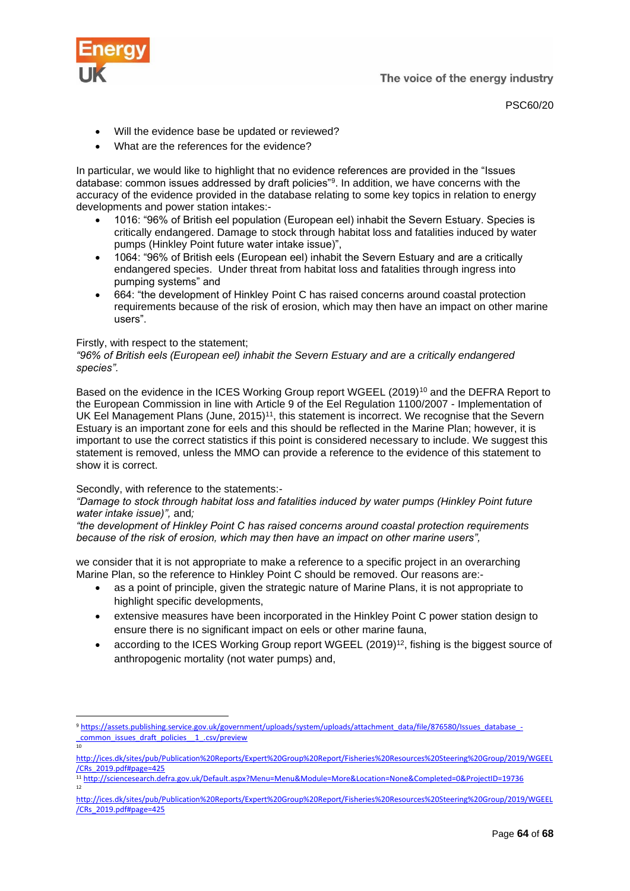

PSC60/20

- Will the evidence base be updated or reviewed?
- What are the references for the evidence?

In particular, we would like to highlight that no evidence references are provided in the "Issues database: common issues addressed by draft policies"<sup>9</sup> . In addition, we have concerns with the accuracy of the evidence provided in the database relating to some key topics in relation to energy developments and power station intakes:-

- 1016: "96% of British eel population (European eel) inhabit the Severn Estuary. Species is critically endangered. Damage to stock through habitat loss and fatalities induced by water pumps (Hinkley Point future water intake issue)",
- 1064: "96% of British eels (European eel) inhabit the Severn Estuary and are a critically endangered species. Under threat from habitat loss and fatalities through ingress into pumping systems" and
- 664: "the development of Hinkley Point C has raised concerns around coastal protection requirements because of the risk of erosion, which may then have an impact on other marine users".

#### Firstly, with respect to the statement;

#### *"96% of British eels (European eel) inhabit the Severn Estuary and are a critically endangered species".*

Based on the evidence in the ICES Working Group report WGEEL (2019)<sup>10</sup> and the DEFRA Report to the European Commission in line with Article 9 of the Eel Regulation 1100/2007 - Implementation of UK Eel Management Plans (June, 2015)<sup>11</sup>, this statement is incorrect. We recognise that the Severn Estuary is an important zone for eels and this should be reflected in the Marine Plan; however, it is important to use the correct statistics if this point is considered necessary to include. We suggest this statement is removed, unless the MMO can provide a reference to the evidence of this statement to show it is correct.

# Secondly, with reference to the statements:-

#### *"Damage to stock through habitat loss and fatalities induced by water pumps (Hinkley Point future water intake issue)",* and*;*

*"the development of Hinkley Point C has raised concerns around coastal protection requirements because of the risk of erosion, which may then have an impact on other marine users",*

we consider that it is not appropriate to make a reference to a specific project in an overarching Marine Plan, so the reference to Hinkley Point C should be removed. Our reasons are:-

- as a point of principle, given the strategic nature of Marine Plans, it is not appropriate to highlight specific developments,
- extensive measures have been incorporated in the Hinkley Point C power station design to ensure there is no significant impact on eels or other marine fauna,
- according to the ICES Working Group report WGEEL (2019)<sup>12</sup>, fishing is the biggest source of anthropogenic mortality (not water pumps) and,

<sup>9</sup> [https://assets.publishing.service.gov.uk/government/uploads/system/uploads/attachment\\_data/file/876580/Issues\\_database\\_-](https://assets.publishing.service.gov.uk/government/uploads/system/uploads/attachment_data/file/876580/Issues_database_-_common_issues_draft_policies__1_.csv/preview) [\\_common\\_issues\\_draft\\_policies\\_\\_1\\_.csv/preview](https://assets.publishing.service.gov.uk/government/uploads/system/uploads/attachment_data/file/876580/Issues_database_-_common_issues_draft_policies__1_.csv/preview) 10

[http://ices.dk/sites/pub/Publication%20Reports/Expert%20Group%20Report/Fisheries%20Resources%20Steering%20Group/2019/WGEEL](http://ices.dk/sites/pub/Publication%20Reports/Expert%20Group%20Report/Fisheries%20Resources%20Steering%20Group/2019/WGEEL/CRs_2019.pdf#page=425) [/CRs\\_2019.pdf#page=425](http://ices.dk/sites/pub/Publication%20Reports/Expert%20Group%20Report/Fisheries%20Resources%20Steering%20Group/2019/WGEEL/CRs_2019.pdf#page=425)

<sup>11</sup> <http://sciencesearch.defra.gov.uk/Default.aspx?Menu=Menu&Module=More&Location=None&Completed=0&ProjectID=19736> 12

[http://ices.dk/sites/pub/Publication%20Reports/Expert%20Group%20Report/Fisheries%20Resources%20Steering%20Group/2019/WGEEL](http://ices.dk/sites/pub/Publication%20Reports/Expert%20Group%20Report/Fisheries%20Resources%20Steering%20Group/2019/WGEEL/CRs_2019.pdf#page=425) [/CRs\\_2019.pdf#page=425](http://ices.dk/sites/pub/Publication%20Reports/Expert%20Group%20Report/Fisheries%20Resources%20Steering%20Group/2019/WGEEL/CRs_2019.pdf#page=425)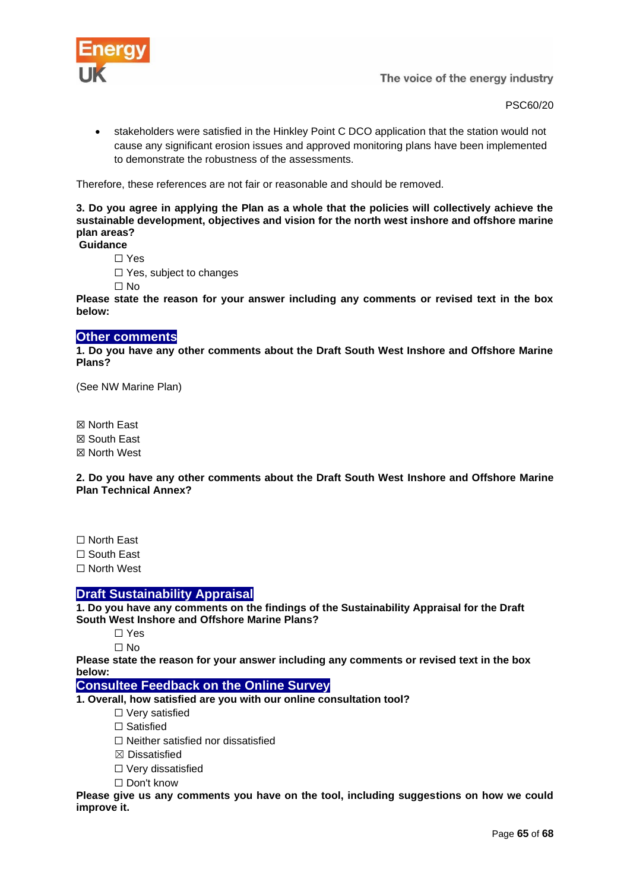

PSC60/20

• stakeholders were satisfied in the Hinkley Point C DCO application that the station would not cause any significant erosion issues and approved monitoring plans have been implemented to demonstrate the robustness of the assessments.

Therefore, these references are not fair or reasonable and should be removed.

**3. Do you agree in applying the Plan as a whole that the policies will collectively achieve the sustainable development, objectives and vision for the north west inshore and offshore marine plan areas? Guidance**

☐ Yes

☐ Yes, subject to changes

☐ No

**Please state the reason for your answer including any comments or revised text in the box below:**

# <span id="page-64-0"></span>**Other comments**

**1. Do you have any other comments about the Draft South West Inshore and Offshore Marine Plans?**

(See NW Marine Plan)

☒ North East

☒ South East

☒ North West

**2. Do you have any other comments about the Draft South West Inshore and Offshore Marine Plan Technical Annex?**

☐ North East

☐ South East

☐ North West

# <span id="page-64-1"></span>**Draft Sustainability Appraisal**

**1. Do you have any comments on the findings of the Sustainability Appraisal for the Draft South West Inshore and Offshore Marine Plans?**

☐ Yes

 $\Box$  No

**Please state the reason for your answer including any comments or revised text in the box below:**

# <span id="page-64-2"></span>**Consultee Feedback on the Online Survey**

**1. Overall, how satisfied are you with our online consultation tool?**

☐ Very satisfied

□ Satisfied

☐ Neither satisfied nor dissatisfied

☒ Dissatisfied

☐ Very dissatisfied

☐ Don't know

**Please give us any comments you have on the tool, including suggestions on how we could improve it.**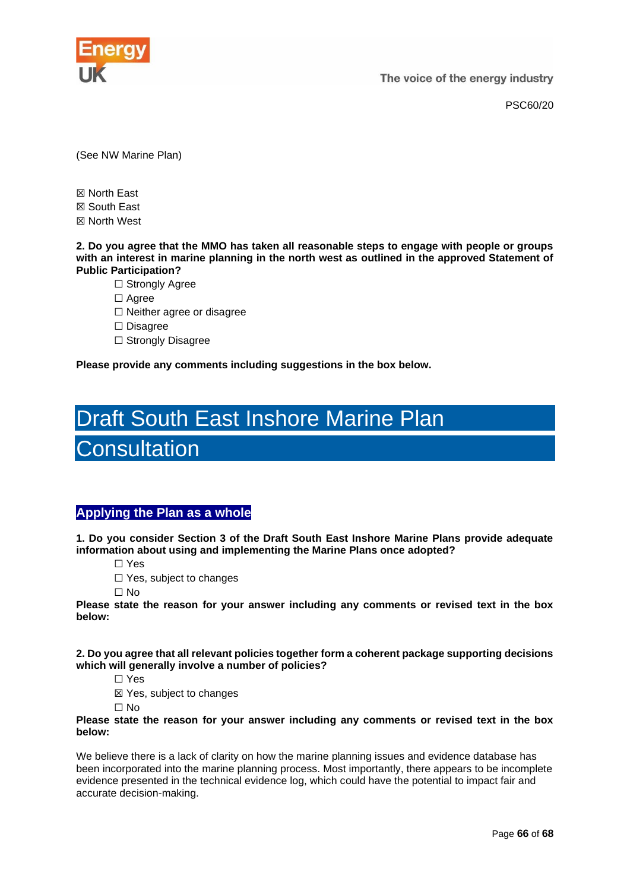

PSC60/20

(See NW Marine Plan)

☒ North East ☒ South East ☒ North West

**2. Do you agree that the MMO has taken all reasonable steps to engage with people or groups with an interest in marine planning in the north west as outlined in the approved Statement of Public Participation?**

□ Strongly Agree

□ Agree

☐ Neither agree or disagree

☐ Disagree

□ Strongly Disagree

**Please provide any comments including suggestions in the box below.**

# <span id="page-65-0"></span>Draft South East Inshore Marine Plan

**Consultation** 

# <span id="page-65-1"></span>**Applying the Plan as a whole**

**1. Do you consider Section 3 of the Draft South East Inshore Marine Plans provide adequate information about using and implementing the Marine Plans once adopted?**

☐ Yes

☐ Yes, subject to changes

☐ No

**Please state the reason for your answer including any comments or revised text in the box below:**

**2. Do you agree that all relevant policies together form a coherent package supporting decisions which will generally involve a number of policies?**

☐ Yes

☒ Yes, subject to changes

☐ No

**Please state the reason for your answer including any comments or revised text in the box below:**

We believe there is a lack of clarity on how the marine planning issues and evidence database has been incorporated into the marine planning process. Most importantly, there appears to be incomplete evidence presented in the technical evidence log, which could have the potential to impact fair and accurate decision-making.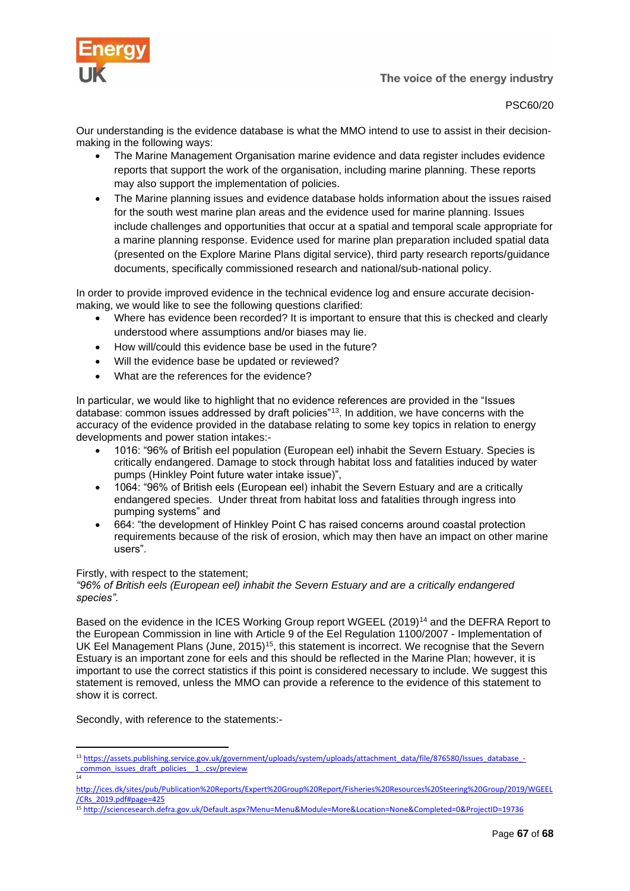

PSC60/20

Our understanding is the evidence database is what the MMO intend to use to assist in their decisionmaking in the following ways:

- The Marine Management Organisation marine evidence and data register includes evidence reports that support the work of the organisation, including marine planning. These reports may also support the implementation of policies.
- The Marine planning issues and evidence database holds information about the issues raised for the south west marine plan areas and the evidence used for marine planning. Issues include challenges and opportunities that occur at a spatial and temporal scale appropriate for a marine planning response. Evidence used for marine plan preparation included spatial data (presented on the Explore Marine Plans digital service), third party research reports/guidance documents, specifically commissioned research and national/sub-national policy.

In order to provide improved evidence in the technical evidence log and ensure accurate decisionmaking, we would like to see the following questions clarified:

- Where has evidence been recorded? It is important to ensure that this is checked and clearly understood where assumptions and/or biases may lie.
- How will/could this evidence base be used in the future?
- Will the evidence base be updated or reviewed?
- What are the references for the evidence?

In particular, we would like to highlight that no evidence references are provided in the "Issues database: common issues addressed by draft policies"<sup>13</sup>. In addition, we have concerns with the accuracy of the evidence provided in the database relating to some key topics in relation to energy developments and power station intakes:-

- 1016: "96% of British eel population (European eel) inhabit the Severn Estuary. Species is critically endangered. Damage to stock through habitat loss and fatalities induced by water pumps (Hinkley Point future water intake issue)",
- 1064: "96% of British eels (European eel) inhabit the Severn Estuary and are a critically endangered species. Under threat from habitat loss and fatalities through ingress into pumping systems" and
- 664: "the development of Hinkley Point C has raised concerns around coastal protection requirements because of the risk of erosion, which may then have an impact on other marine users".

#### Firstly, with respect to the statement;

*"96% of British eels (European eel) inhabit the Severn Estuary and are a critically endangered species".*

Based on the evidence in the ICES Working Group report WGEEL (2019)<sup>14</sup> and the DEFRA Report to the European Commission in line with Article 9 of the Eel Regulation 1100/2007 - Implementation of UK Eel Management Plans (June, 2015)<sup>15</sup>, this statement is incorrect. We recognise that the Severn Estuary is an important zone for eels and this should be reflected in the Marine Plan; however, it is important to use the correct statistics if this point is considered necessary to include. We suggest this statement is removed, unless the MMO can provide a reference to the evidence of this statement to show it is correct.

Secondly, with reference to the statements:-

14

<sup>13</sup> [https://assets.publishing.service.gov.uk/government/uploads/system/uploads/attachment\\_data/file/876580/Issues\\_database\\_-](https://assets.publishing.service.gov.uk/government/uploads/system/uploads/attachment_data/file/876580/Issues_database_-_common_issues_draft_policies__1_.csv/preview) [\\_common\\_issues\\_draft\\_policies\\_\\_1\\_.csv/preview](https://assets.publishing.service.gov.uk/government/uploads/system/uploads/attachment_data/file/876580/Issues_database_-_common_issues_draft_policies__1_.csv/preview)

[http://ices.dk/sites/pub/Publication%20Reports/Expert%20Group%20Report/Fisheries%20Resources%20Steering%20Group/2019/WGEEL](http://ices.dk/sites/pub/Publication%20Reports/Expert%20Group%20Report/Fisheries%20Resources%20Steering%20Group/2019/WGEEL/CRs_2019.pdf#page=425) [/CRs\\_2019.pdf#page=425](http://ices.dk/sites/pub/Publication%20Reports/Expert%20Group%20Report/Fisheries%20Resources%20Steering%20Group/2019/WGEEL/CRs_2019.pdf#page=425)

<sup>15</sup> <http://sciencesearch.defra.gov.uk/Default.aspx?Menu=Menu&Module=More&Location=None&Completed=0&ProjectID=19736>